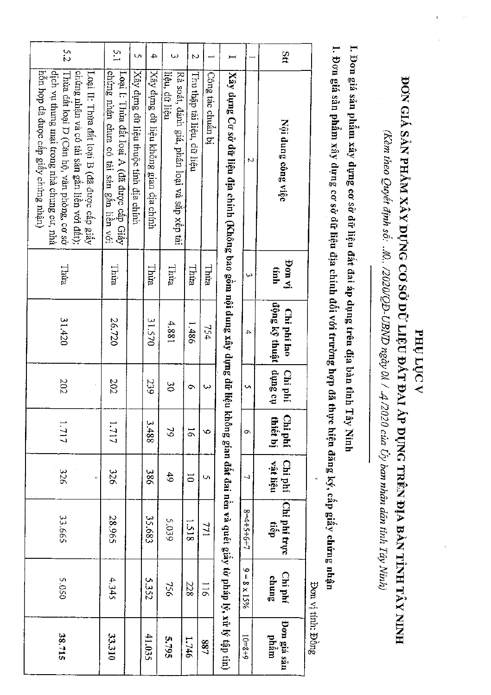I. Đơn giá sản phẩm xây dựng cơ sở đữ liệu đất đai áp dụng trên địa bàn tĩnh Tây Ninh

1. Đơn giá sản phẩm xây dựng cơ sở đữ liệu địa chính đối với trường hợp đã thực hiện đăng ký, cấp giấy chứng nhận

5.2  $\frac{5}{1}$ ans Ō,  $\overline{4}$  $\tilde{\mathbf{z}}$  $\overline{a}$ Loại I: Thừa đất Ioại A (đã được cấp Giấy<br>chứng nhận chưa có tài sản gắn liền với dich vu thung mai trong nhà chung cu, nhà Xây dựng dữ liệu thuộc tính địa chính hỗn hợp đã được cấp giấy chứng nhận) Thừa đất loại D (Căn hộ, văn phòng, cơ sở chứng nhân và có tài sản gắn liền với đất); Loại II: Thừa đất loại B (đã được cấp giấy Xây dựng dữ liệu không gian địa chính Công tác chuẩn bị |Xây dựng Cơ sở dữ liệu địa chính (Không bao gồm nội dung xây dựng dữ liệu không gian đất đai nền và quét giấy tờ pháp lý, xử lý tập tin) Rà soát, đánh giá, phân loại và sắp xếp tài liệu, dữ liệu Thu thập tải liệu, dữ liệu Nội dung công việc  $\overline{\mathbf{c}}$ ja uog Thira Thira Thừa Thua Thira Thira tính w 13 sang Ky thuật | dụng cụ Chi phí lao 26.720 31.420 31.570 4.881 1.486 754 Chi phí **202** 239 202  $\infty$  $\sigma$  $\tilde{\omega}$ Chiphí thiết bị 3.488 1.717 1.717  $\mathfrak{D}$  $\overline{9}$  $\ddot{\circ}$  $\sigma$ ngi liên Chi phí 326 386 326  $6<sup>b</sup>$  $\overline{0}$ Ŭ, Chi phi truc  $8 = 4 + 5 + 6 + 7$ 33.665 28.965 35.683 5.039 tiếp  $1.518$ 771  $9 - 8 \times 15\%$ Chi phí suma 5.050 4,345 5.352  $116$ 756 228 Đơn vị tính: Đồng Don giá sân 33.310 41.035  $6 + 8 = 01$ nhâm 38.715 5.795 1.746 788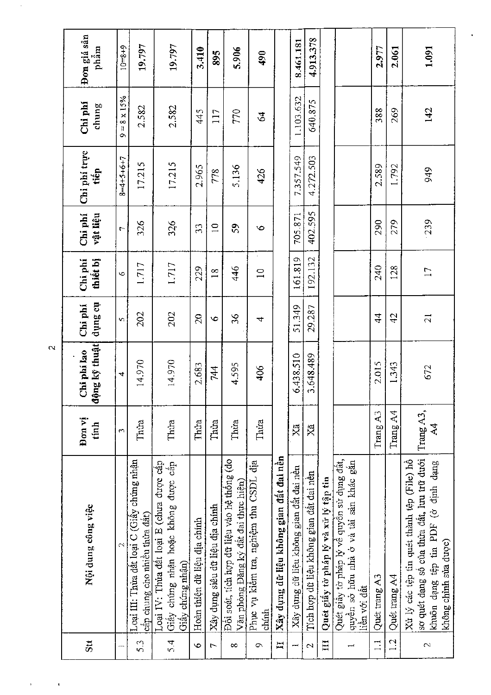|                          | Nội dung công việc                                                                                                                                       | Đon vi<br>tính  | ộng kỹ thuật<br>Chi phi lao<br>Ġ | the Surip<br>Chi phí | thiết bị<br>Chi phi      | Chi phi<br>vật liệu | Chi phi trực<br>tiếp | Chi phí<br>chung                                   | Đơn giá sân<br>phẩm |
|--------------------------|----------------------------------------------------------------------------------------------------------------------------------------------------------|-----------------|----------------------------------|----------------------|--------------------------|---------------------|----------------------|----------------------------------------------------|---------------------|
|                          | $\mathcal{L}$                                                                                                                                            | m               | 4                                | Υņ,                  | $\bullet$                | $\overline{C}$      | $8 - 4 + 5 + 6 + 7$  | $8 \times 15\%$<br>$\left\vert {}\right\vert$<br>Ö | $6 + 8 = 01$        |
| 5.3                      | Loại III: Thừa đất loại C (Giấy chứng nhận<br>câp chung cho nhiều thừa đất)                                                                              | Thủa            | 14.970                           | 202                  | 1.717                    | 326                 | 17.215               | 2.582                                              | 19,797              |
| بر<br>2                  | Loại IV: Thừa đất loại E (chưa được cấp<br>Giây chúng nhận hoặc không được cấp<br>Giây chứng nhận)                                                       | Thúa            | 14.970                           | 202                  | 1,717                    | 326                 | 17.215               | 2.582                                              | 19.797              |
| Ó                        | Hoàn thiên dữ liệu địa chính                                                                                                                             | Thua            | 2.683                            | $\overline{c}$       | 229                      | 33                  | 2.965                | 445                                                | 3.410               |
| J                        | Xây dụng siêu dữ liệu địa chính                                                                                                                          | Thủa            | 744                              | $\circ$              | $\frac{8}{18}$           | $\supseteq$         | 778                  | 117                                                | 895                 |
| $\infty$                 | Đôi soát, tích hợp đữ liệu vào hệ thống (do<br>Văn phòng Đăng ký đất đai thực hiện)                                                                      | Thừa            | 4.595                            | 36                   | 446                      | $\overline{5}$      | 5,136                | 770                                                | 5.906               |
| $\circ$                  | Phục vụ kiêm tra, nghiệm thu CSDL địa<br>chinh                                                                                                           | Thúa            | 406                              | 4                    | $\overline{\phantom{0}}$ | ص                   | 426                  | \$                                                 | 490                 |
| H                        | Xây dụng dữ liệu không gian đất đai nền                                                                                                                  |                 |                                  |                      |                          |                     |                      |                                                    |                     |
| ÷                        | Xây dụng dữ liệu không gian đất đai nên                                                                                                                  | Ř               | 6.438.510                        | 51.349               | 161.819                  | 705.871             | 7.357.549            | 1.103.632                                          | 8.461.181           |
| $\sim$                   | Tích hợp dữ liệu không gian đất đai nên                                                                                                                  | Äã              | 3.648.489                        | 29.287               | 192.132                  | 402.595             | 4.272.503            | 640.875                                            | 4.913.378           |
| H                        | Quét giây tờ pháp lý và xử lý tập tin                                                                                                                    |                 |                                  |                      |                          |                     |                      |                                                    |                     |
| $\overline{\phantom{a}}$ | Quét giây tờ pháp lý về quyền sử dụng đất,<br>quyền sở hữu nhà ở và tài sản khác găn<br>liên với đất                                                     |                 |                                  |                      |                          |                     |                      |                                                    |                     |
| $\equiv$                 | Quét trang A3                                                                                                                                            | Trang A3        | 2.015                            | $\frac{4}{4}$        | 240                      | 290                 | 2.589                | 388                                                | 2.977               |
| 12                       | Quét trang A4                                                                                                                                            | Trang A4        | 1.343                            | 42                   | 128                      | 279                 | 1.792                | 269                                                | 2.061               |
| $\sim$                   | so quét dang số của thừa đất, lưu trữ dưới<br>Xử lý các tệp tin quét thành tệp (File) hồ<br>khuôn dạng tệp tin PDF (ở định dạng<br>không chỉnh sửa được) | Trang A3,<br>র্ | 672                              | $\overline{c}$       | $\Box$                   | 239                 | 949                  | 142                                                | 1.091               |

 $\overline{\mathbf{N}}$ 

 $\overline{\phantom{a}}$ 

 $\mathbf{I}$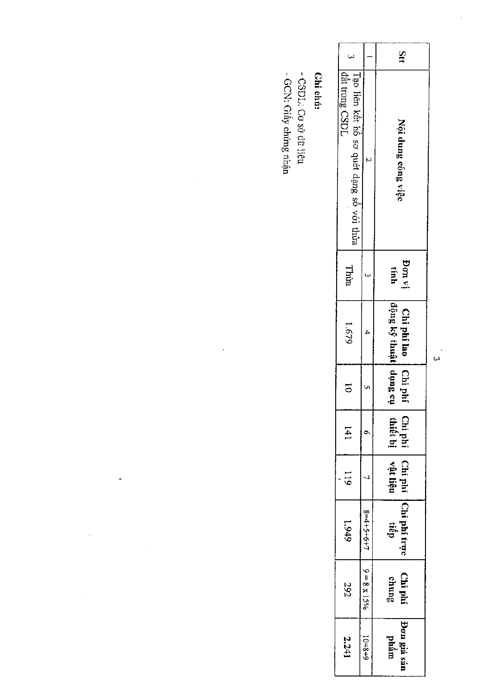|                                                            |                           | Stt                                         |
|------------------------------------------------------------|---------------------------|---------------------------------------------|
| Tạo liên kết hồ sơ quét dạng số với thừa<br>dât trong CSDI |                           | Nội dung công việc                          |
| Thùa                                                       |                           | Pon vị<br>tính                              |
| 6491                                                       |                           | dộng kỹ thuật<br>Chiphilao                  |
| 5                                                          |                           | no Sung en<br>Chi phi                       |
| 14 I                                                       |                           | Chi phí   Chi phí<br>thiết bị   vật liệu    |
| <b>119</b>                                                 |                           |                                             |
| 6#61                                                       | $8=4+5+6+7$   9 = 8 x 15% | $\cdot$   Chi phi $\left $ Chi phi trục   ~ |
| 292                                                        |                           | Chi phí<br>chung                            |
| 2.241                                                      | $10 = 8 + 6$              | Đơn giá sản<br>  phẩm                       |

## **Chi**chú:

- CSDL: Cơ sở đữ liệu<br>- GCN: Giấy chứmg nhận

 $\frac{1}{2}$ 

 $\ddot{\phantom{0}}$ 

j.

 $\frac{1}{2}$ 

 $\frac{1}{2}$ 

 $\frac{1}{2}$ 

်<br>မ

 $\frac{1}{2}$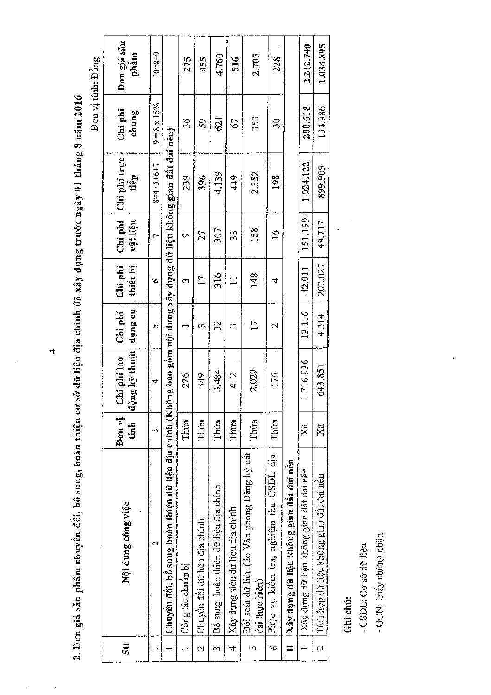2. Đơn giá sản phẩm chuyền đổi, bổ sung, hoàn thiện cơ sở dữ liệu địa chính đã xây dựng trước ngày 01 tháng 8 năm 2016

|                |                                                                                                                   |                |                              |                     |                     |                     |                      |                     | Đơn vị tính: Đồng   |
|----------------|-------------------------------------------------------------------------------------------------------------------|----------------|------------------------------|---------------------|---------------------|---------------------|----------------------|---------------------|---------------------|
| Stt            | Nội dung công việc                                                                                                | Don vi<br>tanh | động kỹ thuật<br>Chi phi lao | tio Sunp<br>Chi phí | Chi phi<br>thiết bị | Chi phí<br>vật liệu | Chi phí trực<br>tiếp | Chi phi<br>chung    | Đơn giá sản<br>phẩm |
|                | $\mathbf{\hat{c}}$                                                                                                | 3              | 4                            | S,                  | Φ                   | ٣                   | $8=4+5+6+7$          | $9 = 8 \times 15\%$ | $10 = 8 + 9$        |
|                | Chuyển đổi, bổ sung hoàn thiện dữ liệu địa chính (Không bao gồm nội dung xây dựng dữ liệu không gian đất đai nên) |                |                              |                     |                     |                     |                      |                     |                     |
|                | Công tác chuẩn bị                                                                                                 | Thứa           | 226                          |                     | 3                   | Ò                   | 239                  | 36                  | 275                 |
| N              | Chuyền đôi dữ liệu địa chính                                                                                      | Thua           | 349                          | 3                   | 17                  | 27                  | 396                  | 59                  | 455                 |
| S              | Bồ sung, hoàn thiện dữ liệu địa chính                                                                             | Thua           | 3,484                        | 32                  | 316                 | 307                 | 4.139                | 621                 | 4.760               |
| 4              | Xây dụng siêu dữ liệu địa chính                                                                                   | Thúa           | 402                          | 3                   | $\mathbf{I}$        | 33                  | 449                  | 67                  | 516                 |
|                | Đối soát dữ liệu (do Văn phòng Đăng ký đât<br>đai thực hiện)                                                      | Thúa           | 2.029                        | $\mathsf{11}$       | 148                 | 158                 | 2.352                | 353                 | 2.705               |
| G              | Phục vụ kiêm tra, nghiệm thu CSDL địa                                                                             | Thua           | 176                          | N                   | 4                   | $\frac{6}{1}$       | 198                  | 30                  | 228                 |
|                | Xây dựng dữ liệu không gian đất đai nên                                                                           |                |                              |                     |                     |                     |                      |                     |                     |
|                | Xây dựng dữ liệu không gian đất đai nên                                                                           | Ä              | 1.716.936                    | 13.116              | 42.911              | 151.159             | 1.924.122            | 288.618             | 2.212.740           |
| $\overline{c}$ | Tích họp dữ liệu không gian đất đai nên                                                                           | Χä             | 643.851                      | 4.314               | 202.027             | 49.717              | 899.909              | 134.986             | 1.034.895           |

## Ghi chú:

-CSDL: Co sò dù liệu

- GCN: Giấy chứng nhận

 $\hat{\mathbf{r}}$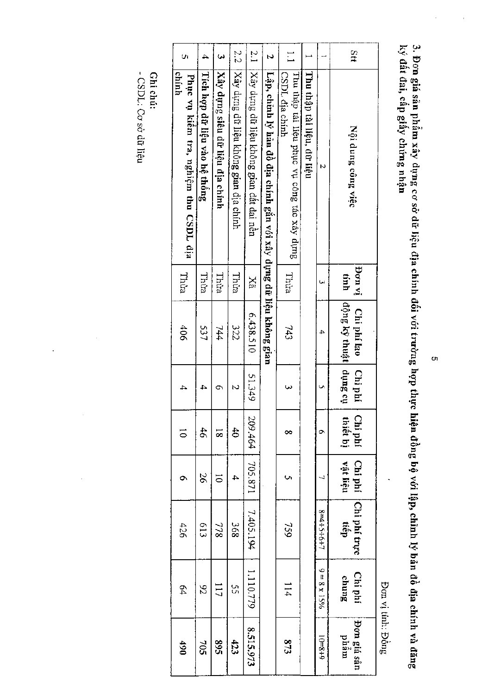3. Đơn giá sản phẩm xây dụng cơ sở dữ liệu địa chính đối với trường hợp thực hiện đồng bộ với lập, chỉnh lý bản đồ địa chính và đăng<br>ký đất đai, cấp giấy chứng nhận

|                      |                                                                    |               |                                       |         |                     |                     |                      | <b>Don vi tinh: Dông</b> |
|----------------------|--------------------------------------------------------------------|---------------|---------------------------------------|---------|---------------------|---------------------|----------------------|--------------------------|
| Stt                  | Nội dung công việc                                                 | jvnvi<br>tính | ing Kỳ thuật   dụng cụ<br>Chi phí lao | Chi phí | Chi phí<br>thiết bị | Chi phí<br>vật liệu | Chi phí trực<br>tiếp | Chi phí<br>chung         |
|                      | N                                                                  |               | 4                                     | U       | Ō                   |                     | 8=4+5+6+7            | $9 = 8 \times 15\%$      |
|                      | Thu thâp tài liệu, dữ liệu                                         |               |                                       |         |                     |                     |                      |                          |
| $\frac{1}{2}$        | CSDL dia chinh<br>Thu thập tài liệu phục vụ công tác xây dụng      | Thira         | 743                                   |         | ∞                   |                     | 959                  | 114                      |
| N                    | Lập, chỉnh lý hản đồ địa chính gắn với xây dụng dữ liệu không gian |               |                                       |         |                     |                     |                      |                          |
| $\frac{2.1}{2}$      | Xây dụng dữ liệu không gian đất đai nền                            | Xã            | 6.438.510                             | 51.349  | 209.464             | 705.871             | 7.405.194            | 1.110.779                |
| 2.2                  | Xây dựng dữ liệu không gian địa chính                              | Thừa          | 322                                   |         | \$                  | 4                   | 368                  | S)                       |
| $\tilde{\mathbf{z}}$ | Xây dụng siêu dữ liệu địa chính                                    | Thừa          | 744                                   | o       | $\overline{\infty}$ | $\vec{0}$           | 778                  | $\frac{1}{7}$            |
| 4                    | Tích hợp dữ liệu vào hệ thống                                      | Thùa          | 537                                   |         | 46                  | 26                  | 613                  | 82                       |
| U)                   | chinh<br>Phục vụ kiếm tra, nghiệm thu CSDL dịa                     | Thừa          | 406                                   |         | $\overline{\circ}$  |                     | 426                  | 64                       |

- CSDL: Co sò dữ liệu Ghi chú:

o,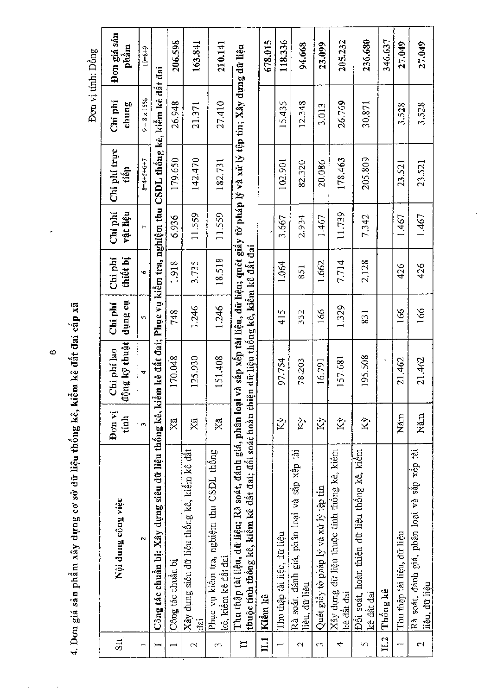4. Đơn giá sản phẩm xây dựng cơ sở dữ liệu thống kê, kiểm kê đất đai cấp xã

 $\hat{\boldsymbol{\beta}}$ 

 $\frac{1}{\sqrt{2}}$ 

 $\circ$ 

Đơn vị tính: Đồng

|               |                                                                                                                                                         | Đơn vị       | Chi phí lao   | Chi phí | Chi phí  | Chi phi  | Chi phí trực                                                                          | Chi phí             | Đơn giá sản  |
|---------------|---------------------------------------------------------------------------------------------------------------------------------------------------------|--------------|---------------|---------|----------|----------|---------------------------------------------------------------------------------------|---------------------|--------------|
| $\sin$        | Nội dung công việc                                                                                                                                      | tính         | động kỹ thuật | na aunp | thiết bị | vật liệu | tiêp                                                                                  | chung               | phâm         |
|               | $\mathbf{\hat{z}}$                                                                                                                                      | $\mathbf{r}$ | ÷             | in,     | Ó.       | r,       | $8 - 4 + 5 + 6 + 7$                                                                   | $9 = 8 \times 15\%$ | $10 = 8 + 9$ |
| بسز           | Công tác chuẩn bị; Xây dựng siêu dữ liệu thống kê, kiểm kê đất đai; Phục vụ kiểm tra, nghiệm thu                                                        |              |               |         |          |          | CSDL thông kê, kiềm kê đất đai                                                        |                     |              |
|               | Công tác chuẩn bị                                                                                                                                       | Χã           | 170.048       | 748     | 1.918    | 6.936    | 179.650                                                                               | 26.948              | 206.598      |
| $\mathcal{L}$ | Xây dụng siêu dữ liệu thống kê, kiểm kê đất<br>đai                                                                                                      | Xã           | 125.930       | 1.246   | 3.735    | 11.559   | 142.470                                                                               | 21.371              | 163.841      |
| 3             | Phục vụ kiêm tra, nghiệm thu CSDL thông<br>kê, kiềm kê đật đai                                                                                          | Xă           | 151.408       | 1.246   | 18.518   | 11.559   | 182.731                                                                               | 27,410              | 210.141      |
| $\Xi$         | thuộc tính thống kê, kiểm kê đất đai; đối soát hoàn thiện dữ liệu thống kê, kiểm kê đất đai<br>Thu thập tài liệu, dữ liệu; Rà soát, đánh giá, phân loại |              |               |         |          |          | rà sắp xếp tài liệu, dữ liệu; quét giây tờ pháp lý và xử lý tệp tin; Xây dựng dữ liệu |                     |              |
| $\Xi$         | Kiềm kê                                                                                                                                                 |              |               |         |          |          |                                                                                       |                     | 678.015      |
|               | Thu thập tài liệu, dữ liệu                                                                                                                              | Κỳ           | 97.754        | 415     | 1.064    | 3.667    | 102.901                                                                               | 15.435              | 118.336      |
| N             | Rà soát, đánh giá, phân loại và săp xêp tài<br>liệu, dữ liệu                                                                                            | Š,           | 78.203        | 332     | 851      | 2.934    | 82.320                                                                                | 12.348              | 94.668       |
| CO            | Quét giây tờ pháp lý và xử lý tệp tin                                                                                                                   | Κý           | 16.791        | 166     | 1.662    | 1.467    | 20.086                                                                                | 3.013               | 23.099       |
| 4             | Xây dụng dữ liệu thuộc tính thông kê, kiêm<br>kê đất đai                                                                                                | Κý           | 157.681       | 1.329   | 7.714    | 11.739   | 178.463                                                                               | 26.769              | 205.232      |
| 5             | Đối soát, hoàn thiện đữ liệu thống kê, kiểm<br>kê dât dai                                                                                               | K)           | 195.508       | 831     | 2.128    | 7.342    | 205.809                                                                               | 30,871              | 236.680      |
| 11.2          | Thông kê                                                                                                                                                |              |               |         |          |          |                                                                                       |                     | 346.637      |
| ⊷             | Thu thập tài liệu, dữ liệu                                                                                                                              | Năm          | 21.462        | 166     | 426      | 1.467    | 23.521                                                                                | 3.528               | 27.049       |
| $\mathbb{Z}$  | Rà soát, đánh giá, phân loại và săp xép tài<br>liệu, dữ liệu                                                                                            | Năm          | 21.462        | 166     | 426      | 1.467    | 23.521                                                                                | 3.528               | 27.049       |

Ŷ,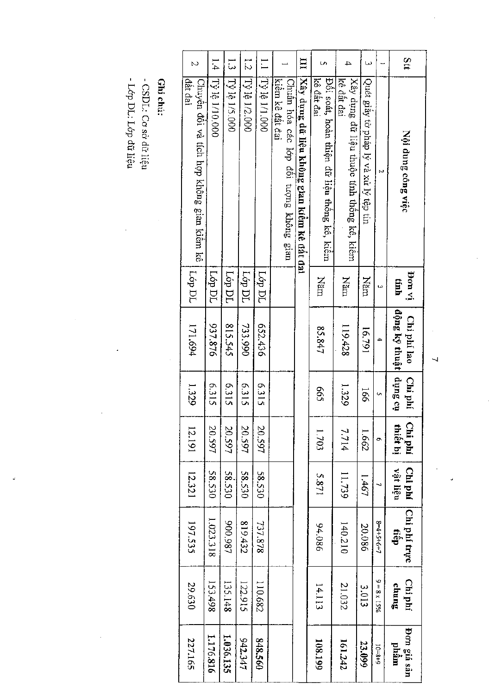| با<br>ن<br>l.4                                       |                |               | r<br>2        | $\overline{\phantom{0}}$ |                                                           | Ξ                                           | U)                                                        | 4                                                        | $\omega$                              |                       | Stt                                   |
|------------------------------------------------------|----------------|---------------|---------------|--------------------------|-----------------------------------------------------------|---------------------------------------------|-----------------------------------------------------------|----------------------------------------------------------|---------------------------------------|-----------------------|---------------------------------------|
| đât đai<br>Chuyên đôi và tích hợp không gian kiêm kê | Tỷ lệ 1/10.000 | Tỷ lệ 1/5.000 | Tỷ lệ 1/2.000 | 000 1/1 형 41             | kiêm kê dât đai<br>Chuẩn hóa các lớp đôi tượng không gian | Xây dụng dữ liệu không gian kiểm kê đất đại | kê đất đai<br>Đôi soát, hoàn thiện đữ liệu thông kê, kiêm | kê đất đai<br>Xây dựng đữ liệu thuộc tính thông kê, kiêm | Quét giấy tờ pháp lý và xử lý tệp tin | N                     | Nội dung công việc                    |
| Lớp DL                                               | <b>Lóp DL</b>  | Γόρ DL        | Lóp DL        | Lop DL                   |                                                           |                                             | Năm                                                       | nam                                                      | $\rm N\acute{s}m$                     | ىيا                   | iv nod<br>tính                        |
| 171.694                                              | 937.876        | 815.545       | 733.990       | 652.436                  |                                                           |                                             | 85.847                                                    | 119.428                                                  | 16,791                                | 4                     | động kỹ thuật  dụng cụ<br>Chi phí lao |
| 1.329                                                | 6.315          | 6.315         | 6.315         | 6.315                    |                                                           |                                             | <b>GOS</b>                                                | 1.329                                                    | 56                                    | Ō,                    | Chi phí                               |
| 12.191                                               | 20.597         | 20.597        | 20.597        | 20.597                   |                                                           |                                             | 1.703                                                     | 7.714                                                    | 1.662                                 | Ō,                    | Chi phí<br>thiết bị                   |
| 12.321                                               | 58.530         | 58.530        | 58.530        | <b>58.530</b>            |                                                           |                                             | 5.871                                                     | 11.739                                                   | 1.467                                 | ┙                     | Chi phí<br>vật liệu                   |
| 197.535                                              | 1.023.318      | 200.987       | 819.432       | 737.878                  |                                                           |                                             | 94.086                                                    | 140.210                                                  | 20.086                                | $8 - 4 + 5 + 6 + 7$   | Chi phí trực<br>tiêp                  |
| 29.630                                               | 153.498        | 135.148       | 122.915       | 110.682                  |                                                           |                                             | 14.113                                                    | 21.032                                                   | 3.013                                 | $%$ $51 \times 8 = 6$ | <b>Chiphí</b><br>chung                |
| 227.165                                              | 1.176.816      | 1.036.135     | 942.347       | 848.560                  |                                                           |                                             | 108.199                                                   | 161.242                                                  | 23.099                                | $6 + 8 = 01$          | Pon giá sán<br>phâm                   |

Ghi chú:

- CSDL: Cơ sở dữ liệu<br>- Lớp DL: Lớp đữ liệu

 $\label{eq:2} \frac{1}{\sqrt{2}}\int_{0}^{\infty}\frac{1}{\sqrt{2}}\,d\mu_{\rm{eff}}\,d\mu_{\rm{eff}}$ 

 $\frac{1}{2}$ 

 $\frac{1}{2}$ 

ŀ,

 $\ddot{\phantom{a}}$ 

 $\frac{1}{2}$ 

 $\frac{1}{2}$ 

J.

 $\overline{\phantom{0}}$ 

 $\frac{1}{2}$  $\frac{1}{2}$ 

 $\frac{1}{2}$ 

Ĵ,

 $\frac{1}{2}$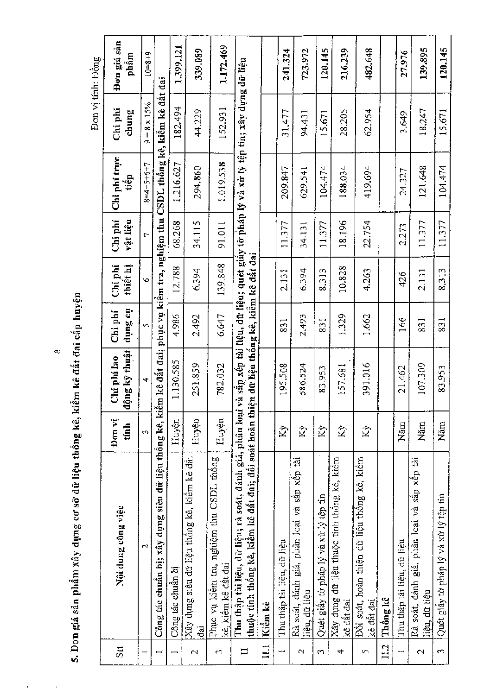| лимет<br>j                                                |
|-----------------------------------------------------------|
| $\operatorname{cap}$                                      |
|                                                           |
|                                                           |
|                                                           |
|                                                           |
|                                                           |
| u thông kê, kiêi<br>J                                     |
|                                                           |
|                                                           |
|                                                           |
| <sup>Arng</sup> co sở dữ liệu th <sub>o-</sub><br>anin An |
|                                                           |
| 5. Đơn giá sản phẩm xây                                   |
|                                                           |
|                                                           |
|                                                           |
|                                                           |

 $\bar{t}$ 

 $\hat{\epsilon}$ 

 $\infty$ 

Đơn vị tính: Đồng

|                 |                                                                                                                                                         |                    |                                  |                    |                     |                     |                                                                                       |                     | <b>Synce mm is more</b> |
|-----------------|---------------------------------------------------------------------------------------------------------------------------------------------------------|--------------------|----------------------------------|--------------------|---------------------|---------------------|---------------------------------------------------------------------------------------|---------------------|-------------------------|
| Stt             | Nội dung công việc                                                                                                                                      | Đơn vị<br>tính     | ộng kỹ thuật<br>Chi phi lao<br>₩ | ns Sunp<br>Chi phí | Chi phí<br>thiết hị | Chi phi<br>vật liệu | Chi phí trực<br>tiếp                                                                  | Chi phí<br>chung    | Đơn giá sản<br>phâm     |
|                 | $\mathbf{\Omega}$                                                                                                                                       | $\epsilon$         | 4                                | Й                  | $\ddot{\circ}$      | $\overline{C}$      | $8 = 4 + 5 + 6 + 7$                                                                   | $9 = 8 \times 15\%$ | $6 + 8 = 01$            |
| Ĭ               | Công tác chuẩn bị; xây dụng siêu dữ liệu thống kê, kiểm kê đất đai; phục vụ kiểm tra, nghiệm thu CSDL thống kê, kiểm kê đất đai                         |                    |                                  |                    |                     |                     |                                                                                       |                     |                         |
|                 | Công tác chuẩn bị                                                                                                                                       | Huyện              | 1.130.585                        | 4.986              | 12.788              | 68.268              | 1.216.627                                                                             | 182.494             | 1,399,121               |
| $\sim$          | Xây dụng siêu dữ liệu thông kê, kiêm kê đật<br>ä                                                                                                        | Huyện              | 251.859                          | 2.492              | 6.394               | 34.115              | 294.860                                                                               | 44.229              | 339.089                 |
| co              | Phục vụ kiểm tra, nghiệm thu CSDL thống<br>kê, kiêm kê dât dai                                                                                          | Huyện              | 782.032                          | 6.647              | 139.848             | 91.011              | 1.019.538                                                                             | 152.931             | 1.172.469               |
| H               | thuộc tính thống kê, kiểm kê đất đai; đối soát hoàn thiện dữ liệu thống kê, kiểm kê đất đai<br>Thu thập tài liệu, dữ liệu; rà soát, đánh giá, phân loại |                    |                                  |                    |                     |                     | và sắp xếp tài liệu, dữ liệu; quét giây tờ pháp lý và xử lý tệp tin; xây dụng dữ liệu |                     |                         |
| $\Xi$           | Kiêm kê                                                                                                                                                 |                    |                                  |                    |                     |                     |                                                                                       |                     |                         |
|                 | Thu thập tài liệu, dữ liệu                                                                                                                              | $\hat{X}$          | 195,508                          | 831                | 2.131               | 11.377              | 209.847                                                                               | 31.477              | 241.324                 |
| $\sim$          | Rà soát, đánh giá, phân loại và săp xêp tài<br>liệu, dữ liệu                                                                                            | $\hat{K}$          | 586.524                          | 2.493              | 6.394               | 34.131              | 629.541                                                                               | 94.431              | 723.972                 |
| S               | Quét giây tờ pháp lý và xử lý tệp tin                                                                                                                   | $\hat{K}$          | 83.953                           | 831                | 8.313               | 11.377              | 104.474                                                                               | 15.671              | 120.145                 |
| 4               | Xây dựng dữ liệu thuộc tính thông kê, kiêm<br>kê dât dai                                                                                                | Κý                 | 157.681                          | 1.329              | 10.828              | 18.196              | 188.034                                                                               | 28.205              | 216.239                 |
| 5               | Đối soát, hoàn thiện dữ liệu thống kê, kiêm<br>kê dât dai                                                                                               | $\hat{\mathbf{x}}$ | 391.016                          | 1.662              | 4.263               | 22.754              | 419,694                                                                               | 62.954              | 482.648                 |
| 11.2            | Thông kê                                                                                                                                                |                    |                                  |                    |                     |                     |                                                                                       |                     |                         |
|                 | Thu thập tài liệu, dữ liệu                                                                                                                              | Năm                | 21.462                           | 166                | 426                 | 2.273               | 24.327                                                                                | 3.649               | 27.976                  |
| $\mathbf{\sim}$ | Rà soát, đánh giá, phân loại và sắp xếp tài<br>liêu, dữ liệu                                                                                            | Năm                | 107.309                          | 831                | 2.131               | 11.377              | 121.648                                                                               | 18,247              | 139.895                 |
| $\sim$          | Quét giây tờ pháp lý và xử lý tệp tin                                                                                                                   | Năm                | 83.953                           | 831                | 8.313               | 11.377              | 104.474                                                                               | 15.671              | 120.145                 |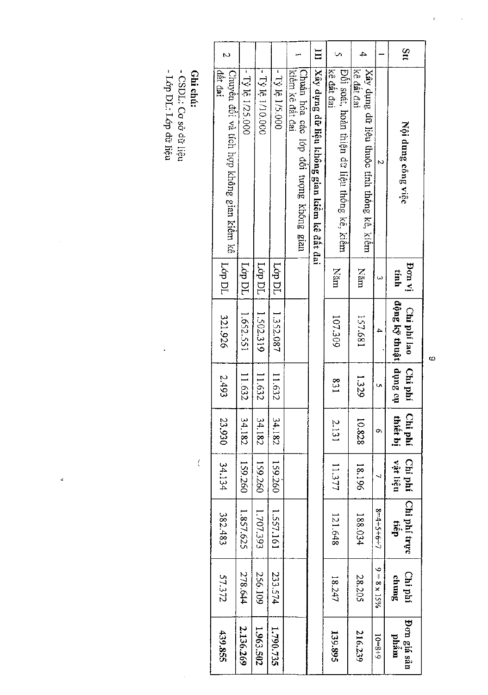|     |                                                           | Pon vi | Chi phí lao           | Chi phí        | Chi phí  |                     |                      |                     |                     |
|-----|-----------------------------------------------------------|--------|-----------------------|----------------|----------|---------------------|----------------------|---------------------|---------------------|
| Stt | Nội dung công việc                                        | tinh   | dộng kỹ thuật dụng cụ |                | thiết bị | Chi phí<br>nận liệu | Chi phí trực<br>tiëp | Chi phí<br>chung    | Don giá sản<br>phám |
|     |                                                           |        | $\overline{4}$        |                | Ö        | 4                   | $8 = 4 + 5 + 6 + 7$  | $9 = 8 \times 15\%$ | $6 + 8 = 01$        |
| 4   | Xây dựng dữ liệu thuộc tính thông kê, kiêm<br>kê dât dai  | Năm    | 157.681               | 1.329          | 10.828   | 18.196              | 188.034              | 28.205              | 216.239             |
|     | kê dât đai<br>Đối soát, hoàn thiện dữ liệu thống kê, kiếm | Năm    | 107.309               | $\frac{83}{1}$ | 2.131    | 11.377              | 121.648              | 18.247              | 139.895             |
| Ξ   | Xây dựng dữ liệu không gian kiểm kê đất đai               |        |                       |                |          |                     |                      |                     |                     |
|     | kiêm kê đất đai<br>Chuân hóa các lớp đội tượng không gian |        |                       |                |          |                     |                      |                     |                     |
|     | $-7\frac{3}{2}$ Iê 1/5.000                                | 10 р.  | 1.352.087             | 11.632         | 34.182   | 159.260             | 1,557.161            | 233.574             | 1.790.735           |
|     | $-$ Ty lê 1/10.000                                        | Lop DL | 1.502.319             | 11.632         | 34.182   | 159.260             | 1.707.393            | 256.109             | 1.963.502           |
|     | - Tỷ lệ 1/25.000                                          | Lóp DL | 1.652.551             | 11.632         | 34,182   | 159.260             | 1.857.625            | 278.644             | 2.136.269           |
| N   | đắt đại<br>Chuyển đổi và tích hợp không gian kiếm kê      | Lóp DL | 321.926               | 2.493          | 23.930   | 34.134              | 382.483              | 57.372              | 439.855             |

 $\overline{\mathcal{L}}$ 

ä,

**Ghi chú:<br>- CSDL: Co sở dữ liệu<br>- Lớp DL: Lớp dữ liệu** 

 $\circ$ 

 $\overline{1}$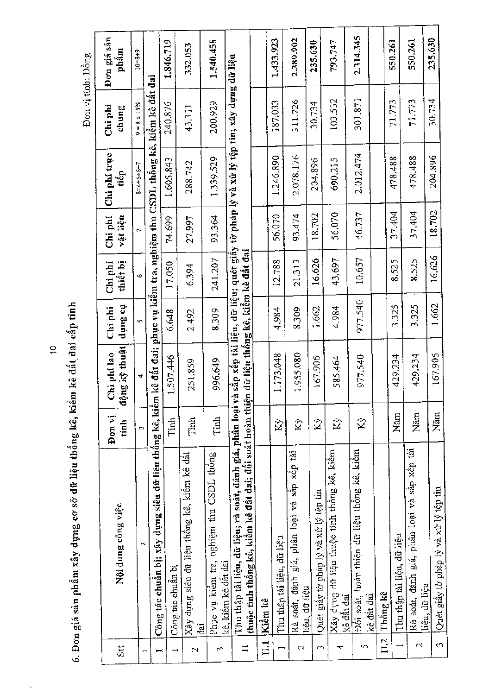6. Đơn giá sản phẩm xây dựng cơ sở dữ liệu thống kê, kiểm kê đất đai cấp tỉnh

Đơn vị tính: Đồng

| Stt                      | Nội dung công việc                                                                                                       | Đon vj<br>tinh       | dộng kỹ thuật<br>Chi phi lao      | the Sunp<br>Chi phi | thiết bị<br>Chi phí | Chi phí<br>vật liệu | Chi phi truc<br>tiêp                                                               | $Chi$ phí<br>chung  | Đơn giá sân<br>phâm |
|--------------------------|--------------------------------------------------------------------------------------------------------------------------|----------------------|-----------------------------------|---------------------|---------------------|---------------------|------------------------------------------------------------------------------------|---------------------|---------------------|
|                          | $\mathbf{\tilde{c}}$                                                                                                     | m                    | ₹                                 | īΜ,                 | Š.                  | ŗ.                  | $8 = 4 + 5 + 6 + 7$                                                                | $9 = 8 \times 15\%$ | $0 + 8 = 01$        |
| Ĭ                        | Công tác chuẩn bị; xây dựng siêu dữ liệu thống kê, kiểm                                                                  |                      |                                   |                     |                     |                     | kê đất đai; phục vụ kiểm tra, nghiệm thu CSDL thông kê, kiểm kê đất đai            |                     |                     |
|                          |                                                                                                                          |                      | 1.507.446                         | 6.648               | 17.050              | 74,699              | 1.605.843                                                                          | 240.876             | 1.846.719           |
| $\overline{\phantom{0}}$ | Công tác chuẩn bị                                                                                                        | Tinh                 |                                   |                     |                     |                     |                                                                                    |                     |                     |
| $\mathbb{L}$             | Xây dựng siêu dữ liệu thống kê, kiểm kê đất<br>្មជ                                                                       | Tinh                 | 251.859                           | 2.492               | 6.394               | 27.997              | 288.742                                                                            | 43.311              | 332.053             |
| ςU.                      | Phục vụ kiểm tra, nghiệm thu CSDL thông<br>kê, kiêm kê đất đai                                                           | Tinh                 | 996.649                           | 8.309               | 241.207             | 93.364              | 1.339.529                                                                          | 200.929             | 1.540.458           |
| $\mathbf{I}$             | Thu thập tài liệu, dữ liệu; rà soát, đánh giá, phân loại và<br>thuộc tính thống kê, kiểm kê đất đai; đối soát hoàn thiện |                      | dữ liệu thống kê, kiểm kê đất đai |                     |                     |                     | sắp xếp tài liệu, dữ liệu; quét giây tờ pháp lý và xữ lý tệp tin; xây dựng dữ liệu |                     |                     |
| 111                      | Kiêm kê                                                                                                                  |                      |                                   |                     |                     |                     |                                                                                    |                     |                     |
|                          | Thu thập tài liệu, dữ liệu                                                                                               | $\hat{\mathbf{X}}$   | 1.173.048                         | 4.984               | 12.788              | 56.070              | 1.246.890                                                                          | 187.033             | 1,433,923           |
| $\mathcal{C}$            | Rà soát, đánh giá, phân loại và sắp xếp tài<br>liệu, dữ liệu                                                             | $\hat{\mathbf{X}}$   | 1.955.080                         | 8.309               | 21.313              | 93.474              | 2.078.176                                                                          | 311.726             | 2.389.902           |
| cO.                      | Quét giây tờ pháp lý và xử lý tệp tin                                                                                    | $\tilde{\mathbf{Z}}$ | 167.906                           | 1.662               | 16,626              | 18.702              | 204.896                                                                            | 30.734              | 235.630             |
| ᢋ                        | Xây dựng dữ liệu thuộc tính thống kê, kiểm<br>kê dåt dai                                                                 | $\hat{\mathbf{X}}$   | 585.464                           | 4.984               | 43,697              | 56.070              | 690.215                                                                            | 103.532             | 793.747             |
| $\sim$                   | Đối soát, hoàn thiện dữ liệu thống kê, kiếm<br>kê đất đai                                                                | $\hat{\mathbf{K}}$   | 977.540                           | 977.540             | 10.657              | 46.737              | 2.012.474                                                                          | 301.871             | 2.314.345           |
| $\overline{\text{II}}$   | Thống kê                                                                                                                 |                      |                                   |                     |                     |                     |                                                                                    |                     |                     |
|                          | Thu thập tài liệu, dữ liệu                                                                                               | Năm                  | 429.234                           | 3.325               | 8.525               | 37.404              | 478.488                                                                            | 71.773              | 550.261             |
| $\sim$                   | Rà soát, đánh giá, phân loại và sắp xếp tài<br>liệu, dữ liệu                                                             | Năm                  | 429.234                           | 3.325               | 8.525               | 37.404              | 478.488                                                                            | 71.773              | 550.261             |
| 3                        | Quét giây tờ pháp lý và xử lý tệp tin                                                                                    | Năm                  | 167.906                           | 1.662               | 16.626              | 18.702              | 204.896                                                                            | 30.734              | 235.630             |

 $\ddot{\tilde{\sigma}}$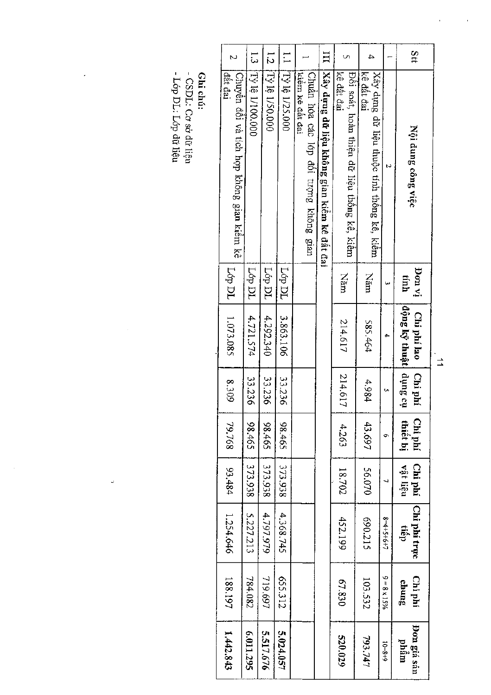| 11S                                    |                     |                                                          | ≏       |                                                           | Ξ                                           |                                                           | $\vdots$        | $\frac{1}{\sqrt{2}}$ | $\frac{1}{3}$                                                 |
|----------------------------------------|---------------------|----------------------------------------------------------|---------|-----------------------------------------------------------|---------------------------------------------|-----------------------------------------------------------|-----------------|----------------------|---------------------------------------------------------------|
| Nội dung công việc                     |                     | kê đất đai<br>Xây dựng dữ liệu thuộc tính thống kê, kiêm |         | kê đất đai<br>Đôi soát, hoàn thiện đữ liệu thông kê, kiêm | Xây dựng dữ liệu không gian kiểm kê đất đai | kiêm kê dât đai<br>Chuẩn hóa các lớp đối tượng không gian | [Tỷ lệ 1/25,000 | $15$ 16 1/50.000     | [Ty 16 1/100.000<br>Chuyền đối và tích hợp không gian kiêm kê |
| ja no <sub>f</sub><br>tinh             |                     | Năm                                                      |         | <b>Nam</b>                                                |                                             |                                                           | Lóp DL          | Lóp DL               | Lóp DL                                                        |
| dong ký thuật   dụng cụ<br>Chi phí lao |                     | 585.464                                                  |         | 214.617                                                   |                                             |                                                           | 3.863.106       | 4.292.340            | 4.721.574                                                     |
| Chi phí                                |                     | 4.984                                                    | 214.617 |                                                           |                                             |                                                           | 33.236          | 33.236               | 33.236                                                        |
| Chi phí<br>thiết bị                    | ቊ                   | 43.697                                                   | 4.263   |                                                           |                                             |                                                           | 59t.96          | 59786                | 59786                                                         |
| Chi phí<br>vật liêu                    |                     | 56.070                                                   | 18.702  |                                                           |                                             |                                                           | 373.938         | 373.938              | 373.938                                                       |
| Chi phi trực<br>tiếp                   | $8 - 4 + 5 + 6 + 7$ | 690.215                                                  | 452.199 |                                                           |                                             |                                                           | 4.368.745       | 4.797.979            | 5.227.213                                                     |
| Chi phí<br>sunup                       | $9 = 8 \times 15\%$ | 103.532                                                  | 67.830  |                                                           |                                             |                                                           | S55.312         | 719.697              | 784.082                                                       |
| Don giá sán<br>niåm                    | $6 + 8 = 01$        | 793.747                                                  | 520.029 |                                                           |                                             |                                                           | 5.024.057       | 5.517.676            | 6.011.295                                                     |

**Ghi chú:**<br>- CSDL: Cơ sở dữ liệu<br>- Lớp DL: Lớp dữ liệu

ć

 $\frac{1}{2}$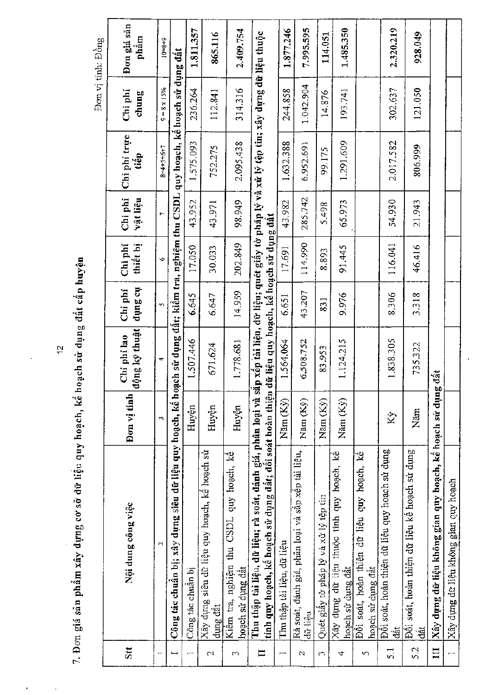|               |                                                                                                                                                                                                                   |                    |                                         |                    |                     |                      |                      |                   | Đơn vị tính: Đồng   |
|---------------|-------------------------------------------------------------------------------------------------------------------------------------------------------------------------------------------------------------------|--------------------|-----------------------------------------|--------------------|---------------------|----------------------|----------------------|-------------------|---------------------|
| Stt           | Nội dung công việc                                                                                                                                                                                                | Don vi tinh        | động kỹ thuật<br>Chi phí lao            | to Sunp<br>Chi phí | Chi phi<br>thiết bị | Chi phí<br>vật liệu  | Chi phí trực<br>tiếp | Chi phi<br>chung  | Đơn giá sản<br>phầm |
|               | N                                                                                                                                                                                                                 | $\mathbf{r}$       | 4                                       | Ÿ,                 | Φ                   | $\ddot{\phantom{0}}$ | $8 - 4 + 5 + 6 + 7$  | $= 8 \times 15\%$ | $10 = 8 + 9$        |
|               | Công tác chuẩn bị; xây dựng siêu dữ liệu quy hoạch, kế hoạch sử dụng đất; kiểm tra, nghiệm thu CSDL quy hoạch, kế hoạch sử dụng đất                                                                               |                    |                                         |                    |                     |                      |                      |                   |                     |
|               | Công tác chuân bị                                                                                                                                                                                                 | Huyện              | 1.507.446                               | 6.645              | 17,050              | 43.952               | 1.575.093            | 236.264           | 1.811.357           |
| 2             | Xây dựng siêu dữ liệu quy hoạch, kê hoạch sử<br>dụng đất                                                                                                                                                          | Huyện              | 671.624                                 | 6.647              | 30.033              | 43.971               | 752.275              | 112.841           | 865.116             |
| 5             | Kiêm tra, nghiệm thu CSDL quy hoạch, kế<br>hoạch sử dụng đất                                                                                                                                                      | Huyện              | 1.778.681                               | 14.959             | 202.849             | 98.949               | 2.095.438            | 314.316           | 2,409.754           |
| $\mathbf{I}$  | Thu thập tài liệu, dữ liệu; rà soát, đánh giá, phân loại và sắp xếp tài liệu, dữ liệu; quét giấy tờ pháp lý và xử lý tệp tim; xây dựng dữ liệu thuộc<br>tính quy hoạch, kế hoạch sử dụng đất; đối soát hoàn thiện |                    | dữ liệu quy hoạch, kê hoạch sử dụng đật |                    |                     |                      |                      |                   |                     |
|               | Thu thập tài liệu, dữ liệu                                                                                                                                                                                        | Nam (Ky)           | 1.564.064                               | 6.651              | 17.691              | 43.982               | 1.632.388            | 244.858           | 1.877.246           |
| $\mathcal{Q}$ | Rà soát, đánh giá, phân loại và sắp xếp tài liệu,<br>dů liêu                                                                                                                                                      | Năm (Ky)           | 6,508.752                               | 43.207             | 114.990             | 285.742              | 6.952.691            | 1.042.904         | 7,995.595           |
| $\sim$        | Quét giây tờ pháp lý và xử lý tệp tin                                                                                                                                                                             | Năm (Ky)           | 83,953                                  | 831                | 8.893               | 5.498                | 99.175               | 14,876            | 114.051             |
| ₹             | Xây dựng dữ liệu thuộc tính quy hoạch, kế<br>hoạch sử dụng đất                                                                                                                                                    | Năm (Ky)           | 1.124.215                               | 9.976              | 91.445              | 65.973               | 1.291.609            | 193.741           | 1.485.350           |
| S             | Đôi soát, hoàn thiện dữ liệu quy hoạch, kê<br>hoạch sử dụng đât                                                                                                                                                   |                    |                                         |                    |                     |                      |                      |                   |                     |
| $\frac{1}{2}$ | Đối soát, hoàn thiện dữ liệu quy hoạch sử dụng<br>dát                                                                                                                                                             | $\hat{\mathbf{z}}$ | 1,838,305                               | 8.306              | 116.041             | 54.930               | 2.017.582            | 302.637           | 2.320.219           |
| 5.2           | Đối soát, hoàn thiện dữ liệu kế hoạch sử dụng<br>dât                                                                                                                                                              | Năm                | 735.322                                 | 3.318              | 46.416              | 21.943               | 806.999              | 121.050           | 928.049             |
| $\mathbf{H}$  | Xây dựng dữ liệu không gian quy hoạch, kể hoạch sử dụng                                                                                                                                                           |                    | dát                                     |                    |                     |                      |                      |                   |                     |
|               | Xây dựng dữ liệu không gian quy hoạch                                                                                                                                                                             |                    |                                         |                    |                     |                      |                      |                   |                     |

7. Đơn giá sản phẩm xây dựng cơ sở dữ liệu quy hoạch, kế hoạch sử dụng đất cấp huyện

 $\overline{\mathfrak{c}}$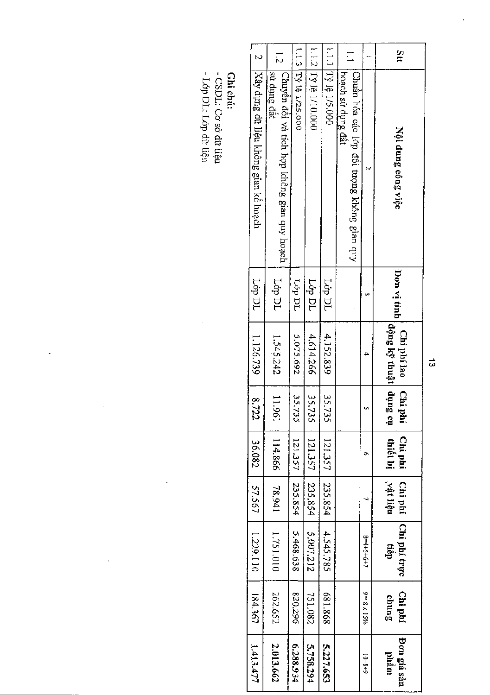| 1.1.2 Ty lê 1/10.000<br>1.1.1 Ty lệ 1/5.000<br>1.1.3 [Tỳ 14 1/25.000<br>Stt<br>$\sim$<br>⊶<br>:<br>۲i<br> Xây dựng dữ liệu không gian kế hoạch<br>sử dụng đất<br> Chuyển đổi và tích hợp không gian quy hoạch<br>hoach sử dụng đất<br>Chuẩn hóa các lớp đôi tượng không gian quy<br><b>Lop DL</b><br><b>L</b> ¢p DL<br>Lóp DL<br>TQ d9T<br>ίσρ Ρί |  |                    |                    |                                   |                    |                     |                     |                      |
|---------------------------------------------------------------------------------------------------------------------------------------------------------------------------------------------------------------------------------------------------------------------------------------------------------------------------------------------------|--|--------------------|--------------------|-----------------------------------|--------------------|---------------------|---------------------|----------------------|
| 5.075.692<br>4.614.266<br>1.545.242                                                                                                                                                                                                                                                                                                               |  | Nội dung công việc | <b>Bon vi tinh</b> | động kỹ thuật dụng<br>Chi phí lao | Сhi<br>ήs β<br>hhi | Chi phí<br>thiết bị | vật liệu<br>Chi phí | Chi phí trực<br>tiếp |
|                                                                                                                                                                                                                                                                                                                                                   |  |                    |                    |                                   |                    | ๛                   |                     | $8 = 4 + 5 + 6 + 1$  |
|                                                                                                                                                                                                                                                                                                                                                   |  |                    |                    |                                   |                    |                     |                     |                      |
|                                                                                                                                                                                                                                                                                                                                                   |  |                    |                    | 4,152,839                         | 35.735             | 121.357             | 235.854             | 4.545.785            |
|                                                                                                                                                                                                                                                                                                                                                   |  |                    |                    |                                   | 35.735             | 121.357             | 235,854             | 5,007,212            |
|                                                                                                                                                                                                                                                                                                                                                   |  |                    |                    |                                   | 35,735             | 121.357             | 235.854             | 5.468.638            |
|                                                                                                                                                                                                                                                                                                                                                   |  |                    |                    |                                   | 11.961             | 114.866             | 78.941              | 1.751.010            |
|                                                                                                                                                                                                                                                                                                                                                   |  |                    |                    | 1.126.739                         | 8.722              | 36.082              | 57.567              | 1.229.110            |

**Ghi chú:**<br>- CSDL: Cơ sở đữ liệu<br>- Lớp DL: Lớp dữ liệu

 $\frac{1}{2}$ 

 $\frac{1}{\sqrt{2}}$ 

 $\ddot{\phantom{0}}$ 

 $\frac{1}{2}$ 

 $\frac{1}{\sqrt{2}}$ 

 $\vec{\omega}$ 

l,

 $\hat{\boldsymbol{\beta}}$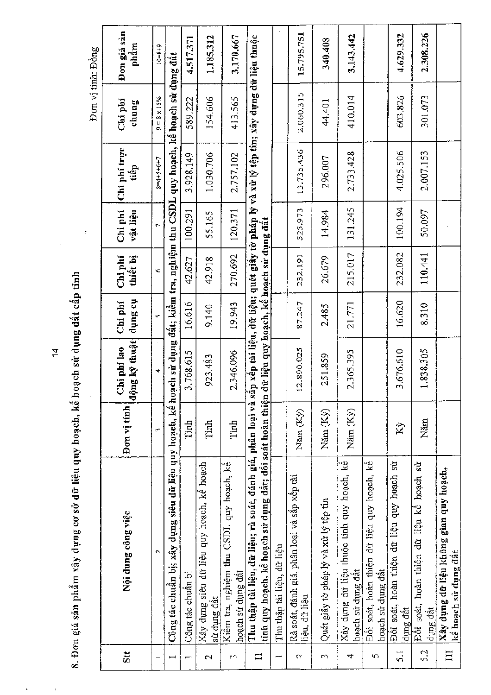8. Đơn giá sản phẩm xây dựng cơ sở dữ liệu quy hoạch, kế hoạch sử dụng đất cấp tỉnh

Đơn giá sản 15.795.751 2.308.226 3.143.442 4.629.332 1.185.312 3.170.667 Thu thập tài liệu, dữ liệu; rà soát, đánh giá, phân loại và sắp xếp tài liệu, dữ liệu; quét giấy tờ pháp lý và xử lý tệp tin; xây dựng dữ liệu thuộc 4.517.371 340.408 phâm  $10 = 8 + 9$ Đơn vị tính: Đồng Công tác chuẩn bị; xây dụng siêu dữ liệu quy hoạch, kể hoạch sử dụng đất; kiềm tra, nghiệm thu CSDL quy hoạch, kế hoạch sử dụng đất 2,060.315 410.014 503.826 301.073 chung 589.222 154,606 413.565  $9 = 8 \times 15\%$ Chi phi 44.401 Chi phí trực 13.735.436 2.733.428 4.025.506 2.007.153 3.928.149 1.030.706 2.757.102 296.007  $8 - 4 + 5 + 6 + 7$ tiếp Chi phi 131.245 120.371 525.973 100.194 50.097 100.291 vật liệu 55.165 14.984 tính quy hoạch, kế hoạch sử dụng đất; đối soát hoàn thiện dữ liệu quy hoạch, kế hoạch sử dụng đất 270.692 215.017 232.082 110.441 232.191 thiết bị 42.627 26.679 Chi phi 42.918 G 16.620 động kỹ thuật dụng cụ 16.616 Chi phí 19.943 21.771 8.310 87.247 2.485 9.140 Chi phi lao 12.890.025 2.346.096 3.676.610 1.838.305 3.768.615 2.365.395 251.859 923.483 Don vi tinh Năm (Kỳ) Năm  $(Ky)$ Năm (Ky) Tinh Năm Tinh Tinh  $Ky$ Xây dựng dữ liệu thuộc tính quy hoạch, kế Xây dựng siêu dữ liệu quy hoạch, kể hoạch Đối soát, hoàn thiện dữ liệu quy hoạch, kê Đối soát, hoàn thiện dữ liệu quy hoạch sử Đối soát, hoàn thiện dữ liệu kể hoạch sử Kiềm tra, nghiệm thu CSDL quy hoạch, kế Xây dựng dữ liệu không gian quy hoạch, Rà soát, đánh giá, phân loại và sắp xếp tài Quét giấy tờ pháp lý và xử lý tệp tin Nội dung công việc Thu thập tài liệu, dữ liệu kế hoạch sử dụng đất hoạch sử dụng đất hoạch sử dụng đất hoạch sử dụng đất Công tác chuẩn bị liệu, dữ liệu sử dụng đất dụng đất dung đất 5.2  $\overline{\mathbf{H}}$  $\overline{5}$ .  $\overline{\mathbf{S}}$ <sub> $\mathbf{t}$ </sub>  $\mathbf{I}$  $\sigma$  $\overline{\mathcal{C}}$ ćή,  $\overline{4}$  $\mathbf{\hat{c}}$ ch.

 $\vec{a}$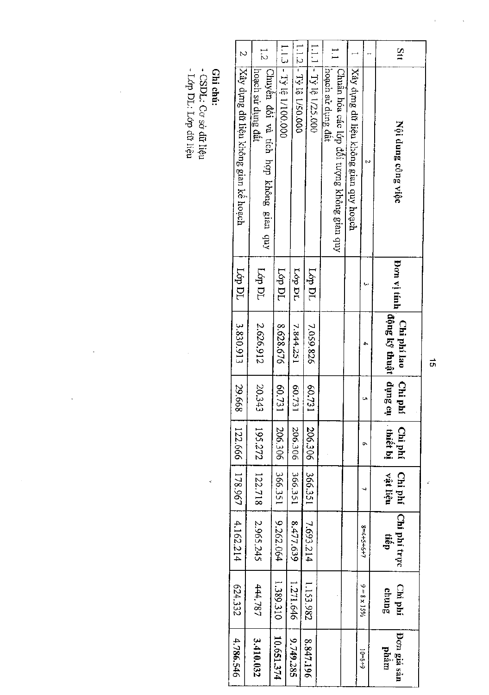**Ghi chú:**<br>- CSDL: Cơ sở đữ liệu<br>- Lớp DL: Lớp đữ liệu

 $\ddot{\cdot}$ 

 $\ddot{\phantom{a}}$ 

l,

 $\vec{\sigma}$ 

Ç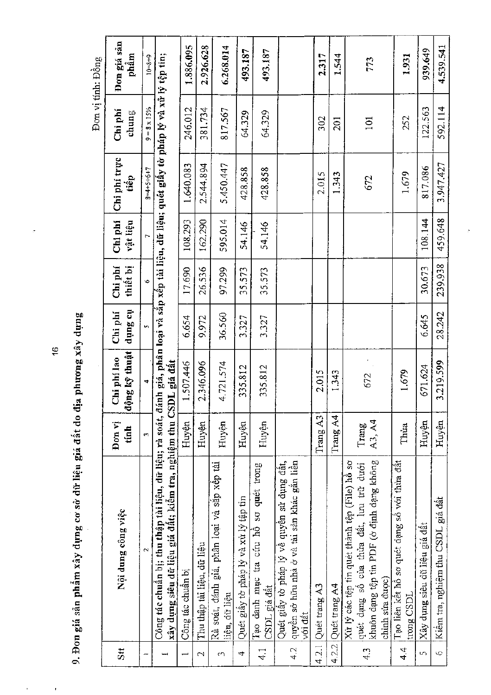|                 |                                                                                                                                                                                                                      |                 |                                  |                      |                     |                     |                      |                                      | Đơn vị tính: Đồng   |
|-----------------|----------------------------------------------------------------------------------------------------------------------------------------------------------------------------------------------------------------------|-----------------|----------------------------------|----------------------|---------------------|---------------------|----------------------|--------------------------------------|---------------------|
| Sit             | Nội dung công việc                                                                                                                                                                                                   | Đơn vị<br>tính  | ộng kỹ thuật<br>Chi phi lao<br>₩ | the Surip<br>Chi phi | thiết bị<br>Chi phi | Chi phi<br>vật liệu | Chi phí trục<br>tiếp | Chi phí<br>${\bf chun}\, \mathbf{g}$ | Đơn giá sân<br>phẩm |
|                 | N                                                                                                                                                                                                                    | ċ,              | 4                                | m                    | $\ddot{\circ}$      |                     | $8 - 4 + 5 + 6 + 7$  | $9 = 8 \times 15\%$                  | $10 = 8 + 9$        |
|                 | Công tác chuẩn bị; thu thập tài liệu, dữ liệu; rà soát, đánh giá, phân loại và sắp xếp tài liệu, dữ liệu; quét giấy tờ pháp lý và xử lý tệp tin;<br>xây dựng siêu dữ liệu giá đất; kiểm tra, nghiệm thụ CSDL giá đất |                 |                                  |                      |                     |                     |                      |                                      |                     |
|                 | Công tác chuẩn bị                                                                                                                                                                                                    | Huyên           | 1.507.446                        | 6.654                | 17.690              | 108,293             | 1.640.083            | 246.012                              | 1.886.095           |
| $\mathbf{\sim}$ | Thu thập tài liệu, dữ liệu                                                                                                                                                                                           | Huyện           | 2.346.096                        | 9.972                | 26.536              | 162.290             | 2.544.894            | 381.734                              | 2.926.628           |
| CO              | Rà soát, đánh giá, phân loại và săp xếp tài<br>liệu, dữ liệu                                                                                                                                                         | Huyện           | 4.721.574                        | 36.560               | 97.299              | 595.014             | 5.450.447            | 817.567                              | 6.268.014           |
| 4               | Quét giây tờ pháp lý và xử lý tập tin                                                                                                                                                                                | Huyện           | 335.812                          | 3.327                | 35.573              | 54.146              | 428.858              | 64.329                               | 493.187             |
| 41              | Tạo danh mục tra cứu hô sơ quét trong<br>CSDL giá dất                                                                                                                                                                | Huyện           | 335.812                          | 3.327                | 35.573              | 54.146              | 428.858              | 64.329                               | 493.187             |
| 4.2             | quyên sở hữu nhà ở và tài sản khác gắn liền<br>Quét giây tờ pháp lý về quyền sử dụng đất,<br>vói đât                                                                                                                 |                 |                                  |                      |                     |                     |                      |                                      |                     |
| 4.2.1           | Quét trang A3                                                                                                                                                                                                        | Trang $A3$      | 2.015                            |                      |                     |                     | 2.015                | 302                                  | 2.317               |
| 4.2.2           | Quét trang A4                                                                                                                                                                                                        | Trang A4        | 1.343                            |                      |                     |                     | 1.343                | 201                                  | 1.544               |
| 4.3             | khuôn dạng tệp tín PDF (ở định dạng không<br>Xử lý các tệp tin quét thành tệp (File) hồ sơ<br>quét dạng số của thừa đất, lưu trữ dưới<br>chinh sửa được)                                                             | A3, A4<br>Trang | 672                              |                      |                     |                     | 672                  | 101                                  | 773                 |
| 4.4             | Tạo liên kết hô sơ quét dạng số với thừa đất<br>trong CSDL                                                                                                                                                           | Thua            | 1.679                            |                      |                     |                     | 1,679                | 252                                  | 1.931               |
| $\sqrt{2}$      | Xây dựng siêu dữ liệu giá đất                                                                                                                                                                                        | Huyện           | 671.624                          | 6.645                | 30.673              | 108.144             | 817.086              | 122.563                              | 939.649             |
| $\circ$         | Kiêm tra, nghiệm thu CSDL giá đất                                                                                                                                                                                    | Huyện           | 3.219.599                        | 28.242               | 239.938             | 459.648             | 3.947.427            | 592.114                              | 4,539,541           |

9. Đơn giá sản phẩm xây dựng cơ sở dữ liệu giá đất do địa phương xây dựng

Î,

 $\ddot{\phantom{0}}$ 

 $\frac{1}{2}$ 

ż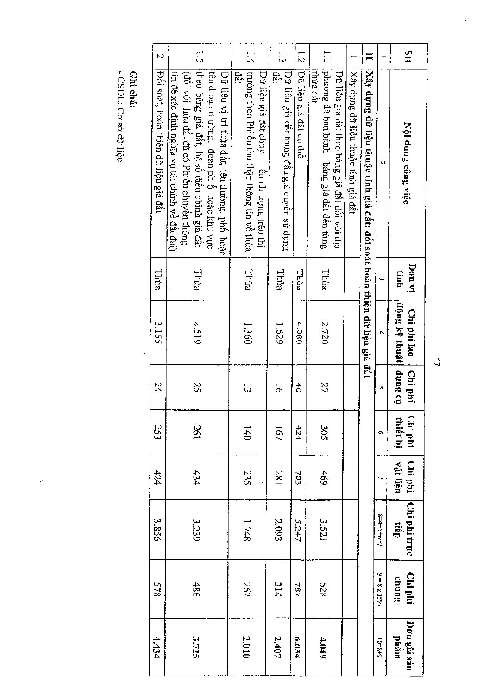| Stt                      | Nội dung công việc                                                                        | iv not<br>tinh | động kỹ thuật<br>Chi phí lao | tio Surip<br>Chi phí   | Chi phí<br>thiết bị | Chi phí<br>vật liệu | Chi phí trực<br>dạn | Chi phí<br>chung |                   |
|--------------------------|-------------------------------------------------------------------------------------------|----------------|------------------------------|------------------------|---------------------|---------------------|---------------------|------------------|-------------------|
|                          | N                                                                                         | ىي             | 4                            | U,                     | Ò,                  | $\overline{ }$      | $8 = 4 + 5 + 6 + 7$ | ۰o               | $= 8 \times 15\%$ |
| $\Box$                   | Xây dựng dữ liệu thuộc tính giá đất; đối soát hoàn thiện dữ liệu giá đất                  |                |                              |                        |                     |                     |                     |                  |                   |
|                          | Xây dựng dữ liệu thuộc tính giá đất                                                       |                |                              |                        |                     |                     |                     |                  |                   |
|                          | Dữ liệu giá đất theo bảng giá đất đối với địa                                             |                |                              |                        |                     |                     |                     |                  |                   |
| $\vdash$                 | phương đã ban hành bảng giá dất đên từng<br>thiza đất                                     | Thia           | 2.720                        | 27                     | 305                 | 469                 | 3.521               | 528              |                   |
| $\vec{c}$                | Dữ liệu giá đất cụ thể                                                                    | Thùa           | 4.080                        | $\ddot{\ddot{\sigma}}$ | 424                 | 703                 | 5.247               | 787              |                   |
| ب<br>دی                  | Dữ liệu giá đất trúng đầu giá quyền sử dụng<br>đât                                        | Thira          | 1.629                        | 5                      | 191                 | 281                 | 2.093               | 314              |                   |
|                          | Dữ liệu giá đất chuy<br>ền nh ượng trên thị                                               |                |                              |                        |                     |                     |                     |                  |                   |
| ].<br>1.4                | trường theo Phiêu thu thập thông tim về thừa<br>iât                                       | Thüa           | 1.360                        | ದ                      | 740                 | 235                 | 1.748               |                  | 262               |
|                          | tên đ<br>oạn đường, đoạn phố hoặc khu vực<br>Dữ liệu vị tri thừa đất, tên đường, phố hoặc |                |                              |                        |                     |                     |                     |                  |                   |
| $\tilde{\mathbf{5}}$     | theo bảng giá đất, hệ số điều chỉnh giá đất<br>(đối với thừa đất đã có Phiêu chuyên thông | Thira          | 2.519                        | 25                     | 261                 | 434                 | 3.239               |                  | 486               |
|                          | tin đề xác định nghĩa vụ tài chính về đât đai)                                            |                |                              |                        |                     |                     |                     |                  |                   |
| $\overline{\mathcal{C}}$ | Đôi soát, hoàn thiện dữ liệu giá đất                                                      | Thüa           | 3.155                        | 24                     | 233                 | 424                 | 3.856               |                  | 578               |
|                          |                                                                                           |                |                              |                        |                     |                     |                     |                  |                   |

Ghi chú:<br>- CSDL: Cơ sở dữ liệu

.

 $\overrightarrow{11}$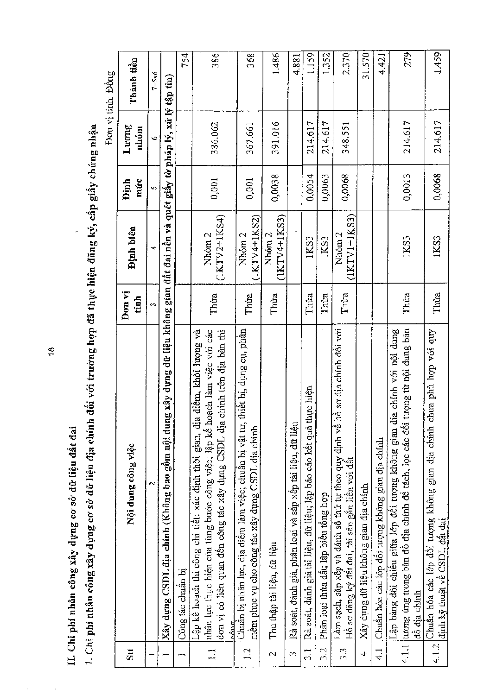II. Chi phi nhân công xây dựng cơ sở dữ liệu đất đai

 $\bar{1}$ 

1. Chi phí nhân công xây dụng cơ sở dữ liệu địa chính đối với trường hợp đã thực hiện đăng ký, cấp giấy chứng nhận

į.

 $\tilde{\mathbf{r}}$ J, Ċ

|                            |                                                                                                                                                                                                                                                   |                |                                     |                    |                | Dơn vị tinh: Đồng |
|----------------------------|---------------------------------------------------------------------------------------------------------------------------------------------------------------------------------------------------------------------------------------------------|----------------|-------------------------------------|--------------------|----------------|-------------------|
| $\overline{\mathbf{S}}$ tt | Nội dung công việc                                                                                                                                                                                                                                | Don vi<br>tinh | Dinh biên                           | múc<br><b>Dinh</b> | Luong<br>nhóm  | Thành tiền        |
|                            | $\sim$                                                                                                                                                                                                                                            | m,             | 4                                   | v,                 | $\ddot{\circ}$ | $7=5x6$           |
| Ĭ                          | g xây dựng dữ liệu không gian đất đai nền và quét giấy tờ pháp lý, xử lý tập tin)<br>Xây dựng CSDL địa chính (Không bao gôm nội dun                                                                                                               |                |                                     |                    |                |                   |
| ⊶                          | Công tác chuẩn bị                                                                                                                                                                                                                                 |                |                                     |                    |                | 754               |
| $\mathbf{L}$               | hàn lực thực hiện của từng bước công việc; lập kê hoạch làm việc với các<br>chính trên địa bàn thi<br>Lập kẻ hoạch thi công chi tiết: xác định thời gian, địa điểm, khối lượng và<br>đơn vị có liên quan đên công tác xây dụng CSDL địa<br>n comm | Thita          | $(1KTV2+1KS4)$<br>Nhóm <sub>2</sub> | 0,001              | 386.062        | 386               |
| $\frac{1}{2}$              | thiêt bị, dụng cụ, phân<br>Chuẩn bị nhân lực, địa điểm làm việc; chuẩn bị vật tư,<br>mêm phục vụ cho công tác xây dựng CSDL địa chính                                                                                                             | Thừa           | $(1KTV4+IKS2)$<br>Nhóm <sub>2</sub> | 0,001              | 367.661        | 368               |
| $\mathbf{\sim}$            | Thu thập tài liệu, dữ liệu                                                                                                                                                                                                                        | Thừa           | $(1KTV4+1KS3)$<br>Nhóm <sub>2</sub> | 0,0038             | 391.016        | 1.486             |
| CO                         | Rà soát, đánh giá, phân loại và sắp xếp tài liệu, dữ liệu                                                                                                                                                                                         |                |                                     |                    |                | 4.881             |
| $\frac{1}{2}$              | Rà soát, đánh giá tài liệu, dữ liệu; lập báo cáo kêt quả thực hiện                                                                                                                                                                                | Thủa           | 1KS3                                | 0,0054             | 214.617        | 1.159             |
| 3.2                        | Phân loại thừa đất; lập biểu tổng hợp                                                                                                                                                                                                             | Thúa           | 1KS3                                | 0,0063             | 214.617        | 1.352             |
| 3.3                        | Làm sạch, sắp xếp và đánh số thứ tự theo quy định về hồ sơ địa chính đối với<br>Hồ sơ đăng ký đât đai, tài sản gắn liên với dât                                                                                                                   | Thúa           | $(IKTV1+IKS3)$<br>Nhóm 2            | 0,0068             | 348.551        | 2.370             |
| $\overline{4}$             | Xây dụng dữ liệu không gian địa chính                                                                                                                                                                                                             |                |                                     |                    |                | 31.570            |
| $\frac{1}{4}$              | Chuẩn hóa các lớp đổi tượng không gian địa chính                                                                                                                                                                                                  |                |                                     |                    |                | 4.421             |
|                            | tượng từ nội dung bản<br>Lập bảng đổi chiều giữa lớp đổi tượng không gian địa chính với nội dung<br>4.1.1 tuong úng trong bản đồ địa chính để tách, lọc các đổi<br>dô dia chinh                                                                   | Thùa           | IKS3                                | 0,0013             | 214.617        | 279               |
|                            | 4.1.2 Chuân hóa các lớp đổi tượng không gian địa chính chưa phù hợp với quy<br>định kỹ thuật về CSDL đất đai                                                                                                                                      | Thúa           | 1KS3                                | 0,0068             | 214.617        | 1.459             |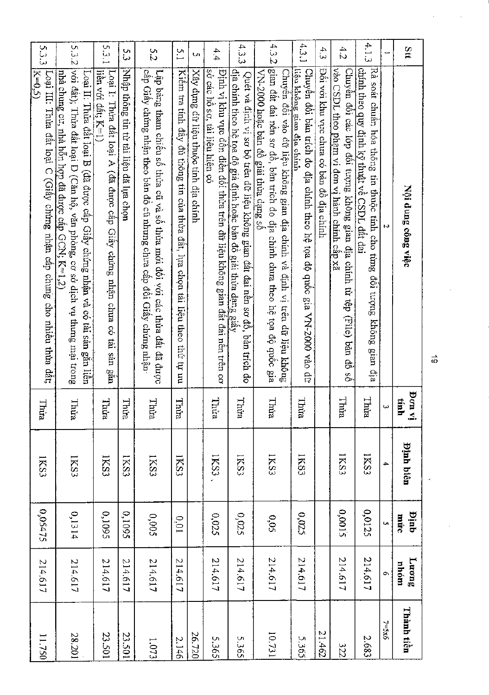| Stt   | Nội dung công việc                                                                                                                                                                                               | iv nod<br>tinh | <b>Pinh biên</b> | dnid<br>múc      | Luong<br>mhóm | Thành tiền |
|-------|------------------------------------------------------------------------------------------------------------------------------------------------------------------------------------------------------------------|----------------|------------------|------------------|---------------|------------|
| ⊷     | N                                                                                                                                                                                                                |                | ₳                | Ü,               | Q,            | $7 = 5x6$  |
| 4,1.3 | Rà soát chuẩn hóa thông tin thuộc tính cho từng đối tượng không gian địa<br>chính theo quy định kỹ thuật vê CSDL, đât đai                                                                                        | Thừa           | <b>IKS3</b>      | 0,0125           | 214.617       | 2.683      |
| 4.2   | vào CSDL theo phạm vi đơn vị hành chính câp xã<br>Chuyên đôi các lớp đôi tượng không gian địa chính từ tệp (File) bản đô số                                                                                      | Thura          | 1KS3             | 0,0015           | 214.617       | 322        |
| 4.3   | Đôi với khu vực chưa có bản đô địa chính                                                                                                                                                                         |                |                  |                  |               | 294.12     |
| 4.3.1 | liệu không gian địa chính<br>Chuyên đôi bản trích đo địa chính theo hệ tọa độ quốc gia VN-2000 vào dữ                                                                                                            | Thừa           | 1KS3             | 0,025            | 214,617       | 5.365      |
| 4.32  | gian đất đai nền sơ đồ, bản trích đo địa chính chưa theo hệ tọa độ quốc gia<br>VN-2000 hoặc bản đồ giải thừa dạng sô<br>Chuyển đối vào dữ liệu không gian địa chính và định vị trên dữ liệu không                | Thừa           | 1KS3             | 0,05             | 214.617       | 16.731     |
| 4.3.3 | địa chính theo hệ tọa độ giả định hoặc bản đô giải thừa dạng giấy<br>Quét và định vị sơ bộ trên đữ liệu không gian đất đai nền sơ đồ, bản trích đo                                                               | Thừa           | <b>IKS3</b>      | 0,025            | 214.617       | 5.365      |
| 4.4   | Định vị khu vực dôn điên đôi thừa trên dữ liệu không gian đất đai nên trên cơ<br>sờ các hô sơ, tài liệu hiện có                                                                                                  | Thira          | <b>IKS3</b>      | 0,025            | 214,617       | 5.365      |
| U)    | Xây dựng dữ liệu thuộc tính địa chính                                                                                                                                                                            |                |                  |                  |               | 26.720     |
| 5.1   | Kiêm tra tính đây đủ thông tin của thừa đât, lựa chọn tải liệu theo thứ tự ưu                                                                                                                                    | Thừa           | IKS3             | 0,01             | 214.617       | 2.146      |
| 5.2   | Lập bảng tham chiếu số thừa cũ và số thừa mói đối với các thừa đất đã được<br>cấp Giấy chứng nhận theo bản đồ cũ nhưng chưa cấp đối Giấy chứng nhận                                                              | Thùa           | 1KS3             | 500 <sup>6</sup> | 214.617       | 1.073      |
| ς 3   | Nhập thông tin từ tải liệu đã lựa chọn                                                                                                                                                                           | Thira          | 1KS3             | 0,1095           | 214.617       | 23.501     |
| 5.3.1 | liên với đất; K=1)<br>Loại I: Thừa đất loại A (đã được câp<br>Giây chứng nhận chưa có tài sản gắn                                                                                                                | Thừa           | IKS3             | 0,1095           | 214.617       | 23.501     |
| 5.3.2 | với đất); Thừa đất loại D (Căn hộ, văn phòng, cơ sở dịch vụ thưng mại trong<br>Loại II: Thừa đất loại B (đã được cấp Giấy chứng nhận và có tài sản gắn liền<br>nhà chung cư, nhà hỗn hợp đã được cấp GCN; K=1,2) | Thùa           | IKS3             | 0,1314           | 214.617       | 28.201     |
| 5.3.3 | Loại III: Thừa đất loại C (Giây chứng nhận cấp chung cho nhiều thừa đất;<br>$K = 0.5$                                                                                                                            | Thira          | IKS3             | 0,05475          | 214.617       | 11.750     |

 $\vec{\circ}$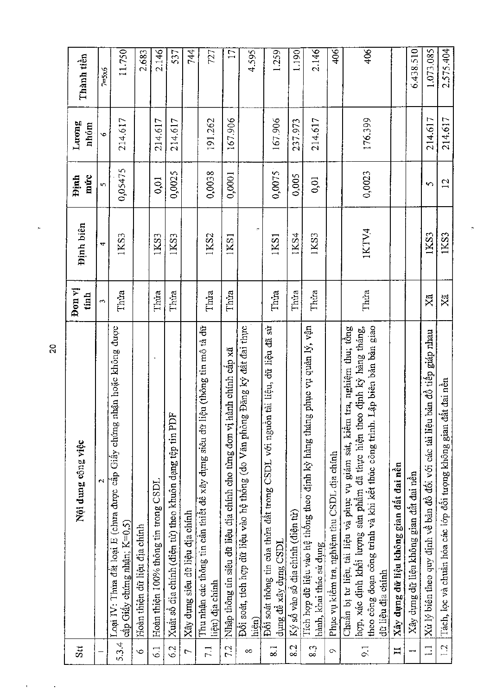| Stt                      | Nội dung công việc                                                                                                                                                                                                                                              | Don vi<br>tinh | <b>Binh</b> biên | múc<br><b>Dinh</b> | Luong<br>nhóm  | Thành tiền       |
|--------------------------|-----------------------------------------------------------------------------------------------------------------------------------------------------------------------------------------------------------------------------------------------------------------|----------------|------------------|--------------------|----------------|------------------|
|                          | $\mathbf{\Omega}$                                                                                                                                                                                                                                               | S,             | 4                | Š,                 | $\ddot{\circ}$ | $7 = 5 \times 6$ |
| 5.3.4                    | Loại IV: Thừa đất loại E (chưa được cấp Giáy chứng nhận hoặc không được<br>cấp Giấy chứng nhận; K=0,5)                                                                                                                                                          | Thừa           | 1KS3             | 0,05475            | 214.617        | 11.750           |
| $\circ$                  | Hoàn thiện dữ liệu địa chính                                                                                                                                                                                                                                    |                |                  |                    |                | 2.683            |
| $\overline{61}$          | Hoàn thiện 100% thông tin trong CSDL                                                                                                                                                                                                                            | Thứa           | 1KS3             | 0,01               | 214.617        | 2.146            |
| 6.2                      | $\mathbf{r}$<br>Xuất số địa chính (điện từ) theo khuôn dạng tệp tin PD                                                                                                                                                                                          | Thira          | 1KS3             | 0,0025             | 214,617        | 537              |
| $\overline{a}$           | Xây dựng siêu đữ liệu địa chính                                                                                                                                                                                                                                 |                |                  |                    |                | 744              |
| $\overline{7.1}$         | ệu (thông tin mô tả dữ<br>Thu nhận các thông tin cần thiết đề xây dựng siêu dữ li<br>liệu) địa chính                                                                                                                                                            | Thira          | 1KS2             | 0,0038             | 191.262        | 727              |
| 72                       | Nhập thông tin siêu dữ liệu địa chính cho từng đơn vị hành chính cấp xã                                                                                                                                                                                         | Thúa           | 1KS1             | 0,0001             | 167.906        | $\overline{17}$  |
| $\infty$                 | Đối soát, tích hợp dữ liệu vào hệ thống (do Văn phòng Đăng ký đất đai thực<br>hiện)                                                                                                                                                                             |                |                  |                    |                | 4.595            |
| $\overline{8}$ i         | Đối soát thông tin của thừa đất trong CSDL với nguồn tài liệu, dũ liệu đã sử<br>dung đê xây dựng CSDL                                                                                                                                                           | Thira          | 1KS1             | 0,0075             | 167.906        | 1.259            |
| 8.2                      | Ký số vào số địa chính (điện từ)                                                                                                                                                                                                                                | Thira          | IKS4             | 0,005              | 237.973        | 1.190            |
| 6.3                      | Tích hợp dữ liệu vào hệ thông theo định kỳ hàng tháng phục vụ quản lý, vận<br>hành, khai thác sử dụng                                                                                                                                                           | Thứa           | 1KS3             | 0,01               | 214.617        | 2.146            |
| $\circ$                  | Phục vụ kiểm tra, nghiệm thu CSDL địa chính                                                                                                                                                                                                                     |                |                  |                    |                | 406              |
| $\overline{9}$ .         | Lập biên bản bàn giao<br>tra, nghiệm thu; tổng<br>hợp, xác định khối lượng sản phẩm đã thực hiện theo định kỳ hàng tháng,<br>Chuẩn bị tư liệu, tài liệu và phục vụ giám sát, kiểm<br>theo công đoạn công trình và khi kết thúc công trình.<br>dữ liệu địa chính | Thửa           | 1KTV4            | 0,0023             | 176.399        | 406              |
| $\mathbf{H}$             | Xây dựng dữ liệu không gian đất đai nền                                                                                                                                                                                                                         |                |                  |                    |                |                  |
|                          | Xây dựng dữ liệu không gian đất đai nền                                                                                                                                                                                                                         |                |                  |                    |                | 6.438.510        |
| $\overline{\phantom{0}}$ | Xử lý biên theo quy định về bản đồ đối với các tài liệu bản đồ tiếp giáp nhau                                                                                                                                                                                   | Xã             | 1KS3             | S                  | 214.617        | 1.073.085        |
| 1.2                      | Tách, lọc và chuẩn hóa các lớp đối tượng không gian đất đai nền                                                                                                                                                                                                 | Xã             | 1KS3             | 12                 | 214.617        | 2.575.404        |

 $\frac{1}{\sqrt{2}}$ 

 $\overline{20}$ 

 $\epsilon$ 

 $\mathcal{A}$ 

 $\frac{1}{\sqrt{2}}$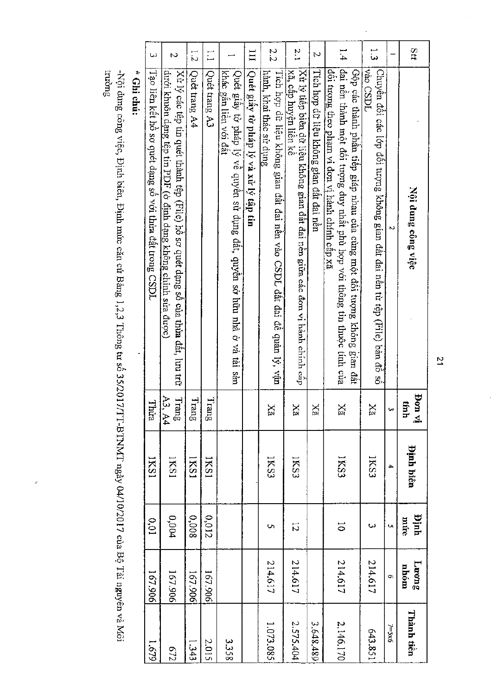| Stt<br>2.2<br>$\frac{2}{1}$<br>1.4<br>ت<br>ب<br>$\overline{\mathbf{H}}$<br>$\mathbb{I}$<br>N<br>¦đai nên thành một đôi tượng duy nhất phù hợp với thông tin thuộc tính của<br>$[X\dot{u}$ lý tiêp biên dữ liệu không gian đầt đai nên giữa các đơn vị hành chính cáp<br>vào CSDL<br>Tích hợp dữ liệu không gian đất đai nên<br>đôi tượng theo phạm vi đơn vị hành chính cấp xã<br>Gộp các thành phần tiếp giáp nhau của cùng một đối tượng không gian đất<br>Chuyển đổi các lớp đối tượng không gian đất đai nền từ tệp (File) bản đô số<br>Quết giây tờ pháp lý và xử lý tập tin<br>xã, câp huyện liên kê<br>hành, khai thác sử dụng<br>khác găn liên với đât<br>Quét giây tờ pháp lý về quyền sử dụng đất, quyền sở hữu nhà ở và tài sàn<br>Tích hợp dữ liệu không gian đất đai nền vào CSDL đất đai để quản lý, vận<br>Nội dung công việc<br>N |
|---------------------------------------------------------------------------------------------------------------------------------------------------------------------------------------------------------------------------------------------------------------------------------------------------------------------------------------------------------------------------------------------------------------------------------------------------------------------------------------------------------------------------------------------------------------------------------------------------------------------------------------------------------------------------------------------------------------------------------------------------------------------------------------------------------------------------------------------------|
| Tạo liên kết hồ sơ quét dạng số với thừa đất trong CSDL<br>Quet trang A4<br>Quét trang A3<br>dưới khuôn dạng tệp tin PDF (ở định dạng không chinh sửa được)<br>Xù lý các têp tin quét thành têp (File) hồ sơ quét dạng số của thừa đất, lưu trữ                                                                                                                                                                                                                                                                                                                                                                                                                                                                                                                                                                                                   |
| nost                                                                                                                                                                                                                                                                                                                                                                                                                                                                                                                                                                                                                                                                                                                                                                                                                                              |
|                                                                                                                                                                                                                                                                                                                                                                                                                                                                                                                                                                                                                                                                                                                                                                                                                                                   |
| <b>Dinh biên</b><br>IKS3<br>1KS3<br>IKSI<br>IKS3<br>IKS3<br>IKS1<br>IKS1<br>4                                                                                                                                                                                                                                                                                                                                                                                                                                                                                                                                                                                                                                                                                                                                                                     |
| IKS1<br>hinh<br>0,004<br>8000<br>0,012<br>$0.01$<br>múte<br>$\overline{\circ}$<br>12<br>ω<br>Ō,<br>U)                                                                                                                                                                                                                                                                                                                                                                                                                                                                                                                                                                                                                                                                                                                                             |
| 214.617<br>214.617<br>214.617<br>214,617<br>$F_{\text{nonfl}}$<br>nhóm<br>167,906<br>167.906<br>167.906<br>167.906<br>Ō,                                                                                                                                                                                                                                                                                                                                                                                                                                                                                                                                                                                                                                                                                                                          |

\* Ghi chú:

-Nội dung công việc, Định biên, Định mức căn cứ Bằng 1,2,3 Thông tư số 35/2017/TT-BTNMT ngày 04/10/2017 của Bộ Tài nguyên và Môi<br>trường

J.

 $\overline{z}$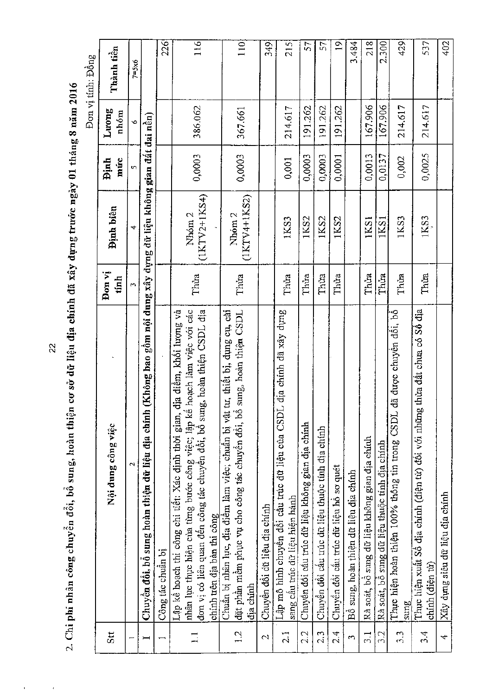2. Chi phí nhân công chuyền đổi, bổ sung, hoàn thiện cơ sở dữ liệu địa chính đã xây dựng trước ngày 01 tháng 8 năm 2016

 $\cdot$ 

|               |                                                                                                                                                                                                                                                                                |                |                                     |             |               | Đơn vị tính: Đồng |
|---------------|--------------------------------------------------------------------------------------------------------------------------------------------------------------------------------------------------------------------------------------------------------------------------------|----------------|-------------------------------------|-------------|---------------|-------------------|
| Stt           | Nội dung công việc                                                                                                                                                                                                                                                             | Đon vi<br>tính | Dinh biên                           | múc<br>Dinh | Luong<br>nhóm | Thành tiền        |
|               | $\mathbf{\Omega}$                                                                                                                                                                                                                                                              | $\sim$         | 4                                   | S,          | $\circ$       | $7 = 5 \times 6$  |
|               | (Không bao gôm nội dung xây dựng dữ liệu không gian đất đai nền)<br>Chuyền đổi, bổ sung hoàn thiện dữ liệu địa chính                                                                                                                                                           |                |                                     |             |               |                   |
|               | Công tác chuân bị                                                                                                                                                                                                                                                              |                |                                     |             |               | 226               |
| $\Box$        | hoạch làm việc với các<br>địa điểm, khối lượng và<br>g, hoàn thiện CSDL địa<br>nhân lực thực hiện của từng bước công việc; lập kế<br>đơn vị có liên quan đến công tác chuyên đôi, bồ sun<br>Lập kê hoạch thi công chi tiết: Xác định thời gian,<br>chính trên địa bàn thi công | Thừa           | $(IXTV2+1K54)$<br>Nhóm <sub>2</sub> | 0,0003      | 386.062       | 116               |
| 12            | tu, thiết bị, dụng cụ, cải<br>sung, hoàn thiện CSDL<br>đặt phân mêm phục vụ cho công tác chuyền đổi, bồ<br>Chuẩn bị nhân lực, địa điểm làm việc; chuẩn bị vật<br>dia chinh                                                                                                     | Thua           | $(1KTV4+1KS2)$<br>Nhóm <sub>2</sub> | 0,0003      | 367.661       | 110               |
| $\sim$        | Chuyên đối dữ liệu địa chính                                                                                                                                                                                                                                                   |                |                                     |             |               | 349               |
| 2.1           | Lập mô hình chuyển đối cầu trúc dữ liệu của CSDL địa chính đã xây dụng<br>sang câu trúc dữ liệu hiện hành                                                                                                                                                                      | Thua           | 1KS3                                | 0,001       | 214.617       | 215               |
| 22            | Chuyên đổi câu trúc dữ liệu không gian địa chính                                                                                                                                                                                                                               | Thủa           | 1KS2                                | 0,0003      | 191.262       | 57                |
| 2.3           | Chuyển đôi câu trúc dữ liệu thuộc tính địa chính                                                                                                                                                                                                                               | Thua           | 1KS <sub>2</sub>                    | 0,0003      | 191.262       | 57                |
| 24            | Chuyên đổi cấu trúc dữ liệu hồ sơ quét                                                                                                                                                                                                                                         | Thừa           | 1KS2                                | 0,0001      | 191.262       | $\overline{a}$    |
| $\mathbf{c}$  | Bồ sung, hoàn thiện dữ liệu địa chính                                                                                                                                                                                                                                          |                |                                     |             |               | 3.484             |
| $\frac{3}{1}$ | Rà soát, bô sung dữ liệu không gian địa chính                                                                                                                                                                                                                                  | Thúa           | 1KS1                                | 0,0013      | 167.906       | 218               |
| 3.2           | Rà soát, bồ sung dữ liệu thuộc tính địa chính                                                                                                                                                                                                                                  | Thúa           | 1KS1                                | 0,0137      | 167.906       | 2.300             |
| 3.3           | đã được chuyên đôi, bồ<br>Thực hiện hoàn thiện 100% thông tin trong CSDL<br>sung                                                                                                                                                                                               | Thừa           | 1KS3                                | 0,002       | 214,617       | 429               |
| 3.4           | thừa đất chưa có Sổ địa<br>Thực hiện xuất Sổ địa chính (điện từ) đối với những<br>$chinh$ (diện tử)                                                                                                                                                                            | Thưa           | 1KS3                                | 0,0025      | 214.617       | 537               |
| 4             | Xây dựng siêu dữ liệu địa chính                                                                                                                                                                                                                                                |                |                                     |             |               | 402               |

 $\bar{\mathbf{r}}$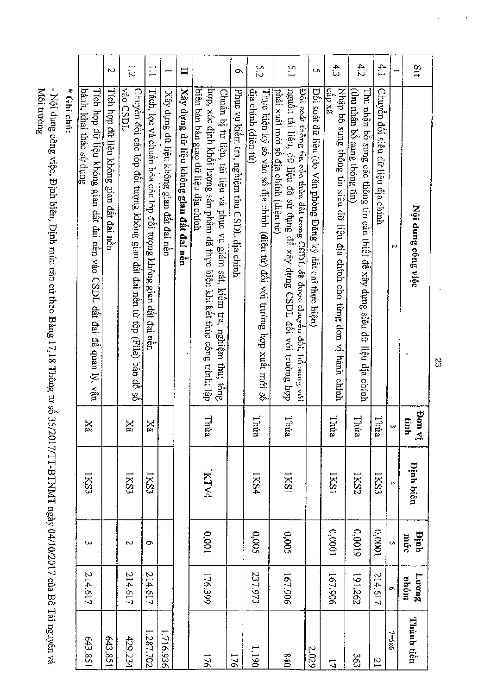| Stt                      | Nội dung công việc                                                                                                                                                                               | pon vi<br>tinh                 | <b>Pinh biên</b>               | hinh<br>múc | Luong<br>monu    | Thành tiền     |
|--------------------------|--------------------------------------------------------------------------------------------------------------------------------------------------------------------------------------------------|--------------------------------|--------------------------------|-------------|------------------|----------------|
|                          | N                                                                                                                                                                                                | ω                              | 4                              | Ō,          | Ō.               | 7=5x6          |
| 4.1                      | Chuyển đối siêu dữ liệu địa chính                                                                                                                                                                | Thira                          | IKS3                           | 10000       | 214.617          | $\overline{1}$ |
| 4.2                      | Thu nhận bổ sung các thông tin cần thiết đề xây dựng siêu dữ liệu địa chính<br>(thu nhận bổ sung thông tin)                                                                                      | Thừa                           | IKS2                           | 610000      | 191.262          | 363            |
| 4.3                      | Nhập bố sung thông tin siêu đữ liệu địa chính cho từng đơn vị hành chính<br>icâp xã                                                                                                              | Thừa                           | IKS1                           | 0,0001      | 167.906          | 17             |
| $\cup$                   | Đôi soát dữ liệu (do Văn phòng Đăng ký đất đai thực hiện)                                                                                                                                        |                                |                                |             |                  | 2.029          |
| 5.1                      | nguồn tài liệu, dữ liệu đã sử dụng để xây dựng CSDL đối với trường hợp<br>Đối soát thông tin của thừa đất trong CSDL đã được chuyển đổi, bỏ sung với<br>phải xuất mới số địa chính (điện từ)     | Thừa                           | <b>IKS1</b>                    | 0,005       | 167.906          | 640            |
| 5.2                      | địa chính (điện từ)<br>Thực hiện ký số vào số địa chính (điện tử) đối với trường hợp xuất mới số                                                                                                 | Thừa                           | 1KS4                           | 0,005       | 237.973          | 1.190          |
| O.                       | Phục vụ kiêm tra, nghiệm thu CSDL địa chính                                                                                                                                                      |                                |                                |             |                  | 176            |
|                          | hợp, xác định khối lượng sản phẩm đã thực hiện khi kết thúc công trình; lập<br>biên bản bàn giao đữ liệu địa chính<br>Chuẩn bị tư liệu, tài liệu và phục vụ giám sát, kiểm tra, nghiệm thu; tổng | Thùa                           | IKTV4                          | 10000       | 176.399          | 176            |
| $\Box$                   | $X$ ây dựng đữ liệu không gian đất đai nền                                                                                                                                                       |                                |                                |             |                  |                |
|                          | Xây dựng dữ liệu không gian đất đai nên                                                                                                                                                          |                                |                                |             |                  | 1.716.936      |
| $\Gamma$                 | Tách, lọc và chuẩn hóa các lớp đối tượng không gian đất đai nền                                                                                                                                  | $\mathbf{X}\mathbf{\tilde{z}}$ | IKS3                           | $\circ$     | 214.617          | 1.287.702      |
| $\overline{z}$           | vào CSDL<br>Chuyên đôi các lớp đôi tượng không gian đất đai nền từ tệp (File) bản đồ số                                                                                                          | Xã                             | IKS3                           | Z           | 214.617          | 429.234        |
| $\overline{\mathcal{C}}$ | Tích hợp dữ liệu không gian đất đai nền                                                                                                                                                          |                                |                                |             |                  | 643.851        |
|                          | hành, khai thác sử dụng<br>Tích hợp dữ liệu không gian đất đai nên vào CSDL đất đai để quản lý, vận                                                                                              | $X_3^*$                        | IKS3                           | ω           | 214.617          | 643.851        |
|                          | * Ghi chú:<br>NSA: Alima obaaa shibo - Historial - Historial oxide oxide - Historial - Historial - Historial - Historial - H<br>1710 Th.                                                         |                                | ישעות הבית הבית המונח להב<br>ľ | コーンコンココ     | .<br>.<br>.<br>. | ,              |

Môi trường - Nọi dung công việc, Định biên, Định mức căn cứ theo Bảng 17,18 Thông tư số 35/2017/TT-BTNMT ngày 04/10/2017 của Bộ Tài nguyên và<br>Vất thuyến về thayên và

S2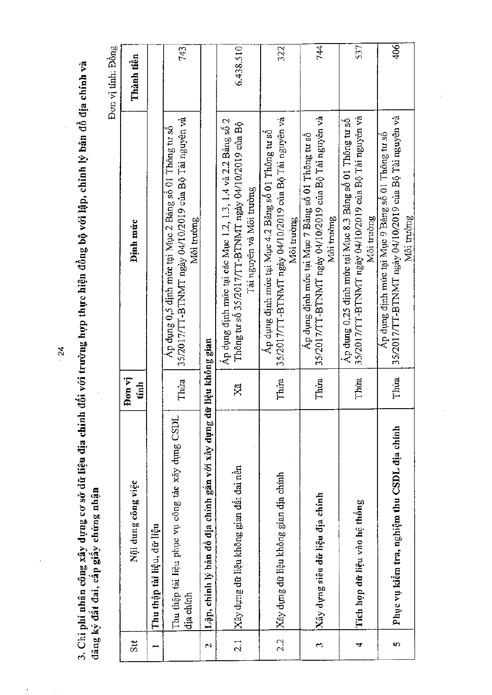3. Chi phí nhân công xây dựng cơ sở dữ liệu địa chính đối với trường hợp thực hiện đồng bộ với lập, chỉnh lý bản đồ địa chính và<br>đăng ký đất đai, cấp giấy chứng nhận

Đơn vị tính: Đồng

| Stt                | Nội dung công việc                                            | Đơn vị<br>$t_{\rm min}$ | Dinh mức                                                                                                                                       | Thành tiền |
|--------------------|---------------------------------------------------------------|-------------------------|------------------------------------------------------------------------------------------------------------------------------------------------|------------|
|                    | Thu thập tài liệu, dữ liệu                                    |                         |                                                                                                                                                |            |
|                    | Thu thập tài liệu phục vụ công tác xây dựng CSDL<br>dia chính | Thira                   | 35/2017/TT-BTNMT ngày 04/10/2019 của Bộ Tài nguyên và<br>Ap dụng 0,5 định mức tại Mục 2 Bảng sô 01 Thông tư số<br>Môi trường                   | 743        |
| $\mathbf{\hat{z}}$ | Lập, chỉnh lý bản đồ địa chính gắn với xây dụng d             | lê liệu không gian      |                                                                                                                                                |            |
| $\overline{2}$ .   | Xây dựng dữ liệu không gian đất đai nền                       | Ä                       | Ap dụng định mức tại các Mục 1.2, 1.3, 1.4 và 2.2 Bảng số 2<br>Thông tư số 35/2017/TT-BTNMT ngày 04/10/2019 của Bộ<br>Tài nguyên và Môi trường | 6,438.510  |
| 2.2                | Xây dựng dữ liệu không gian địa chính                         | Thứa                    | 35/2017/TT-BTNMT ngày 04/10/2019 của Bộ Tài nguyên và<br>Áp dụng định mức tại Mục 4.2 Bảng số 01 Thông tư số<br>Môi trường                     | 322        |
| 69                 | Xây dựng siêu dữ liệu địa chính                               | Thúa                    | 35/2017/TT-BTNMT ngày 04/10/2019 của Bộ Tài nguyên và<br>Áp dụng định mức tại Mục 7 Bảng số 01 Thông tư số<br>Môi trường                       | 744        |
| 4                  | Tích hợp dữ liệu vào hệ thông                                 | Thira                   | 35/2017/TT-BTNMT ngày 04/10/2019 của Bộ Tài nguyên và<br>Áp dụng 0,25 định mức tại Mục 8.3 Bảng số 01 Thông tư số<br>Môi trường                | 537        |
| 5                  | Phục vụ kiêm tra, nghiệm thu CSDL địa chính                   | Thira                   | 35/2017/TT-BTNMT ngày 04/10/2019 của Bộ Tài nguyên và<br>Áp dụng định mức tại Mục 9 Bảng số 01 Thông tư số<br>Môi trường                       | 406        |

 $\frac{24}{ }$ 

l,

 $\ddot{\phantom{a}}$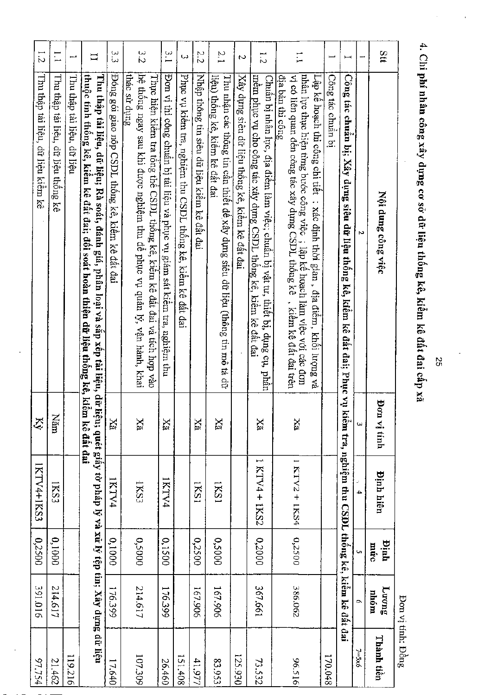$\frac{1}{2}$   $\frac{1}{2}$   $\frac{1}{2}$   $\frac{1}{2}$   $\frac{1}{2}$   $\frac{1}{2}$   $\frac{1}{2}$   $\frac{1}{2}$ م ہے<br>V N r-, l.2 --  $\begin{matrix} \omega \ \omega \end{matrix}$  -  $\begin{matrix} \omega \ \omega \end{matrix}$ ယ $\left| \begin{smallmatrix} \omega \ \omega \end{smallmatrix} \right|$ Ni co  $\Xi$  $\overline{\phantom{0}}$ .2 Thu thap tailieu, der lieu kiem ke ka  $\div$ Thu thập tải liệu, dữ liệu kiêm kê We therefore the Novelong Over Weight a denoted a strength and the poor with a point below that is a selection of the selection of the selection of the selection of the selection of the selection of the selection of the s Dan vi tinh Ķ PZ k  $\mathbb{R}$  |  $\mathbb{R}$  $X\overline{a}$  $\mathbb{R} \left[ \begin{array}{c|c} \mathbb{R} & \mathbb{R} \ \mathbb{R} & \mathbb{R} \end{array} \right] \quad \mathbb{R} \left[ \begin{array}{c|c} \mathbb{R} & \mathbb{R} \ \mathbb{R} & \mathbb{R} \end{array} \right]$ 1 KTV4 + 1KS2 IKTV4+1KS3 1KTV4+1KS3 Dinh Laving Dinh hien mfrc nhom Thanh teen 1KTV4  $\frac{1}{1}$ <br> $\frac{1}{1}$ FALX1 IKS3 N  $\frac{+}{\Box}$  $\Omega$ p  $\mathsf{e}$ 0  $\mathsf{e}\,\vert$  $\mathbf{e}$ 0,1000 oos 0,1000 0,2500  $\frac{1}{250}$ 0,2000 0 O C 2 000S  $\tilde{\mathbf{g}}$  $\tilde{8}$  $\overline{\tilde{\alpha}}$ W 167. 167.906 214.617  $\sim$  $\Xi$ 906<br>C  $\overline{\circ}$  $\overline{ }$  $\begin{array}{c|c}\n\hline\n\cdot & & \\
\hline\n\cdot & & \\
\hline\n\cdot & & \\
\hline\n\cdot & & \\
\hline\n\cdot & & \\
\hline\n\cdot & & \\
\hline\n\cdot & & \\
\hline\n\cdot & & \\
\hline\n\cdot & & \\
\hline\n\cdot & & \\
\hline\n\cdot & & \\
\hline\n\cdot & & \\
\hline\n\cdot & & \\
\hline\n\cdot & & \\
\hline\n\cdot & & \\
\hline\n\cdot & & \\
\hline\n\cdot & & \\
\hline\n\cdot & & \\
\hline\n\cdot & & \\
\hline\n\cdot & & \\
\hline\n\cdot & & \\
\hline\n\cdot & & \\
\hline\n\cdot & & \\
\hline$  $\frac{4}{12}$  $\begin{array}{c|c} 96 \ 125 \ 135 \end{array}$  $10<sub>L</sub>$  $\overline{M}$ 17.640 73.532 **26.460** *vD*  (A  $|53.953|$  $\pm$ NJ  $\frac{1}{905}$  $rac{1}{20}$  $\frac{1}{30}$ in  $\tilde{\mathcal{N}}$  $\frac{66}{20}$  $\frac{216}{1}$  $211$ 

4. Chi phí nhân công xây dựng cơ sở dữ liệu thống kê, kiểm kê đất đai cấp xã

0 a  $\frac{1}{2}$ ov

 $\overline{\mathcal{O}}$ 

Ui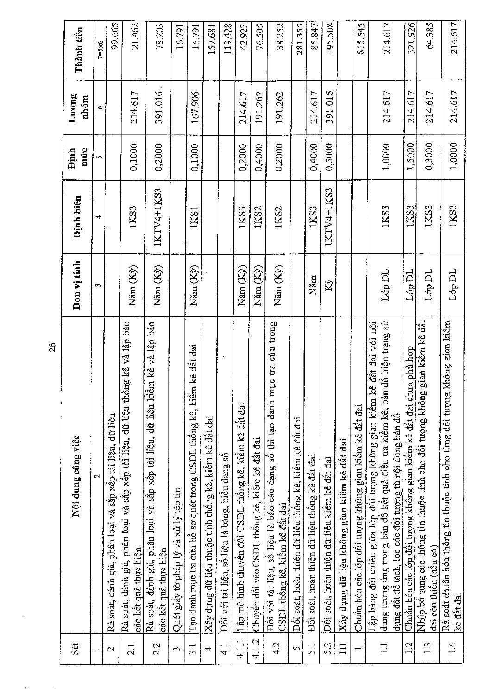| Stt                      | Nội dung công việc                                                                                                                                                                                                  | Don vị tính        | <b>Binh</b> biên | múc<br><b>Binh</b> | Luong<br>nhóm | Thành tiền       |
|--------------------------|---------------------------------------------------------------------------------------------------------------------------------------------------------------------------------------------------------------------|--------------------|------------------|--------------------|---------------|------------------|
| $\overline{\phantom{0}}$ | $\mathbf{\Omega}$                                                                                                                                                                                                   | $\mathbf{r}$       | 4                | S                  | Ó             | $7 = 5 \times 6$ |
| $\mathbf{\Omega}$        | Rà soát, đánh giá, phân loại và sắp xếp tài liệu, dữ liệu                                                                                                                                                           |                    |                  |                    |               | 99.665           |
| $\overline{2.1}$         | Rà soát, đánh giá, phân loại và sắp xếp tài liệu, dữ liệu thống kê và lập báo<br>cáo kêt quả thực hiện                                                                                                              | Năm (Ky)           | 1KS3             | 0,1000             | 214.617       | 21.462           |
| 2.2                      | Rà soát, đánh giá, phân loại và sắp xếp tài liệu, dữ liệu kiểm kê và lập báo<br>cáo kết quả thực hiện                                                                                                               | Năm (Ky)           | 1KTV4+1KS3       | 0,2000             | 391.016       | 78.203           |
| m                        | Quét giây tờ pháp lý và xử lý tệp tin                                                                                                                                                                               |                    |                  |                    |               | 16.791           |
| $\frac{1}{2}$            | Tạo danh mục tra cứu hồ sơ quét trong CSDL thống kê, kiểm kê đất đai                                                                                                                                                | Năm (Kỳ)           | IKS1             | 0,1000             | 167.906       | 16.791           |
| $\overline{ }$           | Xây dựng dữ liệu thuộc tính thống kê, kiểm kê đất đai                                                                                                                                                               |                    |                  |                    |               | 157.681          |
| $\frac{1}{4}$            | Đối với tài liệu, số liệu là bảng, biểu dạng số                                                                                                                                                                     |                    |                  |                    |               | 119.428          |
| 4.1.1                    | Lập mô hình chuyên đôi CSDL thông kê, kiếm kê đất đai                                                                                                                                                               | $N$ äm $(Ky)$      | 1KS3             | 0,2000             | 214,617       | 42.923           |
| 4.1.2                    | Chuyên đối vào CSDL thống kê, kiểm kê đất đai                                                                                                                                                                       | Năm (Ky)           | IKS2             | 0,4000             | 191.262       | 76.505           |
| 4.2                      | uc tra cúu trong<br>Đối với tài liệu, số liệu là báo cáo dạng số thì tạo danh m<br>CSDL thống kê, kiềm kê đất đai                                                                                                   | Näm (Ky)           | 1KS2             | 0,2000             | 191.262       | 38.252           |
| 5                        | Đối soát, hoàn thiện đữ liệu thống kê, kiểm kê đất đai                                                                                                                                                              |                    |                  |                    |               | 281.355          |
| $\overline{5}$ .         | Đối soát, hoàn thiện dữ liệu thống kê đất đai                                                                                                                                                                       | Năm                | 1KS3             | 0,4000             | 214.617       | 85.847           |
| 52                       | Đối soát, hoàn thiện dữ tiêu kiếm kê đất đai                                                                                                                                                                        | $\hat{\mathbf{X}}$ | IKTV4+1KS3       | 0,5000             | 391.016       | 195.508          |
| $\overline{11}$          | Xây dựng dữ liệu không gian kiểm kê đất đai                                                                                                                                                                         |                    |                  |                    |               |                  |
|                          | Chuẩn hóa các lớp đối tượng không gian kiểm kê đất đai                                                                                                                                                              |                    |                  |                    |               | 815.545          |
| $\Box$                   | đồ hiện trạng sử<br>Lập bảng đối chiếu giữa lớp đối tượng không gian kiếm kê đất đai với nội<br>dung tương ứng trong bản đồ kết quả điều tra kiểm kê, bản<br>dụng đất để tách, lọc các đối tượng từ nội dung bản đồ | Lớp DL             | 1KS3             | 1,0000             | 214.617       | 214.617          |
| $\overline{12}$          | Chuẩn hóa các lớp đổi tượng không gian kiểm kê đất đai chưa phù hợp                                                                                                                                                 | LópDL              | IKS3             | 1,5000             | 214.617       | 321,926          |
| 1.3                      | gian kiêm kê đất<br>Nhập bổ sung các thông tin thuộc tính cho đổi tượng không<br>dai còn thiêu (nêu có)                                                                                                             | Lớp DL             | IKS3             | 0,3000             | 214.617       | 64.385           |
| 1.4                      | không gian kiểm<br>Rà soát chuẩn hóa thông tin thuộc tính cho từng đối tượng<br>kê dât dai                                                                                                                          | Lớp DL             | 1KS3             | 1,0000             | 214.617       | 214.617          |

 $26$ 

 $\hat{\mathbf{r}}$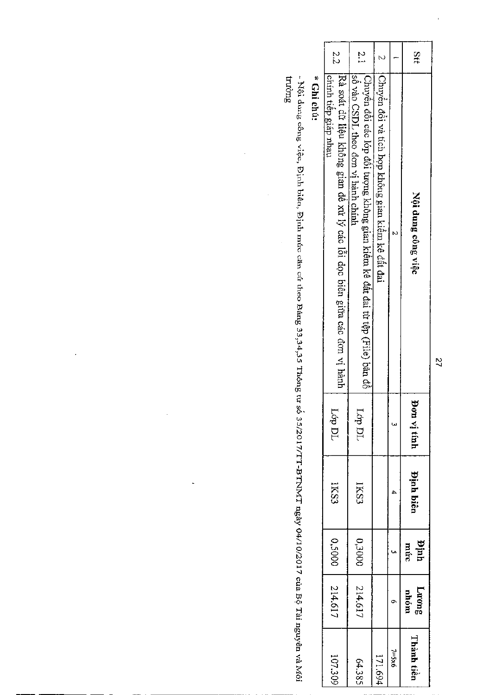| Ştt | Nội dung công việc                                                                                             | Φ<br>on vị tính | <b>Pinh biên</b> | Định<br>mức | Luong<br>nhóm | Thành tiền       |
|-----|----------------------------------------------------------------------------------------------------------------|-----------------|------------------|-------------|---------------|------------------|
|     |                                                                                                                |                 |                  |             |               | $7 = 5 \times 6$ |
|     | Chuyển đổi và tích hợp không gian kiểm kê đất đai                                                              |                 |                  |             |               | 171.694          |
| Σ.  | so CSDL theo don vi hanh chính<br>Chuyển đổi các lớp đối tượng không gian kiểm kê đất đai từ tệp (File) bản đồ | Lớp DL          | IKS3             | 000£0       | 214.617       | 64.385           |
| 22  | Pà soát dữ liệu không gian đề xử lý các lỗi dọc biên giữa các đơn vị hành<br>chính tiếp giáp nhau              | Lớp DL          | IKS3             | 00050       | 214.617       | 107.309          |
|     | * Ghi chú:                                                                                                     |                 |                  |             |               |                  |
|     | $\ddot{\dot{\ } }$                                                                                             |                 |                  |             |               |                  |

 $g$ truções  $\alpha$ - Nội dung công việc, Định biên, Định mức căn cứ theo Bảng 33,34,35 Thông tư số 35/2017/TT-BTNMT ngày 04/10/2017 của Bộ Tài nguyên và Môi

 $\overline{a}$ 

l,

l,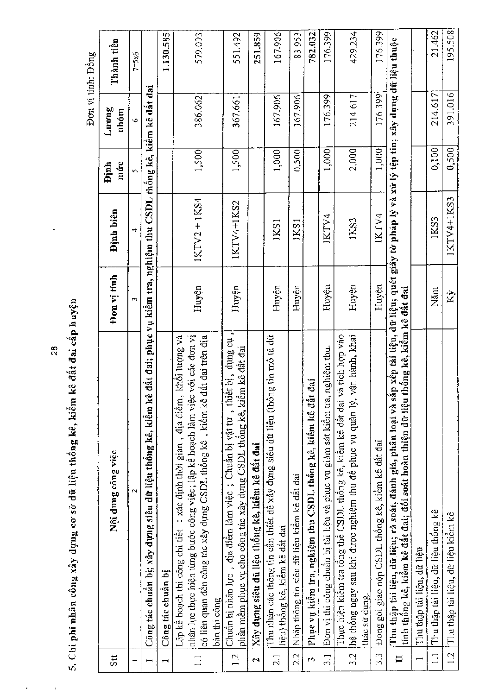5. Chi phí nhân công xây dựng cơ sở dữ liệu thống kê, kiểm kê đất đai cấp huyện

 $\bar{ }$ 

 $\bar{1}$ 

Đơn vị tính: Đồng

| Stt                      | Nội dung công việc                                                                                                                                                                                                                                            | Đơn vị tính        | Định biên                                                                              | múrc<br><b>Dinh</b> | Luong<br>nhóm  | Thành tiền       |
|--------------------------|---------------------------------------------------------------------------------------------------------------------------------------------------------------------------------------------------------------------------------------------------------------|--------------------|----------------------------------------------------------------------------------------|---------------------|----------------|------------------|
|                          | $\mathfrak{a}$                                                                                                                                                                                                                                                | m                  | 4                                                                                      | īν,                 | $\ddot{\circ}$ | $7 = 5 \times 6$ |
| $\overline{}$            | Công tác chuẩn bị; xây dựng siêu dữ liệu thống kê, kiểm kê                                                                                                                                                                                                    |                    | đất đai; phục vụ kiểm tra, nghiệm thu CSDL thống kê, kiểm kê đất đai                   |                     |                |                  |
| ī                        | Công tác chuân bị                                                                                                                                                                                                                                             |                    |                                                                                        |                     |                | 1.130.585        |
| $\Box$                   | nhân lực thực hiện từng bước công việc; lập kê hoạch làm việc với các đơn vị<br>khôi lượng và<br>có liên quan đên công tác xây dụng CSDL thông kê, kiềm kê đất đai trên địa<br>Lập kê hoạch thi công chi tiết : xác định thời gian, địa điểm,<br>bàn thi công | Huyện              | $IKTV2 + 1KS4$                                                                         | 1,500               | 386.062        | 579.093          |
| 1.2                      | the surip<br>phân mêm phục vụ cho công tác xây dựng CSDL thống kê, kiểm kê đất đai<br>Chuân hị nhân lục, địa điểm làm việc; Chuẩn bị vật tư, thiết bị,                                                                                                        | Huyện              | 1KTV4+1KS2                                                                             | 1,500               | 367.661        | 551.492          |
| $\mathbf{\hat{z}}$       | Xây dựng siêu dữ liệu thống kê, kiểm kê đất đai                                                                                                                                                                                                               |                    |                                                                                        |                     |                | 251.859          |
| $\overline{2.1}$         | g tin mô tả dữ<br>Thu nhận các thông tin cần thiết đề xây dựng siêu dữ liệu (thôn<br>liệu) thông kê, kiêm kê đất đai                                                                                                                                          | Huyện              | 1KS1                                                                                   | 1,000               | 167.906        | 167.906          |
| 22                       | Nhập thông tin siêu dữ liệu kiểm kê đất đai                                                                                                                                                                                                                   | Huyện              | 1KS1                                                                                   | 0,500               | 167.906        | 83.953           |
| $\mathbf{r}$             | đai<br>Pline vụ kiêm tra, nghiệm thu CSDL thông kê, kiếm kê đất                                                                                                                                                                                               |                    |                                                                                        |                     |                | 782.032          |
| $\frac{1}{2}$            | nghiệm thu.<br>Đơn vị thi công chuẩn bị tài liệu và phục vụ giám sát kiểm tra,                                                                                                                                                                                | Huyện              | IKTV4                                                                                  | 1,000               | 176.399        | 176.399          |
| $\overline{3}$ .         | a tich hợp vào<br>vận hành, khai<br>Thực hiện kiêm tra tổng thể CSDL thông kê, kiêm kê đất đại v<br>hệ thống ngay sau khi được nghiệm thu đề phục vụ quân lý,<br>thác sử dụng.                                                                                | Huyện              | 1KS3                                                                                   | 2,000               | 214.617        | 429.234          |
| s.<br>S                  | Đóng gói giao nộp CSDL thống kê, kiềm kê đất đai                                                                                                                                                                                                              | Huyện              | IKTV4                                                                                  | 1,000               | 176.399        | 176.399          |
| $\Xi$                    | thông kê, kiêm kê dât dai<br>Thu thập tài liệu, dữ liệu; rà soát, đánh giá, phân loại và sắ<br>tính thống kê, kiểm kê đất đại; đối soát hoàn thiện dữ liệu                                                                                                    |                    | n xếp tài liệu, dữ liệu; quét giây tờ pháp lý và xử lý tệp tin; xây dụng dữ liệu thuộc |                     |                |                  |
| $\overline{\phantom{0}}$ | Thu thập tài liệu, dữ liệu                                                                                                                                                                                                                                    |                    |                                                                                        |                     |                |                  |
| $\overline{\mathbf{r}}$  | Thu thập tài liệu, dữ liệu thông kê                                                                                                                                                                                                                           | Năm                | 1KS3                                                                                   | 0,100               | 214.617        | 21.462           |
| 1.2                      | Thu thập tài liệu, dữ liệu kiêm kê                                                                                                                                                                                                                            | $\hat{\mathbf{x}}$ | 1KTV4+1KS3                                                                             | 0,500               | 391.016        | 195.508          |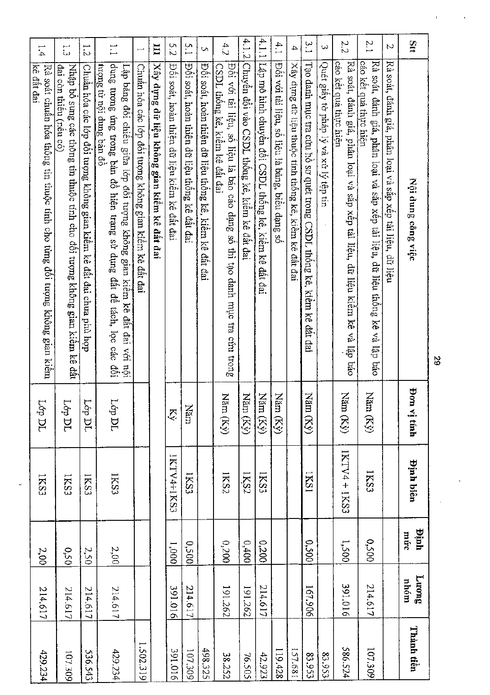| Stt              | Nội dung công việc                                                                                                                                                                 | $\mathbf{root}$<br>$\vec{v}$ tính | <b>Dinh biên</b> | Huju<br>múc | <b>Fuong</b><br>moha | Thành tiền |
|------------------|------------------------------------------------------------------------------------------------------------------------------------------------------------------------------------|-----------------------------------|------------------|-------------|----------------------|------------|
| N                | Rà soát, đánh giá, phân loại và sắp xếp tài liệu, dữ liệu                                                                                                                          |                                   |                  |             |                      |            |
| $\overline{2}$ . | cáo kêt quả thực hiện<br>Rå<br>soát, đánh giá, phân loại và sắp xếp tải liện, dữ liệu thống kê và lập báo                                                                          | Năm $\left(\mathrm{K}\right)$     | 1KS3             | 0050        | 214.617              | 107.309    |
| 22               | cáo kết quả thực hiện<br>Rà soát, đánh giá, phân loại và sắp xếp tài liệu, dữ liệu kiểm kê<br>và lập báo                                                                           | Năm $(Ky)$                        | IKTV4 + IKS3     | 1,500       | 391.016              | 586.524    |
| ω                | Quét giây tờ pháp lý và xử lý tệp tin                                                                                                                                              |                                   |                  |             |                      | 83.953     |
| 3.1              | Tạo danh mục tra cứu hồ sơ quét trong CSDL thống kê, kiểm kê đất đai                                                                                                               | Ñã<br>$\ln (Ky)$                  | 1821             | 0,500       | 167.906              | 83.953     |
| 4                | Xây dựng dữ liệu thuộc tính thống kê, kiểm kê đắt đai                                                                                                                              |                                   |                  |             |                      | 189.681    |
| 4.1              | Đôi với tài liệu, số liệu là bảng, biêu dạng số                                                                                                                                    | Χă<br>im (Kỷ)                     |                  |             |                      | 119.428    |
| 4.1.1            | Lập mô hình chuyến đối CSDL thống kê, kiểm kê<br>đất đai                                                                                                                           | Năm $(Ky)$                        | IKS3             | 00200       | 214.617              | 42.923     |
| 4.1.2            | Chuyển đối vào CSDL thống kê, kiêm kê đất đai                                                                                                                                      | Năm $(Ky)$                        | IKS2             | 0.0400      | 191.262              | 76.505     |
| 4.2              | Đôi với tài liệu, số liệu là báo cáo dạng số thì tạo danh mục tra cứu trong<br><u>CSDL thống k</u> ê, kiểm kê đất đai                                                              | Năm $(Ky)$                        | IKS2             | 00200       | 191.262              | 38.252     |
| S                | Đối soát, hoàn thiện dữ liệu thống kê, kiểm kê đất đai                                                                                                                             |                                   |                  |             |                      | 498.325    |
| 5.1              | Đối soát, hoàn thiện dữ liệu thông kê đất đai                                                                                                                                      | Năm                               | IKS3             | 0.500       | 214.617              | 107.309    |
| 5.2              | Đối soát, hoàn thiện dữ liệu kiểm kê đất đai                                                                                                                                       | Ķý                                | 1KTV4+1KS3       | 0001        | 3910.016             | 3910.165   |
| H                | Xây dựng dữ liệu không gian kiểm kê đất đai                                                                                                                                        |                                   |                  |             |                      |            |
| فسح              | Chuẩn hóa các lớp đối tượng không gian kiểm kê đất đai                                                                                                                             |                                   |                  |             |                      | 1.502.319  |
| $\vdots$         | dung tương ứng trong bản đồ hiện trạng sử dụng đất đề tách, lọc các<br>tượng từ nội dung bản đồ<br>Lập bảng đôi chiêu giữa lớp đôi tượng không gian kiêm kê đất đai với nội<br>töi | Lớp DL                            | IKS3             | 2,00        | 214.617              | 429.234    |
| $\frac{1}{2}$    | Chuẩn hóa các lớp đối tuợng không gian kiềm kê đất đai chưa phù hợp                                                                                                                | <b>Lóp DL</b>                     | IKS3             | 2.50        | 214.617              | 536.543    |
| م<br>سا          | Nhập bỏ sung các thông tin thuộc tính cho đối tượng không gian kiêm kê đất<br>đai còn thiêu (nêu có)                                                                               | <b>Lép DL</b>                     | IKS3             | 0.50        | 214.617              | 107.309    |
| 1.4              | kê đầt đai<br>Rà soát chuân hóa thông tin thuộc tính cho tùng đối tượng không gian kiêm                                                                                            | TCI do                            | IKS3             | 2,00        | 214.617              | 429.234    |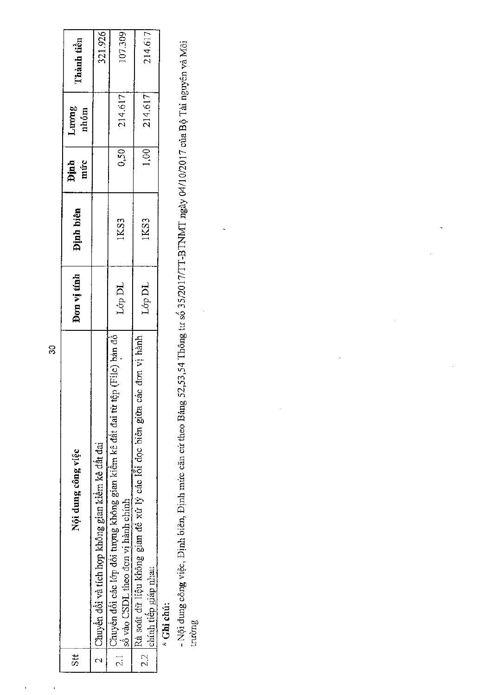| $\mathfrak{z}$ | Nội dung công việc                                                                                                 | Don vi tính      | <b>Dinh biên</b> | Định<br>mức | Luong<br>nhóm | Thành tiền |  |
|----------------|--------------------------------------------------------------------------------------------------------------------|------------------|------------------|-------------|---------------|------------|--|
|                | Chuyển đổi và tích hợp không gian kiểm kê đất đai                                                                  |                  |                  |             |               | 321.926    |  |
|                | Chuyền đối các lớp đối tượng không gian kiềm kê đất đai từ tệp (File) bản đô<br>số vào CSDL theo đơn vị hành chính | Lớp DL           | 1KS3             | 0,50        | 214.617       | 107.309    |  |
|                | Rà soát dữ liệu không gian đề xử lý các lỗi dọc biên giữa các đơn vị hành<br>chính tiếp giáp nhau                  | $\mbox{Lop\,DL}$ | 1KS3             | 1,00        | 214,617       | 214.617    |  |
|                |                                                                                                                    |                  |                  |             |               |            |  |

\* Ghi chú:

- Nội dung công việc, Định biên, Định mức căn cứ theo Bảng 52,53,54 Thông tư số 35/2017/TT-BTNMT ngày 04/10/2017 của Bộ Tài nguyên và Môi<br>trường

 $\overline{\mathbf{3}}$ 

J,

J.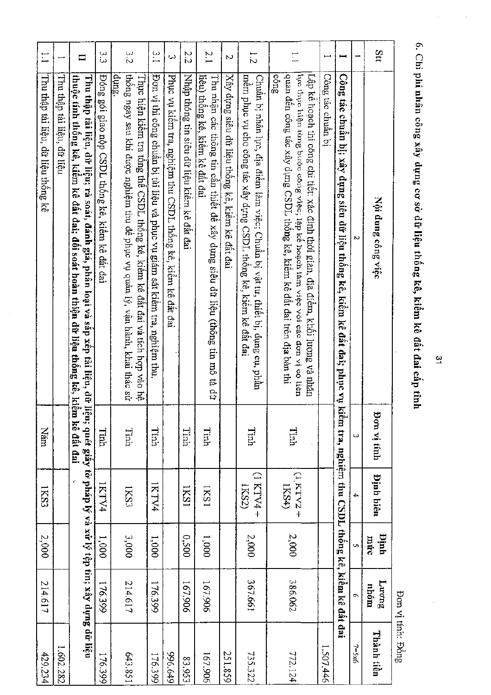Stt 3.2 α<br>Ω  $\frac{c}{1}$ 2.2  $2.1$  $\overline{\phantom{0}}$  $\Box$  $\frac{1}{2}$  $\ddot{\phantom{0}}$  $\overline{\mathcal{L}}$  $\mathbf{I}$  $\frac{1}{2}$ ocng Công tác chuân bị |Công tác chuẩn bị; xây dựng siêu dữ liệu thống kê, kiểm kê đất đại; phục vụ kiểm tra, nghiệm thu CSDL thống kê, kiếm kê đất đai Póng gói giao nộp CSDL thông kê, kiêm kê đắt đai Thực hiện kiêm tra tông thế CSDL thống kê, kiểm kê đất đai và tích hợp vào hệ<br>|thống ngay sau khi được nghiệm thu đề phục vụ quản lý, vận hành, khai thác sử |Đơn vị thi công chuân bị tài liệu và phục vụ giám sát kiêm tra, nghiệm thu |quan đên công tác xây dựng CSDL thông kê, kiêm kê đất đai trên địa bàn thi |hực thực hiện từng bước công việc; lập kẻ hoạch làm việc với các đơn vị có liên Thu thập tài liệu, dữ liệu thông kê thuộc tính thống kê, kiểm kê đất đai; đối soát hoàn thiện dữ liệu thống kê, kiểm kê đất đai Thu thập tài liệu, dữ liệu; rà soát, đánh giá, phân loại và sắp xêp tài liệu, dữ liệu; quét giấy tờ pháp lý và xử lý tệp tin; xây dụng dữ liệu Phục vụ kiêm tra, nghiệm thu CSDL thông kê, kiêm kê đất đai |Nhập thông tin siêu đữ liệu kiểm kê đắt đai liệu) thống kê, kiếm kê đất đai Xây dựng siêu dữ liệu thống kê, kiềm kê đất đai mêm phục vụ cho công tác xây dựng CSDL thông kê, kiêm kê đầt đai Chuẩn bị nhân lực, địa điểm làm việc; Chuẩn bị vật tư, thiết bị, dụng cụ, phần Thu thập tài liệu, dữ liệu Thu nhận các thông tin cần thiết đề xây dựng siêu dữ liệu (thông tin mô tả dữ Lập kê hoạch thi công chi tiết: xác định thời gian, địa điểm, khối lượng và nhân Nội dung công việc **Bon vi tinh** Tinh Tinh Tinh Tinh Năm Tinh Tinh Timh  $+$   $\uparrow$   $\uparrow$   $\uparrow$   $\uparrow$   $\uparrow$   $\uparrow$  $+$  2 $\Lambda$  $J X'$ I) **Dinh biên**  $\textsf{IKSA}\texttt{)}$ IKS3 1KTV4 IKTV4 **ISSI IKS2)** IKS3 **ISSI** 2,000 0,500  $1,000$ 2,000  $2,000$ hinh 3,000 1,000 mirc 1,000 **BuonT** 214.617 367.661 386.062 214.617 167.906 167.906 176.399 176.399 nhóm Thành tiền  $7 = 5x6$ 1.602.282 1.507.446 429.234 176.399 643.851 6t9'966 251.859 735.322 772.124 176.399 167.906 83.953

6. Chi phí nhân công xây dựng cơ sở đữ liệu thống kê, kiểm kê đất đai cấp tỉnh

Bon vị tính: Đồng

یہ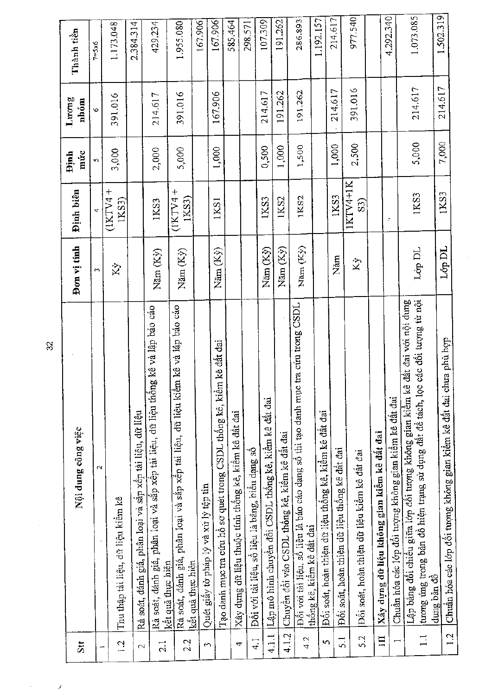| Stt                      | Nội dung công việc                                                                                                                                                     | Đơn vị tính    | <b>Binh</b> biên                   | múc<br><b>Dinh</b> | Luong<br>nhóm | Thành tiền |
|--------------------------|------------------------------------------------------------------------------------------------------------------------------------------------------------------------|----------------|------------------------------------|--------------------|---------------|------------|
|                          | $\sim$                                                                                                                                                                 | $\sim$         |                                    | 5                  | Ó             | $7 = 5x6$  |
| $\frac{1}{2}$            | Thu thập tài liệu, dữ liệu kiểm kê                                                                                                                                     | Χý             | $\pm$<br>(11)<br>IXS3              | 3,000              | 391.016       | 1.173.048  |
| $\mathbb{C}^1$           | Rà soát, đánh giá, phân loại và sắp xếp tài liệu, dữ liệu                                                                                                              |                |                                    |                    |               | 2.384.314  |
| $\vec{c}$                | Rà soát, đánh giá, phân loại và sắp xếp tài liệu, dữ liệu thống kê và lập báo cáo                                                                                      | Năm (Ky)       | 1KS3                               | 2,000              | 214.617       | 429.234    |
| 2.2                      | Rà soát, đánh giá, phân loại và sắp xếp tài liệu, dữ liệu kiềm kê và lập báo cáo<br>kết quả thực hiện<br>kết quả thực hiện                                             | Năm (Ky)       | $\ddag$<br>$(1K\text{TV4}$<br>IXS3 | 5,000              | 391.016       | 1.955.080  |
| $\sim$                   | Quét giấy tờ pháp lý và xử lý tệp tin                                                                                                                                  |                |                                    |                    |               | 167.906    |
|                          | Tạo danh mục tra cứu hồ sơ quét trong CSDL thống kê, kiểm kê đất đai                                                                                                   | Năm (Kỳ)       | 1KS1                               | 1,000              | 167.906       | 167.906    |
| 4                        | Xây dụng dữ liệu thuộc tính thống kê, kiểm kê đất đai                                                                                                                  |                |                                    |                    |               | 585.464    |
| $\frac{1}{4}$            | Đối với tài liệu, số liệu là bảng, biểu dạng số                                                                                                                        |                |                                    |                    |               | 298.571    |
| 4.1.1                    | Lập mô hình chuyền đổi CSDL thống kê, kiểm kê đất đai                                                                                                                  | Năm (Kỳ)       | 1KS3                               | 0,500              | 214.617       | 107.309    |
| 4.1.2                    | Chuyền đối vào CSDL thống kê, kiểm kê đất đai                                                                                                                          | Năm (Kỳ)       | 1KS2                               | 1,000              | 191.262       | 191.262    |
| 4.2                      | tra cúu trong CSDL<br>Đối với tài liệu, số liệu là báo cáo dạng số thì tạo danh mục<br>thông kê, kiêm kê đất đai                                                       | Năm (Kỳ)       | 1KS2                               | 1,500              | 191.262       | 286.893    |
| S                        | Đối soát, hoàn thiện dữ liệu thống kê, kiểm kê đất đai                                                                                                                 |                |                                    |                    |               | 1.192.157  |
| $\overline{51}$          | Đối soát, hoàn thiện dữ liệu thống kê đất đai                                                                                                                          | Năm            | IKS3                               | 1,000              | 214.617       | 214.617    |
| 5.2                      | Đối soát, hoàn thiện dữ liệu kiểm kê đất đai                                                                                                                           | Kỳ             | IKTV4+IK<br>යි                     | 2,500              | 391.016       | 977.540    |
| $\Xi$                    | Xây dựng dữ liệu không gian kiểm kê đất đai                                                                                                                            |                |                                    |                    |               |            |
| $\overline{\phantom{0}}$ | Chuẩn hóa các lớp đối tượng không gian kiểm kê đất đai                                                                                                                 |                | F                                  |                    |               | 4.292.340  |
| $\mathbb{I}$             | đất đai với nội dung<br>các đối tượng từ nội<br>Lập bảng đối chiều giữa lớp đối tượng không gian kiềm kê<br>tương úng trong bản đồ hiện trạng sử dụng đất để tách, lọc | ${\rm Lop}$ DL | 1KS3                               | 5,000              | 214.617       | 1.073.085  |
| 1.2                      | Chuẩn hóa các lớp đổi tượng không gian kiểm kê đất đai chưa phù hợp<br>dung bản đồ                                                                                     | Lớp DL         | 1KS3                               | 7,000              | 214.617       | 1,502.319  |

 $\overline{\mathfrak{A}}$ 

Ŷ.

 $\bar{\ell}$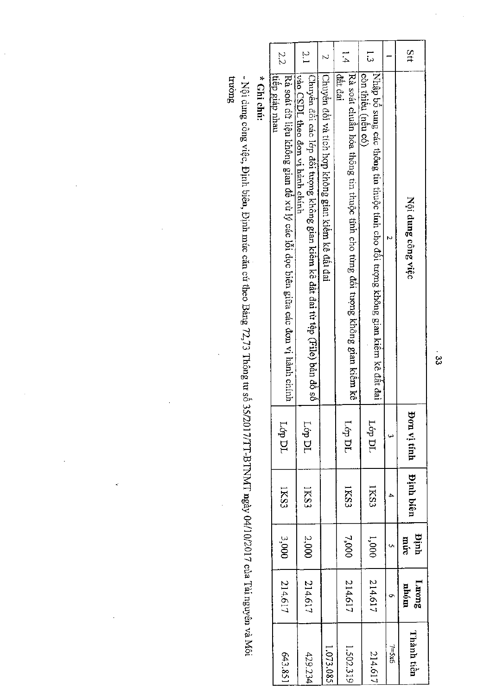| Stt           | Nội dung công việc                                                                                             | Bon vi tinh | Dinh biên   | mir.<br>Tuit | Luong<br>nhóm |
|---------------|----------------------------------------------------------------------------------------------------------------|-------------|-------------|--------------|---------------|
|               |                                                                                                                |             | ٠           |              |               |
| : L           | [Nhập bố sung các thông tin thuộc tính cho đồi tượng không gian kiêm kê đất đai<br>còn thiêu (nêu có)          | Lóp DL      | <b>IKS3</b> | 1,000        | 214.617       |
| ;<br>4        | Rà soát chuẩn hóa thông tin thuộc tính cho từng đối tượng không gian kiêm kê<br>đất đai                        | L6p DL      | IKS3        | 7,000        | 214.617       |
|               | Chuyển đối và tích hợp không gian kiếm kê đầi đai                                                              |             |             |              |               |
| $\frac{5}{1}$ | Chuyền đôi các lớp đối tượng không gian kiểm kê đất đai từ tệp (File) bản đồ số<br>vao OSDL than vi hanh chinh | Lóp DL      | IKS3        | 2,000        | 214.617       |
| 22            | Rà soát đữ liệu không gian để xừ lý các lỗi dọc biên giữa các đơn vị hành chính<br>ltiêp giáp nhau             | ГФ ДГ       | IKS3        | 3,000        | 214.617       |
|               | * Ghi chú:                                                                                                     |             |             |              |               |

- Nội dưng công việc, Định biên, Định mức căn cứ theo Bảng 72,73 Thông tư số 35/2017/TT-BTNMT ngày 04/10/2017 của Tải nguyên và Môi<br>trường

 $\ddot{\phantom{a}}$ 

 $\ddot{\phantom{0}}$ 

 $\frac{1}{2}$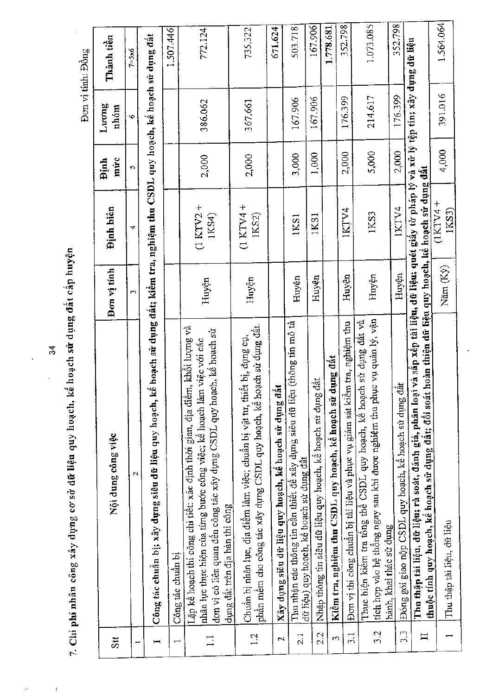|                  |                                                                                                                                                                                                                                                                 |             |                                                                                                                                               |                      |                | Đơn vị tính: Đồng |
|------------------|-----------------------------------------------------------------------------------------------------------------------------------------------------------------------------------------------------------------------------------------------------------------|-------------|-----------------------------------------------------------------------------------------------------------------------------------------------|----------------------|----------------|-------------------|
| Sit              | Nội dung công việc                                                                                                                                                                                                                                              | Đơn vị tính | <b>Dinh</b> biên                                                                                                                              | múrc<br><b>finid</b> | Luong<br>nhóm  | Thành tiền        |
| --               | $\mathbf{\hat{z}}$                                                                                                                                                                                                                                              | m           | ₹                                                                                                                                             | Ś,                   | $\ddot{\circ}$ | $7 = 5x6$         |
| $\mapsto$        | Công tác chuẩn bị; xây dựng siêu dữ liệu quy hoạch, kể hoạch sử dụng đất; kiểm tra, nghiệm thu CSDL quy hoạch, kể hoạch sử dụng đất                                                                                                                             |             |                                                                                                                                               |                      |                |                   |
| $\overline{ }$   | Công tác chuẩn bị                                                                                                                                                                                                                                               |             |                                                                                                                                               |                      |                | 1,507,446         |
| $\Box$           | Lập kể hoạch thi công chi tiết: xác định thời gian, địa điểm, khối lượng và<br>đơn vị có liên quan đến công tác xây dựng CSDL quy hoạch, kể hoạch sử<br>nhân lực thực hiện của từng bước công việc; kế hoạch làm việc với các<br>dụng đất trên địa bàn thi công | Huyện       | $(1 KTV2 +$<br>1KS4)                                                                                                                          | 2,000                | 386.062        | 772.124           |
| 1.2              | phần mềm cho công tác xây dụng CSDL quy hoạch, kể hoạch sử dụng đất.<br>Chuẩn bị nhân lục, địa điểm làm việc; chuẩn bị vật tư, thiết bị, dụng cụ,                                                                                                               | Huyện       | $(1$ KTV4 +<br>IKS2)                                                                                                                          | 2,000                | 367.661        | 735.322           |
| $\mathbf{N}$     | Xây dụng siêu dữ liệu quy hoạch, kế hoạch sử dụng đất                                                                                                                                                                                                           |             |                                                                                                                                               |                      |                | 671.624           |
| $\frac{1}{2}$    | Thu nhận các thông tin cần thiết để xây dụng siêu dữ liệu (thông tin mô tâ<br>dữ liệu) quy hoạch, kể hoạch sử dụng đất                                                                                                                                          | Huyện       | 1KS1                                                                                                                                          | 3,000                | 167.906        | 503.718           |
| 22               | đất<br>Nhập thông tin siêu dữ liệu quy hoạch, kê hoạch sử dụng                                                                                                                                                                                                  | Huyện       | IKS1                                                                                                                                          | 1,000                | 167.906        | 167.906           |
| $\mathbf{c}$     | dụng đất<br>Kiêm tra, nghiệm thu CSDL quy hoạch, kế hoạch sử                                                                                                                                                                                                    |             |                                                                                                                                               |                      |                | 1.778.681         |
| $\frac{1}{2}$    | Đơn vị thi công chuẩn bị tài liệu và phục vụ giám sát kiểm tra, nghiệm thu                                                                                                                                                                                      | Huyện       | IKȚV4                                                                                                                                         | 2,000                | 176.399        | 352.798           |
| 3.2              | tích hợp vào hệ thông ngay sau khi được nghiệm thu phục vụ quân lý, vận<br>Thực hiện kiềm tra tổng thể CSDL quy hoạch, kê hoạch sử dụng đất và<br>hành, khai thác sử dụng                                                                                       | Huyên       | 1KS3                                                                                                                                          | 5,000                | 214,617        | 1.073.085         |
| $3.\overline{3}$ | Đóng gói giao nộp CSDL quy hoạch, kế hoạch sử dụng đất                                                                                                                                                                                                          | Huyên       | IKTV4                                                                                                                                         | 2,000                | 176.399        | 352.798           |
| $\mathbf{I}$     | Thu thập tài liệu, dữ liệu; rà soát, đánh giá, phân loại<br>thuộc tính quy hoạch, kê hoạch sử dụng đất; đối soát                                                                                                                                                |             | i và sắp xếp tài liệu, dữ liệu; quét giấy tờ pháp lý và xử lý tệp tin; xây dụng dữ liệu<br>hoàn thiện dữ liệu quy hoạch, kế hoạch sử dụng đất |                      |                |                   |
|                  | Thu thập tài liệu, dữ liệu                                                                                                                                                                                                                                      | Năm (Ky)    | $(1KTY4 +$<br>1KS3)                                                                                                                           | 4,000                | 391.016        | 1.564.064         |

7. Chi phí nhân công xây dựng cơ sở dữ liệu quy hoạch, kế hoạch sử dụng đất cấp huyện

 $\frac{4}{3}$ 

l,

 $\hat{\theta}$ 

 $\bar{1}$ 

l,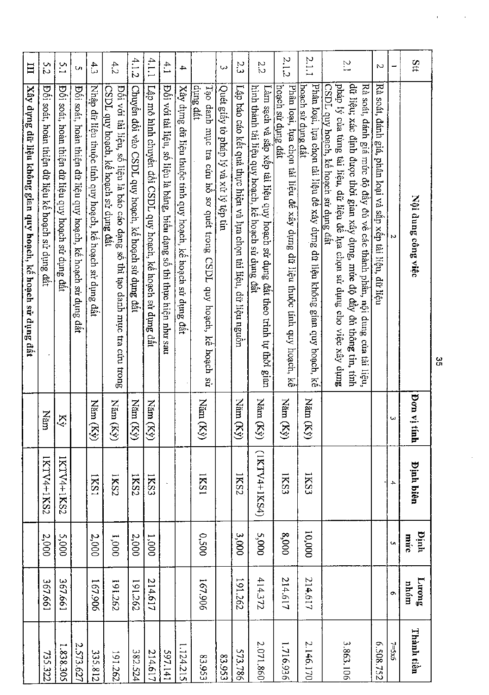| Stt           | Nội dung công việc                                                                                                                                    | <b>Pon v</b><br>timh      |                 | <b>Dinh biên</b> | mid       | ${\bf L}$ rrong  |
|---------------|-------------------------------------------------------------------------------------------------------------------------------------------------------|---------------------------|-----------------|------------------|-----------|------------------|
| -             | N                                                                                                                                                     | یں)                       | 4               | múte<br>O,       | nhóm<br>O | $7 = 5 \times 6$ |
| Z             | Ră<br>soát, đánh giá, phân loại và sắp xếp tài liệu, dữ liệu                                                                                          |                           |                 |                  |           | £208.752         |
|               | dữ liệu; xác định được thời gian xây dựng, mức độ đây đủ thông tin, tính<br>Rà soát, đánh giá mức độ đầy đủ về các thành phần, nội dung của tài liệu, |                           |                 |                  |           |                  |
| $\frac{1}{2}$ | pháp lý của từng tài liệu, dữ liệu để lựa chọn sử dụng cho việc xây dựng<br>CSDL quy hoach, kế hoạch sử dụng đất                                      |                           |                 |                  |           | 3.863.106        |
| 2.1.1         | Phân loại, lựa chọn tải liệu để xây dựng dữ liệu không gian quy hoạch, kế<br>hoach sử dụng đất                                                        | Năm<br>Kŷ                 | 1KS3            | 10,000           | 214.617   | 2.146.170        |
| 2.1.2         | hoach sử dụng đất<br>Phân loại, lựa chọn tài liệu đề xây dựng dữ liệu thuộc tính quy hoạch, kế                                                        | Năm<br>$\mathcal{S}$      | IKS3            | 8,000            | 214.617   | 1.716.936        |
| 22            | hình thành tài liệu quy hoạch, kế hoạch sử dụng đất<br>Làm sạch và sắp xếp tài liệu quy hoạch sử dụng đất theo trình tự thời gian                     | Năm<br>$(\mathbb{Z})$     | $(1$ KTV4+1KS4) | 5,000            | 414372    | 2.071.860        |
| 23            | Lập báo cáo kết quả thực hiện và lựa chọn tải liệu, dữ liệu nguồn                                                                                     | <b>Năm</b><br>Kŷ)         | 1KS2            | 3,000            | 191.262   | 573.786          |
| دیا           | Quét giấy tờ pháp lý và xử lý tệp tin                                                                                                                 |                           |                 |                  |           | £56'53           |
|               | dung đất<br>Tạo danh mục tra cứu hồ sơ quét trong CSDL quy hoạch, kế hoạch sử                                                                         | Năm<br>$\mathbb{Z}$       | <b>ISSI</b>     | 0.500            | 167.906   | 83.953           |
| 4             | Xây dựng dữ liệu thuộc tính quy hoạch, kế hoạch sử dụng đất                                                                                           |                           |                 |                  |           | 1.124.215        |
| 4.1           | Đôi với tài liệu, sô liệu là bảng, biên dạng sô thì thực hiện như sau                                                                                 |                           |                 |                  |           | 597.141          |
| 4.1.1         | Lập mô hình chuyên đối CSDL quy hoạch, kể hoạch sử dụng đất                                                                                           | Năm<br>$\mathbb{Z}^{(n)}$ | <b>IKS3</b>     | $1,000$          | 214.617   | 214.617          |
| 4.1.2         | Chuyển đối vào CSDL quy hoạch, kế hoạch sử dụng đất                                                                                                   | Năm<br>(Xy)               | IKS2            | 2,000            | 191.262   | 382.524          |
| 4.2           | Đối với tài liệu, số liệu là báo cáo dạng số thì tạo danh mục tra cứu trong<br>CSDL quy hoạch, kê hoạch sử dụng đất                                   | Năm<br>$\mathbb{Z}^{2}$   | 1KS2            | 000'I            | 191.262   | 191.262          |
| 4.3           | Nhập dữ liệu thuộc tính quy hoạch, kế hoạch sử dụng<br>đất                                                                                            | Năm<br>(Xy)               | ISS1            | 2,000            | 167.906   | 335.812          |
| $\mathbf{v}$  | Đối soát, hoàn thiện dữ liệu quy hoạch, kế hoạch sử dụng đất                                                                                          |                           |                 |                  |           | 2.573.627        |
| $\frac{0}{1}$ | Đôi soát, hoàn thiện dữ liệu quy hoạch sử dụng đất                                                                                                    | Ký                        | 1KTV4+1KS2      | 5,000            | 167.661   | 1.838.305        |
| 5.2           | Đôi soát, hoàn thiện dữ liệu kê hoạch sử dụng đất                                                                                                     | Năn                       | IKTV4+1KS2      | 2,000            | 199'198   | 735.322          |
| Ħ             | Xây dựng dữ liệu không gian quy hoạch, kế hoạch sử dụng đất                                                                                           |                           |                 |                  |           |                  |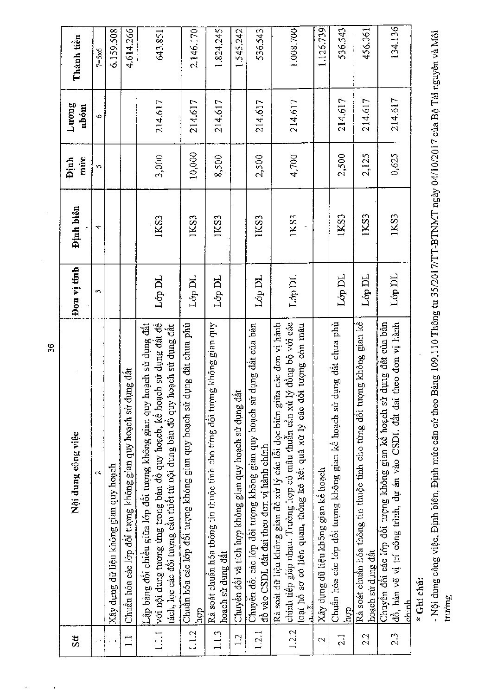| St               | Nội dung công việc                                                                                                                                                                                                               | Đon vị tính | Định biên | múc<br><b>Dinh</b> | Luong<br>nhóm | Thành tiền |
|------------------|----------------------------------------------------------------------------------------------------------------------------------------------------------------------------------------------------------------------------------|-------------|-----------|--------------------|---------------|------------|
|                  | $\mathbf{\tilde{c}}$                                                                                                                                                                                                             | m           | ෑ         | ŗ,                 | v             | $7 = 5x6$  |
|                  | Xây dựng dữ liệu không gian quy hoạch                                                                                                                                                                                            |             |           |                    |               | 6.159.508  |
| $\Box$           | Chuẩn hóa các lớp đổi tượng không gian quy hoạch sử dụng đất                                                                                                                                                                     |             |           |                    |               | 4.614.266  |
| 1.1.1            | với nội dung tương ứng trong bàn đô quy hoạch, kê hoạch sử dụng đất đề<br>Lập bảng đôi chiêu giữa lớp đôi tượng không gian quy hoạch sử dụng đất<br>tách, lọc các đôi tượng cân thiết từ nội dung bản đô quy hoạch sử dụng đất   | Lớp DL      | 1KS3      | 3,000              | 214.617       | 643.851    |
| 1.1.2            | lung đất chưa phù<br>Chuẩn hóa các lớp đối tượng không gian quy hoạch sử d<br>hop                                                                                                                                                | Lớp DL      | 1KS3      | 10,000             | 214.617       | 2.146.170  |
| 1.1.3            | yup maig gian quy<br>Rà soát chuẩn hóa thông tin thuộc tính cho từng đối tượn<br>hoạch sử dụng đất                                                                                                                               | Lóp DL      | 1KS3      | 8,500              | 214.617       | 1.824.245  |
| $\frac{1}{2}$    | Chuyển đổi và tích hợp không gian quy hoạch sử dụng đất                                                                                                                                                                          |             |           |                    |               | 1.545.242  |
| 1.2.1            | dụng đất của bản<br>Chuyên đôi các lớp đôi tượng không gian quy hoạch sử<br>đồ vào CSDL đất đai theo đơn vị hành chính                                                                                                           | Lớp DL      | IKS3      | 2,500              | 214.617       | 536.543    |
| 1.2.2            | chính tiếp giáp nhau. Trường hợp có mâu thuẫn cân xử lý đồng bộ với các<br>các đơn vị hành<br>loại hô sơ có liên quan, thông kê kết quả xử lý các đôi tượng còn mâu<br>Rà soát dữ liệu không gian đề xử lý các lỗi dọc biên giữa | Lớp DL      | 1KS3      | 4,700              | 214.617       | 1.008.700  |
| $\mathbf{\sim}$  | Xây dựng dữ liệu không gian kẻ hoạch                                                                                                                                                                                             |             |           |                    |               | 1.126.739  |
| $\overline{2.1}$ | Chuẩn hóa các lớp đôi tượng không gian kê hoạch sử dụng đất chưa phù<br><u>lpcp</u>                                                                                                                                              | Lớp DL      | 1KS3      | 2,500              | 214.617       | 536.543    |
| 2.2              | Rà soát chuẩn hóa thông tin thuộc tính cho từng đối tượng không gian kế<br>hoạch sử dụng đất                                                                                                                                     | Lớp DL      | IKS3      | 2,125              | 214.617       | 456.061    |
| 23               | theo don vi hành<br>dung đất của bản<br>Chuyền đổi các lớp đổi tượng không gian kề hoạch sử<br>đồ, bản vẽ vị trí công trình, dự án vào CSDL đất đai<br>chinh                                                                     | Lớp DL      | 1KS3      | 0,625              | 214.617       | 134.136    |
|                  | $\ddot{\cdot}$ . This case $\ddot{\cdot}$                                                                                                                                                                                        |             |           |                    |               |            |

Ghi chù:

- Nội dung công việc, Định biên, Định mức căn cứ theo Bảng 109,110 Thông tư 35/2017/TT-BTNMT ngày 04/10/2017 của Bộ Tài nguyên và Môi<br>trường

36

 $\hat{\boldsymbol{\theta}}$ 

 $\frac{1}{2}$ 

l,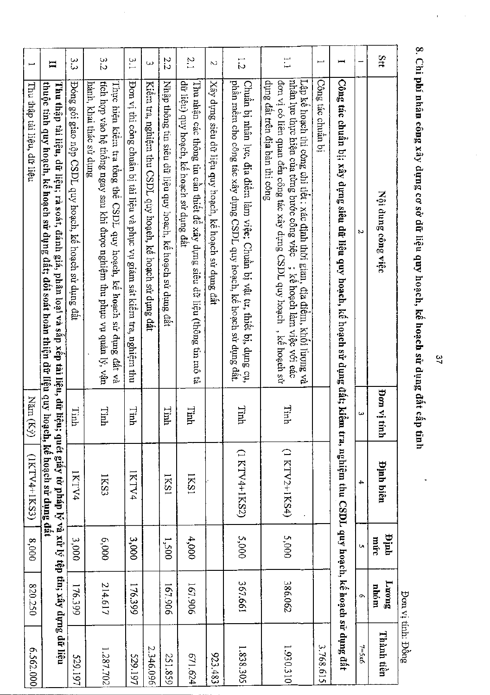| ⊢                          | $\Xi$                                                                                                                                                                                                                                                            | ς<br>Θ                                                 | 3.2                                                                                                                                                                       | 5.1                                                                        | $\omega$                                                  | 2.2                                                         | $\frac{N}{L}$                                                                                                          | $\sim$                                                | 1.2                                                                                                                                               | $\tilde{\cdot}$                                                                                                                                                                                                                                                    | Į                 |                                                                                                                                     |                  | Stt                  |
|----------------------------|------------------------------------------------------------------------------------------------------------------------------------------------------------------------------------------------------------------------------------------------------------------|--------------------------------------------------------|---------------------------------------------------------------------------------------------------------------------------------------------------------------------------|----------------------------------------------------------------------------|-----------------------------------------------------------|-------------------------------------------------------------|------------------------------------------------------------------------------------------------------------------------|-------------------------------------------------------|---------------------------------------------------------------------------------------------------------------------------------------------------|--------------------------------------------------------------------------------------------------------------------------------------------------------------------------------------------------------------------------------------------------------------------|-------------------|-------------------------------------------------------------------------------------------------------------------------------------|------------------|----------------------|
| Thu thập tải liệu, dữ liệu | <u>thuộc tính quy hoạch, kế hoạch sử dụng đất; đối soát hoàn thiện dữ liện quy hoạch, kế hoạch sử dụng đất</u><br>Thu thập tài liệu, dữ liệu; rà soát, đánh giá, phân loại và sắp xếp tài liệu, dữ liệu; quét giấy tờ pháp lý và xử lý tệp tin; xây dựng dữ liệu | Đóng gói giao nộp CSDL quy hoạch, kế hoạch sử dụng đất | tích hợp vào hệ thông ngay sau khi được nghiệm thu phục vụ quản lý, vận<br>hành, khai thác sử dụng<br>Thực hiện kiểm tra tổng thế CSDL quy hoạch, kể hoạch sử dụng đất và | Đơn vị thi công chuân bị tài liệu và phục vụ giám sát kiêm tra, nghiệm thu | Kiêm tra, nghiệm thu CSDL quy hoạch, kế hoạch sử dụng đất | Nhập thông tin siêu dữ liệu quy hoạch, kế hoạch sử dụng đất | đữ liệu) quy hoạch, kề hoạch sử dụng đất<br>Thu nhận các thông tin cần thiết để xây dựng siêu dữ liệu (thông tin mô tả | Xây dựng siêu dữ liệu quy hoạch, kể hoạch sử dụng đất | phân mêm cho công tác xây dựng CSDL quy hoạch, kê hoạch sử dụng đất.<br>Chuẩn bị nhân lực, địa điểm làm việc; Chuẩn bị vật tư, thiết bị, dụng cụ, | Lập kẻ hoạch thi công chi tiết : xác định thời gian, địa điểm, khối lượng và<br>nhân lực thực hiện của từng bước công việc ; kê hoạch làm việc với eác<br>dụng đất trên địa bàn thi công<br>đơn vị có liên quan đên công tác xây dựng CSDL quy hoạch , kề hoạch sử | Công tác chuẩn bị | Công tác chuẩn bị; xây dựng siêu dữ liệu quy hoạch, kế hoạch sử dụng đất; kiểm tra, nghiệm thu CSDL quy hoạch, kế hoạch sử dụng đất | N                | Nội dung công việc   |
| Năm<br>$\mathbb{E}$        |                                                                                                                                                                                                                                                                  | Tinh                                                   | Tinh                                                                                                                                                                      | Tinh                                                                       |                                                           | Tinh                                                        | Tinh                                                                                                                   |                                                       | Tinh                                                                                                                                              | Tinh                                                                                                                                                                                                                                                               |                   |                                                                                                                                     | سا               | iv not<br>ifinh      |
| (IKTV4+1KS3)               |                                                                                                                                                                                                                                                                  | 1KTV4                                                  | IKS3                                                                                                                                                                      | IKTV4                                                                      |                                                           | IKSI                                                        | IKS1                                                                                                                   |                                                       | (1 KTV4+1KS2)                                                                                                                                     | (1 KTV2+1KS4)                                                                                                                                                                                                                                                      |                   |                                                                                                                                     |                  | <b>Pinh biên</b>     |
| 0008                       |                                                                                                                                                                                                                                                                  | 3,000                                                  | 6,000                                                                                                                                                                     | 3,000                                                                      |                                                           | $1,500$                                                     | 4,000                                                                                                                  |                                                       | 5,000                                                                                                                                             | 5,000                                                                                                                                                                                                                                                              |                   |                                                                                                                                     | Ų,               | unja<br>múrc         |
| 820.250                    |                                                                                                                                                                                                                                                                  | 176.399                                                | 214.617                                                                                                                                                                   | 176.399                                                                    |                                                           | 167.906                                                     | 167.906                                                                                                                |                                                       | 367.661                                                                                                                                           | 386.062                                                                                                                                                                                                                                                            |                   |                                                                                                                                     | $\sigma$         | <b>Enone</b><br>nhóm |
| 6.562,000                  |                                                                                                                                                                                                                                                                  | 529.197                                                | 1.287.702                                                                                                                                                                 | 229.197                                                                    | 2.346.096                                                 | 251.859                                                     | 671.624                                                                                                                | 623.483                                               | 1.838.305                                                                                                                                         | 1.930.310                                                                                                                                                                                                                                                          | 3.768.615         |                                                                                                                                     | $7 = 5 \times 6$ | Thành tiền           |

8. Chi phí nhân công xây dựng cơ sở dữ liệu quy hoạch, kế hoạch sử dụng đất cấp tỉnh

 $\hat{\boldsymbol{\beta}}$ 

 $37$ 

l,

Don vị tính: Đồng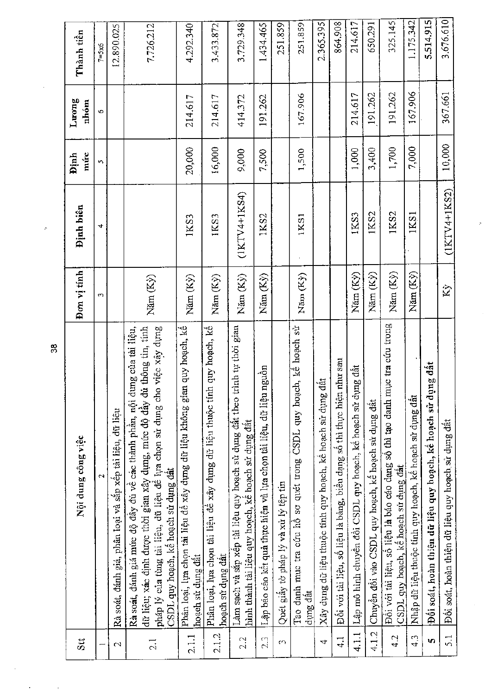| Stt              | Nội dung công việc                                                                                                                                                                                                                                                              | Đơn vị tính | Dinh biên      | múc<br>Định  | Turong<br>nhóm | Thành tiền       |
|------------------|---------------------------------------------------------------------------------------------------------------------------------------------------------------------------------------------------------------------------------------------------------------------------------|-------------|----------------|--------------|----------------|------------------|
|                  | $\mathbf{\hat{z}}$                                                                                                                                                                                                                                                              | $\sim$      | 4              | $\mathbf{C}$ | Ó              | $7 = 5 \times 6$ |
| 2                | Rà soát, đánh giá, phân loại và sắp xếp tài liệu, dữ liệu                                                                                                                                                                                                                       |             |                |              |                | 12.890.025       |
| 2.1              | thông tin, tính<br>việc xây dựng<br>Rà soát, đánh giá mức độ đây đủ về các thành phần, nội dung của tài liệu,<br>dữ liệu; xác định được thời gian xây dụng, mức độ đây đủ<br>pháp lý của tùng tài liệu, dữ liệu để tựa chọn sử dụng cho<br>CSDL quy hoạch, kế hoạch sử dụng đất | Năm (Ky)    |                |              |                | 7.726.212        |
| 2.1.1            | Phân loại, lựa chọn tài liệu đề xây dựng dữ liệu không gian quy hoạch, kế<br>hoạch sử dụng đất                                                                                                                                                                                  | Năm (Kỳ)    | 1KS3           | 20,000       | 214.617        | 4.292.340        |
| 2.1.2            | Phân loại, lựa chọn tài liệu đề xây dựng dữ liệu thuộc tính quy hoạch, kế<br>hoạch sử dụng đất                                                                                                                                                                                  | Năm (Ky)    | IKS3           | 16,000       | 214.617        | 3.433.872        |
| 2.2              | Làm sạch và sắp xếp tài liệu quy hoạch sử dụng đất theo trình tự thời gian<br>hình thành tài liệu quy hoạch, kê hoạch sử dụng đất                                                                                                                                               | Năm (Ky)    | $(1KTY4+1KS4)$ | 9,000        | 414.372        | 3,729.348        |
| 2.3              | Lập báo cáo kết quả thực hiện và lựa chọn tài liệu, dữ liệu nguồn                                                                                                                                                                                                               | Năm (Kỳ)    | 1KS2           | 7,500        | 191.262        | 1.434.465        |
| $\Omega$         | Quét giây tờ pháp lý và xử lý tệp tin                                                                                                                                                                                                                                           |             |                |              |                | 251.859          |
|                  | Tao danh muc tra cúu hô sơ quét trong CSDL quy hoạch, kê hoạch sử<br>dung dât                                                                                                                                                                                                   | Năm (Kỳ)    | 1KS1           | 1,500        | 167.906        | 251,859          |
| 4                | Xây dụng dữ liệu thuộc tính quy hoạch, kế hoạch sử dụng đất                                                                                                                                                                                                                     |             |                |              |                | 2.365.395        |
| $\frac{1}{4}$    | nhu sau<br>Đối với tài liệu, số liệu là bảng, biểu dạng số thì thực hiện                                                                                                                                                                                                        |             |                |              |                | 864.908          |
| 4.1.1            | Lập mô hình chuyên đôi CSDL quy hoạch, kế hoạch sử dụng đất                                                                                                                                                                                                                     | Năm (Kỳ)    | 1KS3           | 1,000        | 214.617        | 214.617          |
| 4.1.2            | Chuyển đổi vào CSDL quy hoạch, kế hoạch sử dụng đất                                                                                                                                                                                                                             | Năm (Ky)    | 1KS2           | 3,400        | 191.262        | 650.291          |
| 4.2              | Đối với tài liệu, số liệu là báo cáo dạng số thì tạo danh mục tra cứu trong<br>CSDL quy hoạch, kê hoạch sử dụng đất                                                                                                                                                             | Năm (Ky)    | 1KS2           | 1,700        | 191.262        | 325.145          |
| 4.3              | Nhập dữ liệu thuộc tính quy hoạch, kể hoạch sử dụng đất                                                                                                                                                                                                                         | Năm (Kỳ)    | 1KS1           | 7,000        | 167.906        | 1.175.342        |
| ιn,              | Đôi soát, hoàn thiện dữ liệu quy hoạch, kê hoạch sử dụng đất                                                                                                                                                                                                                    |             |                |              |                | 5.514.915        |
| $\overline{5}$ . | Đối soát, hoàn thiện dữ liệu quy hoạch sử dụng đất                                                                                                                                                                                                                              | Kỳ          | $(IKIVA+IKS2)$ | 10,000       | 367.661        | 3,676.610        |

Ŀ,

 $\frac{8}{3}$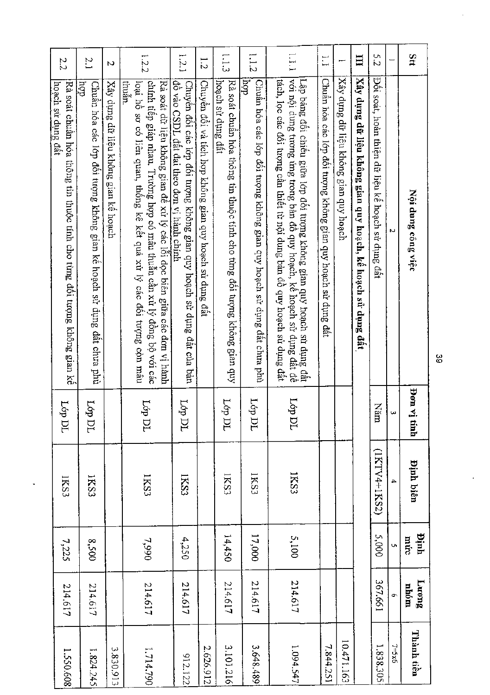| 2.2                                                                                          | $\sim$                                                                                | N                                    | 1.2.2                                                                                                                                                                                                                                   | 1.2.1                                                                                                               | $\frac{1}{2}$                                           | $\frac{1}{2}$                                                                                 | 1.12                                                                         | $\Gamma$ 1.1                                                                                                                                                                                                                       | $\tilde{\mathbf{u}}$                                         |                                       | Ξ                                                           | 52                                                |          | Stt                        |
|----------------------------------------------------------------------------------------------|---------------------------------------------------------------------------------------|--------------------------------------|-----------------------------------------------------------------------------------------------------------------------------------------------------------------------------------------------------------------------------------------|---------------------------------------------------------------------------------------------------------------------|---------------------------------------------------------|-----------------------------------------------------------------------------------------------|------------------------------------------------------------------------------|------------------------------------------------------------------------------------------------------------------------------------------------------------------------------------------------------------------------------------|--------------------------------------------------------------|---------------------------------------|-------------------------------------------------------------|---------------------------------------------------|----------|----------------------------|
| hoach sử dụng đất<br>Rà soát chuân hóa thông tin thuộc tính cho từng đối tượng không gian kể | $\frac{1}{2}$<br>Chuẩn hóa các 1ơp đối tượng không gian kế hoạch sử dụng đất chưa phù | Xây dụng dữ liệu không gian kê hoạch | chính tiếp giáp nhau. Trường hợp có mâu thuẫn cần xử lý đồng bộ với các<br>Rà soát dữ liệu không gian đề xử lý các lỗi dọc biên giữa các đơn vị hành<br>thuân.<br>loại hồ sơ có liên quan, thống kê kết quả xử lý các đối tượng còn mâu | đồ vào CSDL đất đai theo đơn vị hành chính<br>Chuyên đôi các lớp đôi tuợng không gian quy hoạch sử dụng đất của bản | Chuyền đôi và tích hợp không gian quy hoạch sử dụng đất | hoach sù dung dât<br>Rà soát chuẩn hóa thông tin thuộc tính cho từng đôi tượng không gian quy | Chuẩn hóa các lớp đối tượng không gian quy hoạch sử dụng đất chưa phù<br>dou | Lập bảng đối chiếu giữa lớp đối tương không gian quy hoạch sử dụng đất để<br> với nội dung tương ứng trong bản đồ quy hoạch, kể hoạch sử dụng đất để<br>tách, lọc các đối tượng cần thiết từ nội dung bàn đô quy hoạch sử dụng đất | Chuẩn hóa các lớp đối tượng không gian quy hoạch sử dụng đất | Xây dựng dữ liệu không gian quy hoạch | Xây dụng dữ liệu không gian quy hoạch, kế hoạch sử dụng đất | Đối soát, hoàn thiện dữ liệu kế hoạch sử dụng đất | N        | Nội dung công việc         |
| 164<br>ÞL                                                                                    | Ţор<br>ÞL                                                                             |                                      | 16 <sup>1</sup><br>ÞL                                                                                                                                                                                                                   | фŢ<br>ÞL                                                                                                            |                                                         | $160$<br>ÞL                                                                                   | $I$ óp<br>pr                                                                 | 491<br>p                                                                                                                                                                                                                           |                                                              |                                       |                                                             | Năm                                               | $\omega$ | ja uo <sub>d</sub><br>tinh |
| IKS3                                                                                         | 1KS3                                                                                  |                                      | 1KS3                                                                                                                                                                                                                                    | IKS3                                                                                                                |                                                         | IKS3                                                                                          | <b>IKS3</b>                                                                  | IKS3                                                                                                                                                                                                                               |                                                              |                                       |                                                             | (IKTV4+1KS2)                                      | 4        | <b>Pinh biên</b>           |
| 7,225                                                                                        | 0058                                                                                  |                                      | 7,990                                                                                                                                                                                                                                   | 4,250                                                                                                               |                                                         | 14,450                                                                                        | 17,000<br>5,100                                                              |                                                                                                                                                                                                                                    |                                                              |                                       |                                                             | 5,000                                             | Ų,       | ninh<br>múc                |
| 214.617                                                                                      | 214.617                                                                               |                                      | 214.617                                                                                                                                                                                                                                 | 214.617                                                                                                             |                                                         | 214.617                                                                                       | 214.617                                                                      | 214.617                                                                                                                                                                                                                            |                                                              |                                       |                                                             | 367.661                                           | Ō,       | Lurong<br>nhóm             |
| 1.550.608                                                                                    | 1.824.245                                                                             | 3.830.913                            | 1.714.790                                                                                                                                                                                                                               | 912.122                                                                                                             | 2.626.912                                               | 3.101.216                                                                                     | 3.648.489                                                                    | 1.094.547                                                                                                                                                                                                                          | 7.844.251                                                    | 10.471.163                            |                                                             | 1.838.305                                         | $7 = x6$ | Thành tiền                 |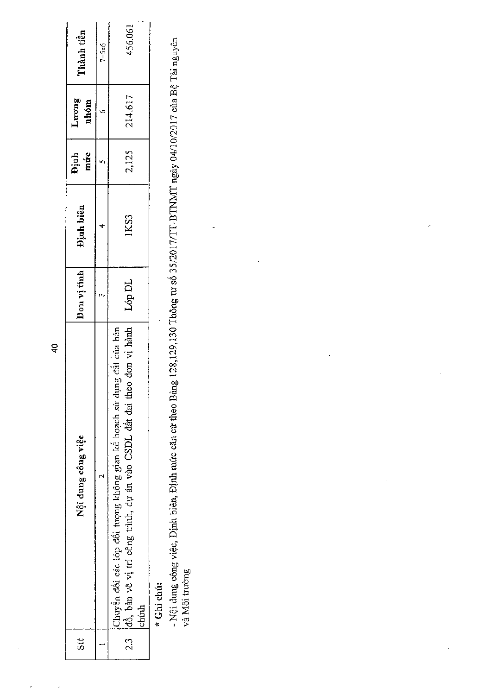| Stt       | Nội dung công việc                                                                                                                                     | Don vi tinh | Định biên | Dinh<br>mức | Luong<br>nhóm | Thành tiền |
|-----------|--------------------------------------------------------------------------------------------------------------------------------------------------------|-------------|-----------|-------------|---------------|------------|
|           |                                                                                                                                                        |             |           |             |               | $7 = 5x6$  |
| ್ತು<br>23 | Chuyển đổi các lớp đổi tượng không gian kế hoạch sử dụng đất của bản<br>đồ, bản vẽ vị trí công trình, dự án vào CSDL đất đai theo đơn vị hành<br>chinh | Lớp DL      | 1KS3      | 2,125       | 214.617       | 456.061    |
|           | * Ghi chú:                                                                                                                                             |             |           |             |               |            |

- Nội dung công việc, Định biên, Định mức căn cứ theo Bảng 128,129,130 Thông tư số 35/2017/TT-BTNMT ngày 04/10/2017 của Bộ Tài nguyên<br>và Môi trường

 $\frac{1}{2}$ 

 $\frac{1}{2}$ 

 $\bar{t}$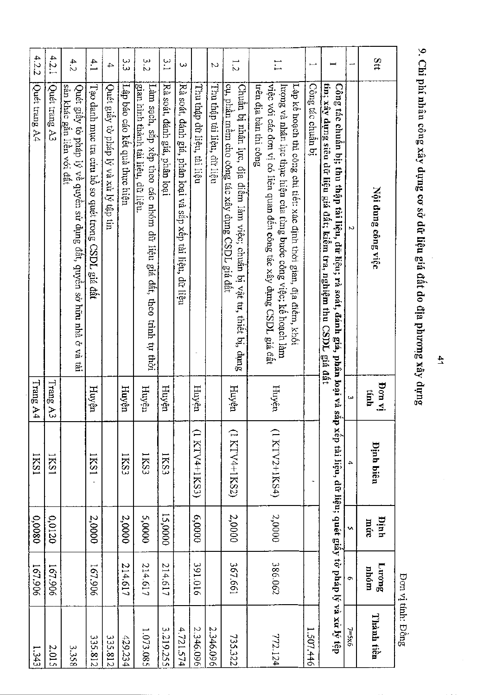|                          |                                                                                                                                                                                                                                         |                                                                                                                                                                                                                                                                                                                                                                                                                                                                                                                                |                                                             |             |                       | <b>しょうきょう こうしょう</b> |
|--------------------------|-----------------------------------------------------------------------------------------------------------------------------------------------------------------------------------------------------------------------------------------|--------------------------------------------------------------------------------------------------------------------------------------------------------------------------------------------------------------------------------------------------------------------------------------------------------------------------------------------------------------------------------------------------------------------------------------------------------------------------------------------------------------------------------|-------------------------------------------------------------|-------------|-----------------------|---------------------|
| 31                       | Nội dung công việc                                                                                                                                                                                                                      | iy nof<br>tinh                                                                                                                                                                                                                                                                                                                                                                                                                                                                                                                 | <b>Pinh biên</b>                                            | hinh<br>múc | <b>Buon</b> T<br>nhóm | Thành tiền          |
| ļ                        | Μ                                                                                                                                                                                                                                       | ω                                                                                                                                                                                                                                                                                                                                                                                                                                                                                                                              |                                                             | Ō.          | Ö                     | $7 = 5 \times 6$    |
|                          | Công tác chuẩn bị; thu thập tài liệu, dữ liệu; rà soát, đánh giá, phân loại và sắ<br>tini xây dựng siêu dữ liệu giá đất; kiểm tra, nghiệm thu CSDL giá đất                                                                              |                                                                                                                                                                                                                                                                                                                                                                                                                                                                                                                                | ip xếp tài liệu, dữ liệu; quét giấy tờ pháp lý và xử lý tệp |             |                       |                     |
| $\overline{\phantom{0}}$ | Công tác chuân bị                                                                                                                                                                                                                       |                                                                                                                                                                                                                                                                                                                                                                                                                                                                                                                                |                                                             |             |                       | 1.507.446           |
| $\ddot{ }$               | việc với các đơn vị có liên quan đền công tác xây dựng CSDL giá đất<br>trên địa bàn thi công<br>lượng và nhân lực thực hiện của từng bước công việc; kế hoạch làm<br>Lập kẻ hoạch thi công chi tiết: xác định thời gian, địa điểm, khối | Huyện                                                                                                                                                                                                                                                                                                                                                                                                                                                                                                                          | (1 KTV2+1KS4)                                               | 2,0000      | 386.062               | 772.124             |
| $\overline{z}$           | cụ, phân mêm cho công tác xây dựng CSDL giá dất<br>Chuẩn bị nhân lục, địa điểm làm việc; chuẩn bị vật tư, thiết bị, dụng                                                                                                                | Huyện                                                                                                                                                                                                                                                                                                                                                                                                                                                                                                                          | (1 KTV4+1KS2)                                               | 2,0000      | 199'298               | 735.322             |
| N                        | Thu thập tải liệu, đữ liệu                                                                                                                                                                                                              |                                                                                                                                                                                                                                                                                                                                                                                                                                                                                                                                |                                                             |             |                       | 2.346.096           |
|                          | Thu thập dữ liệu, tài liệu                                                                                                                                                                                                              | Huyện                                                                                                                                                                                                                                                                                                                                                                                                                                                                                                                          | (1 KTV4+1KS3)                                               | 00009       | 391.016               | 2.346.096           |
| ω                        | Rà soát, đánh giá, phân loại và sắp xếp tài liệu, dữ liệu                                                                                                                                                                               |                                                                                                                                                                                                                                                                                                                                                                                                                                                                                                                                |                                                             |             |                       | 4.721.574           |
| $\frac{3}{2}$            | Rà soát, đánh giá, phân loại                                                                                                                                                                                                            | Huyện                                                                                                                                                                                                                                                                                                                                                                                                                                                                                                                          | IKS3                                                        | 15,0000     | 214.617               | 3.219.255           |
| 3.2                      | Làm sạch, sắp xếp theo các nhóm đữ liệu giá đất, theo trình tự thời<br>gian hình thành tài liệu, dữ liệu.                                                                                                                               | $H^{\rm n}\!\!\!\!\!\times\!\!\!\!\!\times\!\!\!\!\!\times\!\!\!\!\times\!\!\!\!\times\!\!\!\!\times\!\!\!\!\times\!\!\!\!\times\!\!\!\!\times\!\!\!\!\times\!\!\!\!\times\!\!\!\!\times\!\!\!\!\times\!\!\!\!\times\!\!\!\!\times\!\!\!\!\times\!\!\!\!\times\!\!\!\!\times\!\!\!\!\times\!\!\!\!\times\!\!\!\!\times\!\!\!\!\times\!\!\!\!\times\!\!\!\!\times\!\!\!\!\times\!\!\!\!\times\!\!\!\!\times\!\!\!\!\times\!\!\!\!\times\!\!\!\!\times\!\!\!\!\times\!\!\!\!\times\!\!\!\!\times\!\!\!\!\times\!\!\!\!\times\!\$ | IKS3                                                        | 0000'S      | 214.617               | 1.073.085           |
| ς<br>ς                   | Lập báo cáo kêt quả thực hiện                                                                                                                                                                                                           | Huyện                                                                                                                                                                                                                                                                                                                                                                                                                                                                                                                          | IKS3                                                        | 2,0000      | 214.617               | 429.234             |
| $\overline{4}$           | Quét giấy tờ pháp lý và xử lý tập tin                                                                                                                                                                                                   |                                                                                                                                                                                                                                                                                                                                                                                                                                                                                                                                |                                                             |             |                       | 335.812             |
| 4.1                      | Tạo danh mục tra cứu hồ sơ quét trong CSDL giá đất                                                                                                                                                                                      | Huyện                                                                                                                                                                                                                                                                                                                                                                                                                                                                                                                          | <b>IKS1</b>                                                 | 2,0000      | 167.906               | 335.812             |
| 4.2                      | sản khác găn liên với đất<br>Quét giây tờ pháp lý về quyền sử dụng đất, quyền sở hữu nhà ở và tài                                                                                                                                       |                                                                                                                                                                                                                                                                                                                                                                                                                                                                                                                                |                                                             |             |                       |                     |
| 4.2.1                    | Quét trang A3                                                                                                                                                                                                                           | Trang A3                                                                                                                                                                                                                                                                                                                                                                                                                                                                                                                       | <b>IKS1</b>                                                 | 0,0120      | 167.906               |                     |
| 4.2.2                    | Quét trang A4                                                                                                                                                                                                                           | Trang A4                                                                                                                                                                                                                                                                                                                                                                                                                                                                                                                       | ISS1                                                        | 08000       | 167.906               |                     |

.<br>Ω ።  $\Xi$ . ነበ O co) QQ \*g cra tr: n Sig  $\mathbf{a}$ <u>ዋ</u>  $\Xi$ . ra cra ≻<br>e\_

a  $\stackrel{\cdots}{\cong}$ 00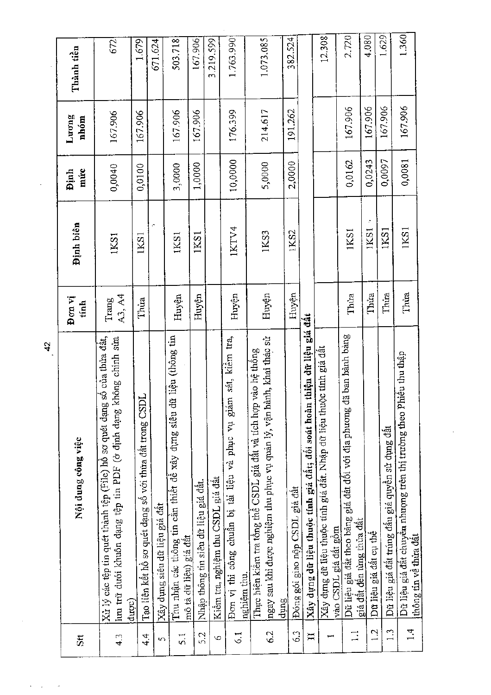|                            | 4                                                                                                                                                     |                 |           |                     |               |            |
|----------------------------|-------------------------------------------------------------------------------------------------------------------------------------------------------|-----------------|-----------|---------------------|---------------|------------|
| $\overline{\mathbf{S}}$ tt | Nội dung công việc                                                                                                                                    | Đơn vị<br>tinh  | Định biên | múrc<br><b>Dinh</b> | Luong<br>nhóm | Thành tiền |
| ر.<br>4                    | Xử lý các tệp tin quét thành tệp (File) hồ sơ quét dạng số của thừa đất,<br>lưu trữ dưới khuôn dạng tệp tin PDF (ở định dạng không chính sửa<br>dupc) | A3, A4<br>Trang | IKSI      | 0,0040              | 167.906       | 672        |
| $4\overline{4}$            | Tạo liên kết hồ sơ quét dạng số với thừa đất trong CSD1                                                                                               | Thira           | 1KS1      | 0,0100              | 167.906       | 1.679      |
| $\sigma$                   | Xây dụng siêu dữ liệu giá đất                                                                                                                         |                 |           |                     |               | 671.624    |
| 5.1                        | liệu (thông tin<br>Thu nhận các thông tin cân thiết đề xây dựng siêu dữ<br>mô tả dữ liệu) giá đất                                                     | Huyện           | IKS1      | 3,0000              | 167.906       | 503.718    |
| 5.2                        | Nhập thông tin siêu dữ liệu giá đất.                                                                                                                  | Huyện           | 1KS1      | 1,0000              | 167.906       | 167.906    |
| Ó                          | Kiêm tra, nghiệm thu CSDL giá đât                                                                                                                     |                 |           |                     |               | 3.219.599  |
| $\vec{S}$                  | sát, kiêm tra,<br>Đơn vị thi công chuân bị tài liệu và phục vụ giám<br>nghiệm thu.                                                                    | Huyện           | 1KTY4     | 10,0000             | 176.399       | 1.763.990  |
| 6.2                        | ngay sau khi được nghiệm thu phục vụ quản lý, vận hành, khai thác sử<br>Thực hiện kiềm tra tổng thể CSDL giá đất và tích hợp vào hệ thống<br>dung     | Huyện           | 1KS3      | 5,0000              | 214.617       | 1.073.085  |
| 63                         | Đóng gói giao nộp CSDL giá đất                                                                                                                        | Huyện           | 1KS2      | 2,0000              | 191.262       | 382.524    |
| $\Xi$                      | thiện dữ liệu giá đất<br>Xây dựng dữ liệu thuộc tính giá đất; đối soát hoàn                                                                           |                 |           |                     |               |            |
|                            | Xây dựng dữ liệu thuộc tính giá đất. Nhập dữ liệu thuộc tính giá đất<br>vào CSDL giá đất gộm                                                          |                 |           |                     |               | 12.308     |
| $\mathbb{I}$               | Dữ liệu giá đất theo bằng giá đất đối với địa phương đã ban hành bằng<br>giá đất đến từng thừa đất                                                    | Thua            | 1KS1      | 0,0162              | 167.906       | 2.720      |
| $\overline{2}$             | Dữ liệu giá đất cụ thể                                                                                                                                | Thứa            | IKSI      | 0,0243              | 167.906       | 4.080      |
| 1.3                        | Dữ liệu giá đất trúng đầu giá quyền sử dụng đất                                                                                                       | Thira           | 1KS1      | 0,0097              | 167.906       | 1.629      |
| $\ddot{ }$                 | iều thu thập<br>Dữ liệu giá đất chuyển nhượng trên thị trường theo Phi<br>thông tin về thừa đất                                                       | Thửa            | 1KS1      | 0,0081              | 167.906       | 1.360      |

 $\hat{\boldsymbol{\theta}}$ 

 $\hat{\boldsymbol{\beta}}$  $\sim$ 

l,

 $\frac{42}{3}$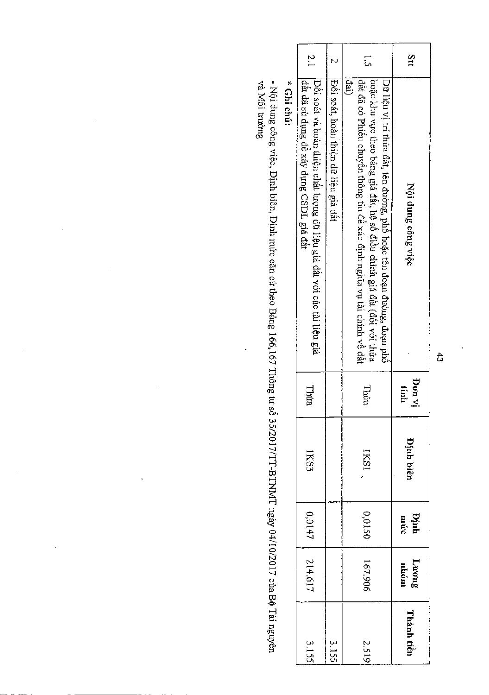|            |               |             |                  |                | י בריי יוי                                                                                                                                                                                                                           |               |
|------------|---------------|-------------|------------------|----------------|--------------------------------------------------------------------------------------------------------------------------------------------------------------------------------------------------------------------------------------|---------------|
| 3.15       | 214.617       | 0,0147      | IKS3             | Thừa           | Đôi soát và hoàn thiện chất lượng dữ liệu giá đất với các tài liệu giá<br>đầt đã sử dụng để xây dụng CSDL giá đất                                                                                                                    | $\sim$        |
| 3.15       |               |             |                  |                | Pôi soát, hoàn thiện đữ liệu giá đất                                                                                                                                                                                                 |               |
| 2.51       | 167.906       | 05100       | IKSI             | Thừa           | hoặc khu vực theo bằng giá đất, hệ số điều chỉnh giá đất (đối với thừa<br>,đất đã có Phiếu chuyển thông tin để xác định nghĩa vụ tài chính về đất<br>$\det$<br>Dữ liệu vị trí thừa đất, tên đường, phố hoặc tên đoạn đường, đoạn phố | با<br>با      |
| Thành tiền | Luong<br>nhóm | Dinh<br>mức | <b>Dinh biên</b> | iy not<br>tính | Nội dung công việc                                                                                                                                                                                                                   | $\frac{3}{4}$ |
|            |               |             |                  |                |                                                                                                                                                                                                                                      |               |

en cuu:

 $\cdot$ 

- Nội dung công việc, Định biên, Định mức căn cứ theo Bảng 166,167 Thông tư số 35/2017/TT-BTNMT ngày 04/10/2017 của Bộ Tài nguyên và Môi trường

l,

 $\ddot{a}$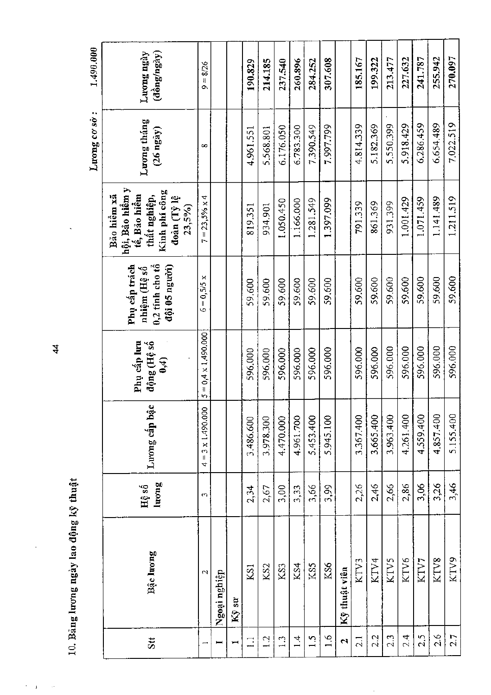|                    |                   |                |                                            |                                      |                                                                     |                                                                                                              | Luong co so:                       | 1,490.000                                                  |
|--------------------|-------------------|----------------|--------------------------------------------|--------------------------------------|---------------------------------------------------------------------|--------------------------------------------------------------------------------------------------------------|------------------------------------|------------------------------------------------------------|
| Stt                | Bậc lương         | luong<br>Hệ số | Luong cấp bậc                              | Phụ cấp lưu<br>động (Hệ số<br>(1, 4) | Phụ cấp trách<br>$0,2$ tính cho tổ<br>đội 05 người)<br>nhiệm (Hệ số | hội, Bảo hiểm y<br>  tế, Bảo hiểm<br>Kinh phí công<br>Bão hiềm xã<br>thất nghiệp,<br>đoàn (Tỷ lệ<br>$23,5\%$ | Luong tháng<br>$(26 \text{ ngay})$ | $(\hat{\mathrm{d}}\hat{\mathrm{o}}$ ng/ngày)<br>Luong ngày |
|                    | $\mathbf{\Omega}$ | S              | $3 \times 1.490.000$<br>$\mathsf{II}$<br>4 | $5 = 0.4 \times 1.490.000$           | $6 = 0,5/5 x$                                                       | $7 = 23,5\% \times 4$                                                                                        | $\infty$                           | $9 - 8/26$                                                 |
|                    | Ngoại nghiệp      |                |                                            |                                      |                                                                     |                                                                                                              |                                    |                                                            |
|                    | Kỹ sư             |                |                                            |                                      |                                                                     |                                                                                                              |                                    |                                                            |
| $\Box$             | KSI               | 2,34           | 3,486,600                                  | 596.000                              | 59,600                                                              | 819.351                                                                                                      | 4.961.551                          | 190.829                                                    |
| $\frac{1}{2}$      | KS <sub>2</sub>   | 2,67           | 3.978.300                                  | 596.000                              | 59.600                                                              | 934.901                                                                                                      | 5.568.801                          | 214.185                                                    |
| $\frac{1}{2}$      | KS3               | 3,00           | 4.470.000                                  | 596.000                              | 59,600                                                              | 1.050.450                                                                                                    | 6.176.050                          | 237,540                                                    |
| $\vec{r}$          | KS4               | 3,33           | 4.961.700                                  | 596.000                              | 59.600                                                              | 1.166.000                                                                                                    | 6.783.300                          | 260.896                                                    |
| $\frac{5}{1}$      | KS5               | 3,66           | 5.453.400                                  | 596.000                              | 59.600                                                              | 1.281,549                                                                                                    | 7.390.549                          | 284.252                                                    |
| 1.6                | KS6               | 5,99           | 5.945.100                                  | 596.000                              | 59,600                                                              | 1.397.099                                                                                                    | 7.997.799                          | 307.608                                                    |
| $\mathbf{\hat{z}}$ | Kỹ thuật viên     |                |                                            |                                      |                                                                     |                                                                                                              |                                    |                                                            |
| 2.1                | KTV3              | 2,26           | 3.367.400                                  | 596.000                              | 59.600                                                              | 791.339                                                                                                      | 4.814.339                          | 185.167                                                    |
| 2.2                | KTV4              | 2,46           | 3.665.400                                  | 596.000                              | 59.600                                                              | 861.369                                                                                                      | 5.182.369                          | 199,322                                                    |
| 2.3                | KTV5              | 2,66           | 3.963.400                                  | 596,000                              | 59,600                                                              | 931.399                                                                                                      | 5.550.399                          | 213.477                                                    |
| 2.4                | KTV6              | 2,86           | 4.261.400                                  | 596.000                              | 59.600                                                              | 1.001.429                                                                                                    | 5.918.429                          | 227.632                                                    |
| 2.5                | KTV7              | 3,06           | 4.559.400                                  | 596.000                              | 59.600                                                              | 1.071.459                                                                                                    | 6.286.459                          | 241.787                                                    |
| 2.6                | KTV8              | 3,26           | 4.857.400                                  | 596.000                              | 59,600                                                              | 1.141.489                                                                                                    | 6.654.489                          | 255.942                                                    |
| 2.7                | KTV9              | 3,46           | 5.155.400                                  | 596,000                              | 59,600                                                              | 1.211.519                                                                                                    | 7.022.519                          | 270.097                                                    |

 $\frac{4}{4}$ 

10. Bảng lương ngày lao động kỹ thuật

 $\epsilon$  $\bar{Y}$  $\sim$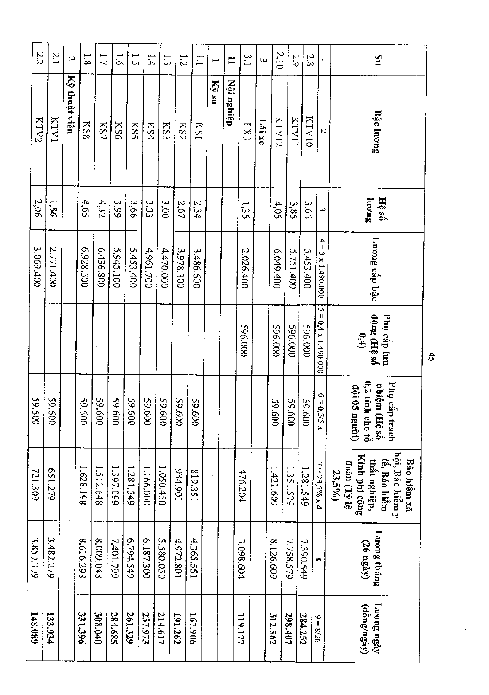| Stt                      | Bậc luong     | Jucup<br>Hệ số   | Luong cấp bậc                  | động (Hệ số<br>0,4)<br>Phụ cấp lưu      | $0,2$ tính<br>Phụ cấp trách<br>nhiệm<br>đội 05<br>nguời)<br>$($ Hệ số<br>$\frac{1}{2}$ cho tô | hội, Bảo hiểm y<br>Kinh phí công<br>Bảo hiểm xã<br>tê, Bảo hiểm<br>thất nghiệp,<br>đoàn (Tỷ lệ<br>23,5% | Luong tháng<br>$(26 \text{ ngay})$ | Luong ngày<br>(đồng/ngày) |
|--------------------------|---------------|------------------|--------------------------------|-----------------------------------------|-----------------------------------------------------------------------------------------------|---------------------------------------------------------------------------------------------------------|------------------------------------|---------------------------|
| $\overline{\phantom{0}}$ | N             | ω                | $\frac{4}{1}$<br>3 x 1.490.000 | U)<br>$\blacksquare$<br>0,4 x 1.490.000 | $6 = 0.5/5 x$                                                                                 | $7 = 23,596 \times 4$                                                                                   | $\infty$                           | $9 = 8/26$                |
| 2.8                      | <b>KTV10</b>  | 99 <sup>'E</sup> | 5.453.400                      | 196.000                                 | 009'65                                                                                        | 1.281.549                                                                                               | 7.390.549                          | 284.252                   |
| $\frac{5}{6}$            | <b>KTV11</b>  | 3,86             | 5.751.400                      | <b>596.000</b>                          | 009'65                                                                                        | 1.351.579                                                                                               | 7.758.579                          | 298.407                   |
| 2.10                     | KTV12         | 4,06             | 00#6#09                        | 596.000                                 | 59.600                                                                                        | 1.421.609                                                                                               | 8.126.609                          | 312.562                   |
| ω                        | Lái xe        |                  |                                |                                         |                                                                                               |                                                                                                         |                                    |                           |
| $\frac{3}{2}$            | LX3           | 1,36             | 2.026.400                      | 000.000                                 |                                                                                               | 476.204                                                                                                 | 3.098.604                          | 119.177                   |
| $\blacksquare$           | Nội nghiệp    |                  |                                |                                         |                                                                                               |                                                                                                         |                                    |                           |
| $\overline{\phantom{0}}$ | Kỹ sư         |                  |                                |                                         |                                                                                               |                                                                                                         |                                    |                           |
| $\overline{1}$           | <b>KS1</b>    | 2,34             | 3.486.600                      |                                         | 009'65                                                                                        | 819.351                                                                                                 | 4,365.551                          | 167.906                   |
| $\frac{1}{2}$            | KS2           | 2,67             | 3.978.300                      |                                         | 009'65                                                                                        | 106'+86                                                                                                 | 4.972.801                          | 191.262                   |
| $\vec{\omega}$           | KS3           | 3,00             | 4,470.000                      |                                         | 59.600                                                                                        | 1.050.450                                                                                               | 5.580.050                          | 214.617                   |
| 1.4                      | KS4           | 33<br>33         | 4.961.700                      |                                         | 009'65                                                                                        | 1.166.000                                                                                               | 6.187.300                          | 237.973                   |
| $\overline{5}$           | KSS           | 99'E             | 5.453.400                      |                                         | 009'65                                                                                        | 1.281.549                                                                                               | 6.794.549                          | 261.329                   |
| $\overline{5}$           | KS6           | <b>665</b>       | 5.945.100                      |                                         | 009'65                                                                                        | 1.397.099                                                                                               | 7,401.799                          | 284.685                   |
| $\overline{L}$           | KS7           | 4,32             | 6.436.800                      |                                         | 009'65                                                                                        | 1.512.648                                                                                               | 8.009.048                          | 308.040                   |
| $\frac{1}{8}$            | KS8           | 4,65             | 6.928.500                      |                                         | 009'65                                                                                        | 1.628.198                                                                                               | 8.616.298                          | 331.396                   |
| $\overline{a}$           | Kỹ thuật viên |                  |                                |                                         |                                                                                               |                                                                                                         |                                    |                           |
| $\sim 1$                 | KTV1          | 1,86             | 2.771.400                      |                                         | 009.62                                                                                        | 621.279                                                                                                 | 3.482.279                          | 133,934                   |
| 2.2                      | KTV2          | 2,06             | 3.069.400                      |                                         | 009.62                                                                                        | 721.309                                                                                                 | 3.850.309                          | 148.089                   |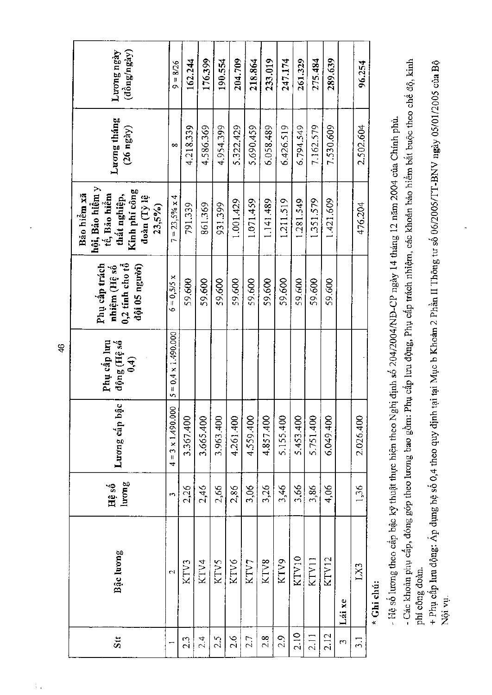| Luong ngày<br>$(\hat{\texttt{d}\texttt{d}}\texttt{u}\texttt{g}\texttt{/n}\texttt{g}\texttt{a}\texttt{y})$       | $9 = 8/26$                  | 162.244   | 176.399   | 190.554   | 204.709       | 218.864   | 233.019   | 247.174   | 261.329   | 275.484   | 289,639           |        | 96.254        |  |
|-----------------------------------------------------------------------------------------------------------------|-----------------------------|-----------|-----------|-----------|---------------|-----------|-----------|-----------|-----------|-----------|-------------------|--------|---------------|--|
| Luong tháng<br>$(26 \text{ ngay})$                                                                              | $\infty$                    | 4.218.339 | 4.586.369 | 4.954.399 | 5.322.429     | 5.690.459 | 6.058.489 | 6.426.519 | 6.794.549 | 7.162.579 | 7.530.609         |        | 2.502.604     |  |
| hội, Bảo hiểm y<br> -<br>  tế, Bảo hiểm<br>Kinh phí công<br>Bão hiêm xã<br>thất nghiệp,<br>đoàn (Tỷ lệ<br>23,5% | $7 = 23,5%$ x 4             | 791.339   | 861.369   | 931.399   | 1.001.429     | 1.071.459 | 1.141.489 | 1.211.519 | 1.281.549 | 1.351.579 | 1.421.609         |        | 476.204       |  |
| $0,2$ tinh cho tổ<br>Phụ cấp trách<br>đội 05 người)<br>nhiệm (Hệ số                                             | $6 = 0,5/5 x$               | 59,600    | 59.600    | 59.600    | 59.600        | 59.600    | 59.600    | 59.600    | 59.600    | 59.600    | 59.600            |        |               |  |
| Phụ cấp lưu<br>động (Hệ số<br>$\ddot{e}$                                                                        | $5 = 0.4 \times 1.490.000$  |           |           |           |               |           |           |           |           |           |                   |        |               |  |
| Lương cấp bậc                                                                                                   | $= 3 \times 1.490.000$<br>4 | 3.367.400 | 3.665.400 | 3.963.400 | 4.261.400     | 4.559.400 | 4.857.400 | 5.155.400 | 5.453.400 | 5.751.400 | 6.049.400         |        | 2.026.400     |  |
| $l$ urom $g$<br>Hệ số                                                                                           | m                           | 2,26      | 2,46      | 2,66      | 2,86          | 3,06      | 3,26      | 3,46      | 3,66      | 3,86      | 4,06              |        | 1,36          |  |
| Bậc lương                                                                                                       | 2                           | KTV3      | KTV4      | KTV5      | KTV6          | KTV7      | KTV8      | KTV9      | KTV10     | KTV11     | KTV <sub>12</sub> | Lái xe | EXT           |  |
| Stt                                                                                                             |                             | 2.3       | 2.4       | 2.5       | $\frac{2}{3}$ | 27        | 2.8       | 2.9       | 2.10      | 2.11      | 2.12              | 3      | $\frac{1}{2}$ |  |

\* Ghi chú:

- Hệ số lương theo cấp bậc kỹ thuật thực hiện theo Nghị định số 204/2004/NĐ-CP ngày 14 tháng 12 năm 2004 của Chính phủ.

- Các khoản phụ cấp, đóng góp theo lương bao gồm: Phụ cấp lưu động, Phụ cấp trách nhiệm, các khoản bảo hiểm bát buộc theo chế độ, kinh phí công đoàn.

+ Phụ cấp lưu động: Áp dụng hệ số 0,4 theo quy định tại tại Mục b Khoản 2 Phần II Thông tư số 06/2005/TT-BNV ngày 05/01/2005 của Bộ Nội vụ.

46

 $\hat{\Sigma}_0$